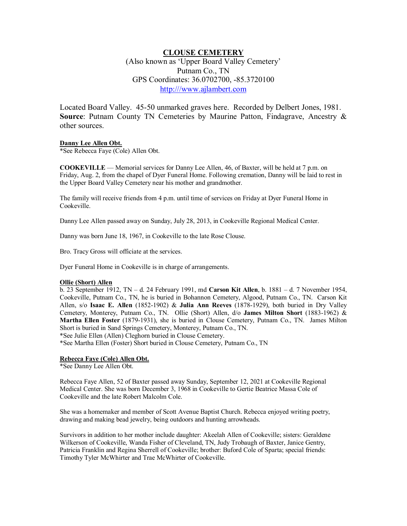# **CLOUSE CEMETERY**

(Also known as 'Upper Board Valley Cemetery' Putnam Co., TN GPS Coordinates: 36.0702700, -85.3720100 http:///www.ajlambert.com

Located Board Valley. 45-50 unmarked graves here. Recorded by Delbert Jones, 1981. **Source**: Putnam County TN Cemeteries by Maurine Patton, Findagrave, Ancestry & other sources.

#### **Danny Lee Allen Obt.**

\*See Rebecca Faye (Cole) Allen Obt.

**COOKEVILLE** — Memorial services for Danny Lee Allen, 46, of Baxter, will be held at 7 p.m. on Friday, Aug. 2, from the chapel of Dyer Funeral Home. Following cremation, Danny will be laid to rest in the Upper Board Valley Cemetery near his mother and grandmother.

The family will receive friends from 4 p.m. until time of services on Friday at Dyer Funeral Home in Cookeville.

Danny Lee Allen passed away on Sunday, July 28, 2013, in Cookeville Regional Medical Center.

Danny was born June 18, 1967, in Cookeville to the late Rose Clouse.

Bro. Tracy Gross will officiate at the services.

Dyer Funeral Home in Cookeville is in charge of arrangements.

### **Ollie (Short) Allen**

b. 23 September 1912, TN – d. 24 February 1991, md **Carson Kit Allen**, b. 1881 – d. 7 November 1954, Cookeville, Putnam Co., TN, he is buried in Bohannon Cemetery, Algood, Putnam Co., TN. Carson Kit Allen, s/o **Isaac E. Allen** (1852-1902) & **Julia Ann Reeves** (1878-1929), both buried in Dry Valley Cemetery, Monterey, Putnam Co., TN. Ollie (Short) Allen, d/o **James Milton Short** (1883-1962) & **Martha Ellen Foster** (1879-1931), she is buried in Clouse Cemetery, Putnam Co., TN. James Milton Short is buried in Sand Springs Cemetery, Monterey, Putnam Co., TN.

\*See Julie Ellen (Allen) Cleghorn buried in Clouse Cemetery.

\*See Martha Ellen (Foster) Short buried in Clouse Cemetery, Putnam Co., TN

### **Rebecca Faye (Cole) Allen Obt.**

\*See Danny Lee Allen Obt.

Rebecca Faye Allen, 52 of Baxter passed away Sunday, September 12, 2021 at Cookeville Regional Medical Center. She was born December 3, 1968 in Cookeville to Gertie Beatrice Massa Cole of Cookeville and the late Robert Malcolm Cole.

She was a homemaker and member of Scott Avenue Baptist Church. Rebecca enjoyed writing poetry, drawing and making bead jewelry, being outdoors and hunting arrowheads.

Survivors in addition to her mother include daughter: Akeelah Allen of Cookeville; sisters: Geraldene Wilkerson of Cookeville, Wanda Fisher of Cleveland, TN, Judy Trobaugh of Baxter, Janice Gentry, Patricia Franklin and Regina Sherrell of Cookeville; brother: Buford Cole of Sparta; special friends: Timothy Tyler McWhirter and Trae McWhirter of Cookeville.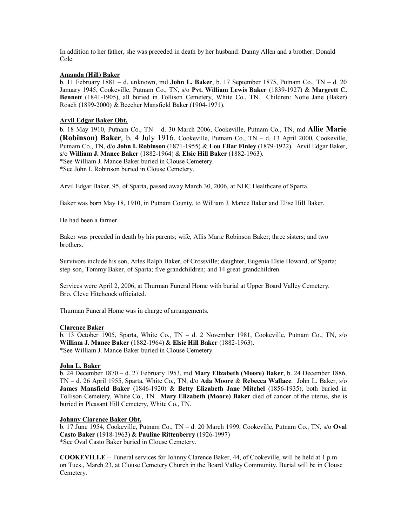In addition to her father, she was preceded in death by her husband: Danny Allen and a brother: Donald Cole.

# **Amanda (Hill) Baker**

b. 11 February 1881 – d. unknown, md **John L. Baker**, b. 17 September 1875, Putnam Co., TN – d. 20 January 1945, Cookeville, Putnam Co., TN, s/o **Pvt. William Lewis Baker** (1839-1927) & **Margrett C. Bennett** (1841-1905), all buried in Tollison Cemetery, White Co., TN. Children: Notie Jane (Baker) Roach (1899-2000) & Beecher Mansfield Baker (1904-1971).

# **Arvil Edgar Baker Obt.**

b. 18 May 1910, Putnam Co., TN – d. 30 March 2006, Cookeville, Putnam Co., TN, md **Allie Marie (Robinson) Baker**, b. 4 July 1916, Cookeville, Putnam Co., TN – d. 13 April 2000, Cookeville, Putnam Co., TN, d/o **John I. Robinson** (1871-1955) & **Lou Ellar Finley** (1879-1922). Arvil Edgar Baker, s/o **William J. Mance Baker** (1882-1964) & **Elsie Hill Baker** (1882-1963).

\*See William J. Mance Baker buried in Clouse Cemetery.

\*See John I. Robinson buried in Clouse Cemetery.

Arvil Edgar Baker, 95, of Sparta, passed away March 30, 2006, at NHC Healthcare of Sparta.

Baker was born May 18, 1910, in Putnam County, to William J. Mance Baker and Elise Hill Baker.

He had been a farmer.

Baker was preceded in death by his parents; wife, Allis Marie Robinson Baker; three sisters; and two brothers.

Survivors include his son, Arles Ralph Baker, of Crossville; daughter, Eugenia Elsie Howard, of Sparta; step-son, Tommy Baker, of Sparta; five grandchildren; and 14 great-grandchildren.

Services were April 2, 2006, at Thurman Funeral Home with burial at Upper Board Valley Cemetery. Bro. Cleve Hitchcock officiated.

Thurman Funeral Home was in charge of arrangements.

### **Clarence Baker**

b. 13 October 1905, Sparta, White Co., TN – d. 2 November 1981, Cookeville, Putnam Co., TN, s/o **William J. Mance Baker** (1882-1964) & **Elsie Hill Baker** (1882-1963). \*See William J. Mance Baker buried in Clouse Cemetery.

### **John L. Baker**

b. 24 December 1870 – d. 27 February 1953, md **Mary Elizabeth (Moore) Baker**, b. 24 December 1886, TN – d. 26 April 1955, Sparta, White Co., TN, d/o **Ada Moore** & **Rebecca Wallace**. John L. Baker, s/o **James Mansfield Baker** (1846-1920) & **Betty Elizabeth Jane Mitchel** (1856-1935), both buried in Tollison Cemetery, White Co., TN. **Mary Elizabeth (Moore) Baker** died of cancer of the uterus, she is buried in Pleasant Hill Cemetery, White Co., TN.

# **Johnny Clarence Baker Obt.**

b. 17 June 1954, Cookeville, Putnam Co., TN – d. 20 March 1999, Cookeville, Putnam Co., TN, s/o **Oval Casto Baker** (1918-1963) & **Pauline Rittenberry** (1926-1997) \*See Oval Casto Baker buried in Clouse Cemetery.

**COOKEVILLE** -- Funeral services for Johnny Clarence Baker, 44, of Cookeville, will be held at 1 p.m. on Tues., March 23, at Clouse Cemetery Church in the Board Valley Community. Burial will be in Clouse Cemetery.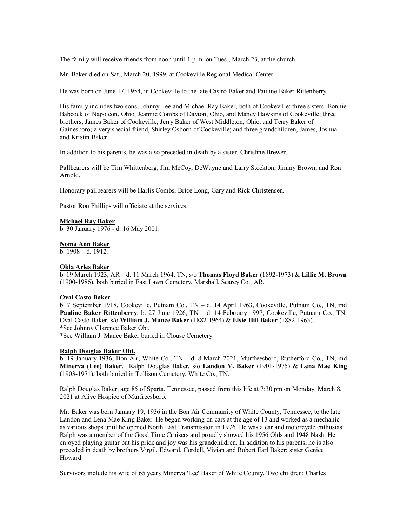The family will receive friends from noon until 1 p.m. on Tues., March 23, at the church.

Mr. Baker died on Sat., March 20, 1999, at Cookeville Regional Medical Center.

He was born on June 17, 1954, in Cookeville to the late Castro Baker and Pauline Baker Rittenberry.

His family includes two sons, Johnny Lee and Michael Ray Baker, both of Cookeville; three sisters, Bonnie Babcock of Napoleon, Ohio, Jeannie Combs of Dayton, Ohio, and Mancy Hawkins of Cookeville; three brothers, James Baker of Cookeville, Jerry Baker of West Middleton, Ohio, and Terry Baker of Gainesboro; a very special friend, Shirley Osborn of Cookeville; and three grandchildren, James, Joshua and Kristin Baker.

In addition to his parents, he was also preceded in death by a sister, Christine Brewer.

Pallbearers will be Tim Whittenberg, Jim McCoy, DeWayne and Larry Stockton, Jimmy Brown, and Ron Arnold.

Honorary pallbearers will be Harlis Combs, Brice Long, Gary and Rick Christensen.

Pastor Ron Phillips will officiate at the services.

# **Michael Ray Baker**

b. 30 January 1976 - d. 16 May 2001.

#### **Noma Ann Baker**

 $b. 1908 - d. 1912.$ 

# **Okla Arles Baker**

b. 19 March 1923, AR – d. 11 March 1964, TN, s/o **Thomas Floyd Baker** (1892-1973) & **Lillie M. Brown** (1900-1986), both buried in East Lawn Cemetery, Marshall, Searcy Co., AR.

#### **Oval Casto Baker**

b. 7 September 1918, Cookeville, Putnam Co., TN – d. 14 April 1963, Cookeville, Putnam Co., TN, md **Pauline Baker Rittenberry**, b. 27 June 1926, TN – d. 14 February 1997, Cookeville, Putnam Co., TN. Oval Casto Baker, s/o **William J. Mance Baker** (1882-1964) & **Elsie Hill Baker** (1882-1963). \*See Johnny Clarence Baker Obt.

\*See William J. Mance Baker buried in Clouse Cemetery.

#### **Ralph Douglas Baker Obt.**

b. 19 January 1936, Bon Air, White Co., TN – d. 8 March 2021, Murfreesboro, Rutherford Co., TN, md **Minerva (Lee) Baker**. Ralph Douglas Baker, s/o **Landon V. Baker** (1901-1975) & **Lena Mae King** (1903-1971), both buried in Tollison Cemetery, White Co., TN.

Ralph Douglas Baker, age 85 of Sparta, Tennessee, passed from this life at 7:30 pm on Monday, March 8, 2021 at Alive Hospice of Murfreesboro.

Mr. Baker was born January 19, 1936 in the Bon Air Community of White County, Tennessee, to the late Landon and Lena Mae King Baker. He began working on cars at the age of 13 and worked as a mechanic as various shops until he opened North East Transmission in 1976. He was a car and motorcycle enthusiast. Ralph was a member of the Good Time Cruisers and proudly showed his 1956 Olds and 1948 Nash. He enjoyed playing guitar but his pride and joy was his grandchildren. In addition to his parents, he is also preceded in death by brothers Virgil, Edward, Cordell, Vivian and Robert Earl Baker; sister Genice Howard.

Survivors include his wife of 65 years Minerva 'Lee' Baker of White County, Two children: Charles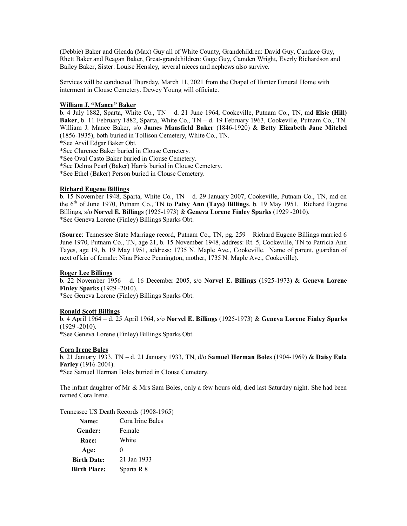(Debbie) Baker and Glenda (Max) Guy all of White County, Grandchildren: David Guy, Candace Guy, Rhett Baker and Reagan Baker, Great-grandchildren: Gage Guy, Camden Wright, Everly Richardson and Bailey Baker, Sister: Louise Hensley, several nieces and nephews also survive.

Services will be conducted Thursday, March 11, 2021 from the Chapel of Hunter Funeral Home with interment in Clouse Cemetery. Dewey Young will officiate.

### **William J. "Mance" Baker**

b. 4 July 1882, Sparta, White Co., TN – d. 21 June 1964, Cookeville, Putnam Co., TN, md **Elsie (Hill) Baker**, b. 11 February 1882, Sparta, White Co., TN – d. 19 February 1963, Cookeville, Putnam Co., TN. William J. Mance Baker, s/o **James Mansfield Baker** (1846-1920) & **Betty Elizabeth Jane Mitchel** (1856-1935), both buried in Tollison Cemetery, White Co., TN.

\*See Arvil Edgar Baker Obt.

\*See Clarence Baker buried in Clouse Cemetery.

\*See Oval Casto Baker buried in Clouse Cemetery.

\*See Delma Pearl (Baker) Harris buried in Clouse Cemetery.

\*See Ethel (Baker) Person buried in Clouse Cemetery.

# **Richard Eugene Billings**

b. 15 November 1948, Sparta, White Co., TN – d. 29 January 2007, Cookeville, Putnam Co., TN, md on the 6th of June 1970, Putnam Co., TN to **Patsy Ann (Tays) Billings**, b. 19 May 1951. Richard Eugene Billings, s/o **Norvel E. Billings** (1925-1973) & **Geneva Lorene Finley Sparks** (1929 -2010). \*See Geneva Lorene (Finley) Billings Sparks Obt.

(**Source**: Tennessee State Marriage record, Putnam Co., TN, pg. 259 – Richard Eugene Billings married 6 June 1970, Putnam Co., TN, age 21, b. 15 November 1948, address: Rt. 5, Cookeville, TN to Patricia Ann Tayes, age 19, b. 19 May 1951, address: 1735 N. Maple Ave., Cookeville. Name of parent, guardian of next of kin of female: Nina Pierce Pennington, mother, 1735 N. Maple Ave., Cookeville).

### **Roger Lee Billings**

b. 22 November 1956 – d. 16 December 2005, s/o **Norvel E. Billings** (1925-1973) & **Geneva Lorene Finley Sparks** (1929 -2010).

\*See Geneva Lorene (Finley) Billings Sparks Obt.

# **Ronald Scott Billings**

b. 4 April 1964 – d. 25 April 1964, s/o **Norvel E. Billings** (1925-1973) & **Geneva Lorene Finley Sparks** (1929 -2010).

\*See Geneva Lorene (Finley) Billings Sparks Obt.

# **Cora Irene Boles**

b. 21 January 1933, TN – d. 21 January 1933, TN, d/o **Samuel Herman Boles** (1904-1969) & **Daisy Eula Farley** (1916-2004).

\*See Samuel Herman Boles buried in Clouse Cemetery.

The infant daughter of Mr & Mrs Sam Boles, only a few hours old, died last Saturday night. She had been named Cora Irene.

Tennessee US Death Records (1908-1965)

| Name:               | Cora Irine Bales |
|---------------------|------------------|
| Gender:             | Female           |
| <b>Race:</b>        | White            |
| Age:                | $\mathbf{0}$     |
| <b>Birth Date:</b>  | 21 Jan 1933      |
| <b>Birth Place:</b> | Sparta R 8       |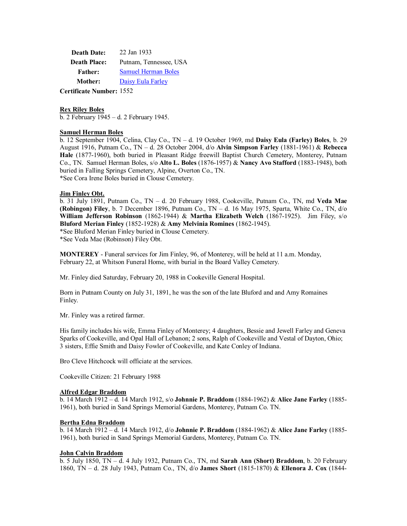**Death Date:** 22 Jan 1933 **Death Place:** Putnam, Tennessee, USA **Father:** Samuel Herman Boles **Mother:** Daisy Eula Farley **Certificate Number:** 1552

# **Rex Riley Boles**

b. 2 February 1945 – d. 2 February 1945.

### **Samuel Herman Boles**

b. 12 September 1904, Celina, Clay Co., TN – d. 19 October 1969, md **Daisy Eula (Farley) Boles**, b. 29 August 1916, Putnam Co., TN – d. 28 October 2004, d/o **Alvin Simpson Farley** (1881-1961) & **Rebecca Hale** (1877-1960), both buried in Pleasant Ridge freewill Baptist Church Cemetery, Monterey, Putnam Co., TN. Samuel Herman Boles, s/o **Alto L. Boles** (1876-1957) & **Nancy Avo Stafford** (1883-1948), both buried in Falling Springs Cemetery, Alpine, Overton Co., TN. \*See Cora Irene Boles buried in Clouse Cemetery.

#### **Jim Finley Obt.**

b. 31 July 1891, Putnam Co., TN – d. 20 February 1988, Cookeville, Putnam Co., TN, md **Veda Mae (Robingon) Filey**, b. 7 December 1896, Putnam Co., TN – d. 16 May 1975, Sparta, White Co., TN, d/o **William Jefferson Robinson** (1862-1944) & **Martha Elizabeth Welch** (1867-1925). Jim Filey, s/o **Bluford Merian Finley** (1852-1928) & **Amy Melvinia Romines** (1862-1945).

\*See Bluford Merian Finley buried in Clouse Cemetery.

\*See Veda Mae (Robinson) Filey Obt.

**MONTEREY** - Funeral services for Jim Finley, 96, of Monterey, will be held at 11 a.m. Monday, February 22, at Whitson Funeral Home, with burial in the Board Valley Cemetery.

Mr. Finley died Saturday, February 20, 1988 in Cookeville General Hospital.

Born in Putnam County on July 31, 1891, he was the son of the late Bluford and and Amy Romaines Finley.

Mr. Finley was a retired farmer.

His family includes his wife, Emma Finley of Monterey; 4 daughters, Bessie and Jewell Farley and Geneva Sparks of Cookeville, and Opal Hall of Lebanon; 2 sons, Ralph of Cookeville and Vestal of Dayton, Ohio; 3 sisters, Effie Smith and Daisy Fowler of Cookeville, and Kate Conley of Indiana.

Bro Cleve Hitchcock will officiate at the services.

Cookeville Citizen: 21 February 1988

#### **Alfred Edgar Braddom**

b. 14 March 1912 – d. 14 March 1912, s/o **Johnnie P. Braddom** (1884-1962) & **Alice Jane Farley** (1885- 1961), both buried in Sand Springs Memorial Gardens, Monterey, Putnam Co. TN.

#### **Bertha Edna Braddom**

b. 14 March 1912 – d. 14 March 1912, d/o **Johnnie P. Braddom** (1884-1962) & **Alice Jane Farley** (1885- 1961), both buried in Sand Springs Memorial Gardens, Monterey, Putnam Co. TN.

### **John Calvin Braddom**

b. 5 July 1850, TN – d. 4 July 1932, Putnam Co., TN, md **Sarah Ann (Short) Braddom**, b. 20 February 1860, TN – d. 28 July 1943, Putnam Co., TN, d/o **James Short** (1815-1870) & **Ellenora J. Cox** (1844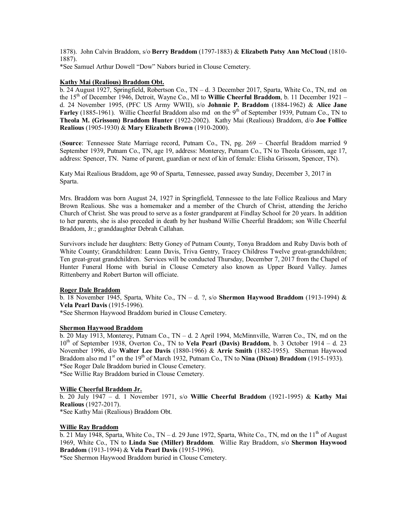1878). John Calvin Braddom, s/o **Berry Braddom** (1797-1883) & **Elizabeth Patsy Ann McCloud** (1810- 1887).

\*See Samuel Arthur Dowell "Dow" Nabors buried in Clouse Cemetery.

# **Kathy Mai (Realious) Braddom Obt.**

b. 24 August 1927, Springfield, Robertson Co., TN – d. 3 December 2017, Sparta, White Co., TN, md on the 15th of December 1946, Detroit, Wayne Co., MI to **Willie Cheerful Braddom**, b. 11 December 1921 – d. 24 November 1995, (PFC US Army WWII), s/o **Johnnie P. Braddom** (1884-1962) & **Alice Jane Farley** (1885-1961). Willie Cheerful Braddom also md on the 9<sup>th</sup> of September 1939, Putnam Co., TN to **Theola M. (Grissom) Braddom Hunter** (1922-2002). Kathy Mai (Realious) Braddom, d/o **Joe Follice Realious** (1905-1930) & **Mary Elizabeth Brown** (1910-2000).

(**Source**: Tennessee State Marriage record, Putnam Co., TN, pg. 269 – Cheerful Braddom married 9 September 1939, Putnam Co., TN, age 19, address: Monterey, Putnam Co., TN to Theola Grissom, age 17, address: Spencer, TN. Name of parent, guardian or next of kin of female: Elisha Grissom, Spencer, TN).

Katy Mai Realious Braddom, age 90 of Sparta, Tennessee, passed away Sunday, December 3, 2017 in Sparta.

Mrs. Braddom was born August 24, 1927 in Springfield, Tennessee to the late Follice Realious and Mary Brown Realious. She was a homemaker and a member of the Church of Christ, attending the Jericho Church of Christ. She was proud to serve as a foster grandparent at Findlay School for 20 years. In addition to her parents, she is also preceded in death by her husband Willie Cheerful Braddom; son Wille Cheerful Braddom, Jr.; granddaughter Debrah Callahan.

Survivors include her daughters: Betty Goney of Putnam County, Tonya Braddom and Ruby Davis both of White County; Grandchildren: Leann Davis, Triva Gentry, Tracey Childress Twelve great-grandchildren; Ten great-great grandchildren. Services will be conducted Thursday, December 7, 2017 from the Chapel of Hunter Funeral Home with burial in Clouse Cemetery also known as Upper Board Valley. James Rittenberry and Robert Burton will officiate.

### **Roger Dale Braddom**

b. 18 November 1945, Sparta, White Co., TN – d. ?, s/o **Shermon Haywood Braddom** (1913-1994) & **Vela Pearl Davis** (1915-1996).

\*See Shermon Haywood Braddom buried in Clouse Cemetery.

# **Shermon Haywood Braddom**

b. 20 May 1913, Monterey, Putnam Co., TN – d. 2 April 1994, McMinnville, Warren Co., TN, md on the 10th of September 1938, Overton Co., TN to **Vela Pearl (Davis) Braddom**, b. 3 October 1914 – d. 23 November 1996, d/o **Walter Lee Davis** (1880-1966) & **Arrie Smith** (1882-1955). Sherman Haywood Braddom also md 1<sup>st</sup> on the 19<sup>th</sup> of March 1932, Putnam Co., TN to **Nina (Dixon) Braddom** (1915-1933). \*See Roger Dale Braddom buried in Clouse Cemetery.

\*See Willie Ray Braddom buried in Clouse Cemetery.

### **Willie Cheerful Braddom Jr.**

b. 20 July 1947 – d. 1 November 1971, s/o **Willie Cheerful Braddom** (1921-1995) & **Kathy Mai Realious** (1927-2017).

\*See Kathy Mai (Realious) Braddom Obt.

### **Willie Ray Braddom**

 $\overline{b}$ . 21 May 1948, Sparta, White Co., TN – d. 29 June 1972, Sparta, White Co., TN, md on the 11<sup>th</sup> of August 1969, White Co., TN to **Linda Sue (Miller) Braddom**. Willie Ray Braddom, s/o **Shermon Haywood Braddom** (1913-1994) & **Vela Pearl Davis** (1915-1996).

\*See Shermon Haywood Braddom buried in Clouse Cemetery.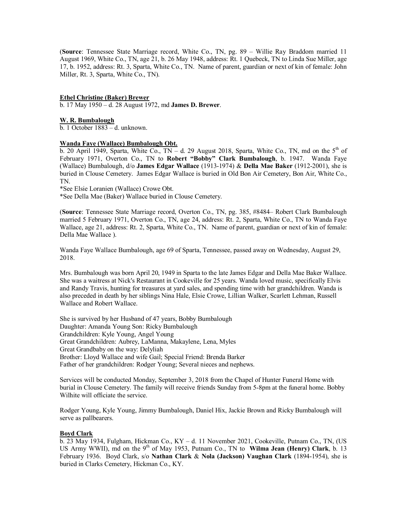(**Source**: Tennessee State Marriage record, White Co., TN, pg. 89 – Willie Ray Braddom married 11 August 1969, White Co., TN, age 21, b. 26 May 1948, address: Rt. 1 Quebeck, TN to Linda Sue Miller, age 17, b. 1952, address: Rt. 3, Sparta, White Co., TN. Name of parent, guardian or next of kin of female: John Miller, Rt. 3, Sparta, White Co., TN).

# **Ethel Christine (Baker) Brewer**

b. 17 May 1950 – d. 28 August 1972, md **James D. Brewer**.

### **W. R. Bumbalough**

b. 1 October 1883 – d. unknown.

### **Wanda Faye (Wallace) Bumbalough Obt.**

b. 20 April 1949, Sparta, White Co.,  $TN - d$ . 29 August 2018, Sparta, White Co., TN, md on the  $5<sup>th</sup>$  of February 1971, Overton Co., TN to **Robert "Bobby" Clark Bumbalough**, b. 1947. Wanda Faye (Wallace) Bumbalough, d/o **James Edgar Wallace** (1913-1974) & **Della Mae Baker** (1912-2001), she is buried in Clouse Cemetery. James Edgar Wallace is buried in Old Bon Air Cemetery, Bon Air, White Co., TN.

\*See Elsie Loranien (Wallace) Crowe Obt.

\*See Della Mae (Baker) Wallace buried in Clouse Cemetery.

(**Source**: Tennessee State Marriage record, Overton Co., TN, pg. 385, #8484– Robert Clark Bumbalough married 5 February 1971, Overton Co., TN, age 24, address: Rt. 2, Sparta, White Co., TN to Wanda Faye Wallace, age 21, address: Rt. 2, Sparta, White Co., TN. Name of parent, guardian or next of kin of female: Della Mae Wallace ).

Wanda Faye Wallace Bumbalough, age 69 of Sparta, Tennessee, passed away on Wednesday, August 29, 2018.

Mrs. Bumbalough was born April 20, 1949 in Sparta to the late James Edgar and Della Mae Baker Wallace. She was a waitress at Nick's Restaurant in Cookeville for 25 years. Wanda loved music, specifically Elvis and Randy Travis, hunting for treasures at yard sales, and spending time with her grandchildren. Wanda is also preceded in death by her siblings Nina Hale, Elsie Crowe, Lillian Walker, Scarlett Lehman, Russell Wallace and Robert Wallace.

She is survived by her Husband of 47 years, Bobby Bumbalough Daughter: Amanda Young Son: Ricky Bumbalough Grandchildren: Kyle Young, Angel Young Great Grandchildren: Aubrey, LaManna, Makaylene, Lena, Myles Great Grandbaby on the way: Delyliah Brother: Lloyd Wallace and wife Gail; Special Friend: Brenda Barker Father of her grandchildren: Rodger Young; Several nieces and nephews.

Services will be conducted Monday, September 3, 2018 from the Chapel of Hunter Funeral Home with burial in Clouse Cemetery. The family will receive friends Sunday from 5-8pm at the funeral home. Bobby Wilhite will officiate the service.

Rodger Young, Kyle Young, Jimmy Bumbalough, Daniel Hix, Jackie Brown and Ricky Bumbalough will serve as pallbearers.

### **Boyd Clark**

b. 23 May 1934, Fulgham, Hickman Co., KY – d. 11 November 2021, Cookeville, Putnam Co., TN, (US US Army WWII), md on the 9<sup>th</sup> of May 1953, Putnam Co., TN to **Wilma Jean (Henry) Clark**, b. 13 February 1936. Boyd Clark, s/o **Nathan Clark** & **Nola (Jackson) Vaughan Clark** (1894-1954), she is buried in Clarks Cemetery, Hickman Co., KY.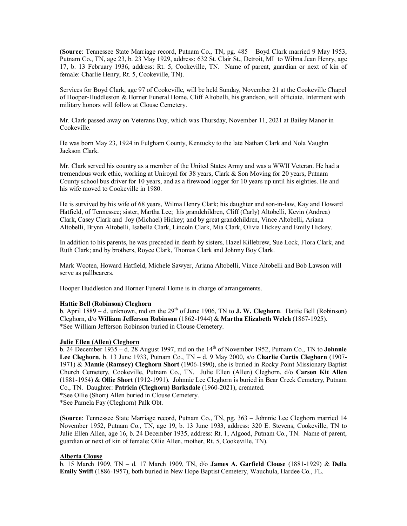(**Source**: Tennessee State Marriage record, Putnam Co., TN, pg. 485 – Boyd Clark married 9 May 1953, Putnam Co., TN, age 23, b. 23 May 1929, address: 632 St. Clair St., Detroit, MI to Wilma Jean Henry, age 17, b. 13 February 1936, address: Rt. 5, Cookeville, TN. Name of parent, guardian or next of kin of female: Charlie Henry, Rt. 5, Cookeville, TN).

Services for Boyd Clark, age 97 of Cookeville, will be held Sunday, November 21 at the Cookeville Chapel of Hooper-Huddleston & Horner Funeral Home. Cliff Altobelli, his grandson, will officiate. Interment with military honors will follow at Clouse Cemetery.

Mr. Clark passed away on Veterans Day, which was Thursday, November 11, 2021 at Bailey Manor in Cookeville.

He was born May 23, 1924 in Fulgham County, Kentucky to the late Nathan Clark and Nola Vaughn Jackson Clark.

Mr. Clark served his country as a member of the United States Army and was a WWII Veteran. He had a tremendous work ethic, working at Uniroyal for 38 years, Clark & Son Moving for 20 years, Putnam County school bus driver for 10 years, and as a firewood logger for 10 years up until his eighties. He and his wife moved to Cookeville in 1980.

He is survived by his wife of 68 years, Wilma Henry Clark; his daughter and son-in-law, Kay and Howard Hatfield, of Tennessee; sister, Martha Lee; his grandchildren, Cliff (Carly) Altobelli, Kevin (Andrea) Clark, Casey Clark and Joy (Michael) Hickey; and by great grandchildren, Vince Altobelli, Ariana Altobelli, Brynn Altobelli, Isabella Clark, Lincoln Clark, Mia Clark, Olivia Hickey and Emily Hickey.

In addition to his parents, he was preceded in death by sisters, Hazel Killebrew, Sue Lock, Flora Clark, and Ruth Clark; and by brothers, Royce Clark, Thomas Clark and Johnny Boy Clark.

Mark Wooten, Howard Hatfield, Michele Sawyer, Ariana Altobelli, Vince Altobelli and Bob Lawson will serve as pallbearers.

Hooper Huddleston and Horner Funeral Home is in charge of arrangements.

### **Hattie Bell (Robinson) Cleghorn**

b. April 1889 – d. unknown, md on the 29th of June 1906, TN to **J. W. Cleghorn**. Hattie Bell (Robinson) Cleghorn, d/o **William Jefferson Robinson** (1862-1944) & **Martha Elizabeth Welch** (1867-1925). \*See William Jefferson Robinson buried in Clouse Cemetery.

### **Julie Ellen (Allen) Cleghorn**

 $\overline{b}$ . 24 December 1935 – d. 28 August 1997, md on the 14<sup>th</sup> of November 1952, Putnam Co., TN to **Johnnie Lee Cleghorn**, b. 13 June 1933, Putnam Co., TN – d. 9 May 2000, s/o **Charlie Curtis Cleghorn** (1907- 1971) & **Mamie (Ramsey) Cleghorn Short** (1906-1990), she is buried in Rocky Point Missionary Baptist Church Cemetery, Cookeville, Putnam Co., TN. Julie Ellen (Allen) Cleghorn, d/o **Carson Kit Allen** (1881-1954) & **Ollie Short** (1912-1991). Johnnie Lee Cleghorn is buried in Bear Creek Cemetery, Putnam Co., TN. Daughter: **Patricia (Cleghorn) Barksdale** (1960-2021), cremated.

\*See Ollie (Short) Allen buried in Clouse Cemetery.

\*See Pamela Fay (Cleghorn) Palk Obt.

(**Source**: Tennessee State Marriage record, Putnam Co., TN, pg. 363 – Johnnie Lee Cleghorn married 14 November 1952, Putnam Co., TN, age 19, b. 13 June 1933, address: 320 E. Stevens, Cookeville, TN to Julie Ellen Allen, age 16, b. 24 December 1935, address: Rt. 1, Algood, Putnam Co., TN. Name of parent, guardian or next of kin of female: Ollie Allen, mother, Rt. 5, Cookeville, TN).

### **Alberta Clouse**

b. 15 March 1909, TN – d. 17 March 1909, TN, d/o **James A. Garfield Clouse** (1881-1929) & **Della Emily Swift** (1886-1957), both buried in New Hope Baptist Cemetery, Wauchula, Hardee Co., FL.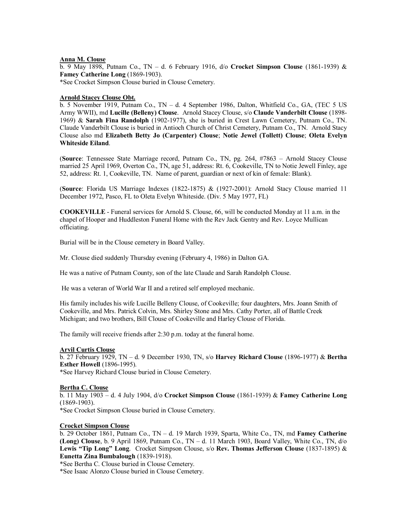# **Anna M. Clouse**

b. 9 May 1898, Putnam Co., TN – d. 6 February 1916, d/o **Crocket Simpson Clouse** (1861-1939) & **Famey Catherine Long** (1869-1903). \*See Crocket Simpson Clouse buried in Clouse Cemetery.

# **Arnold Stacey Clouse Obt.**

b. 5 November 1919, Putnam Co., TN – d. 4 September 1986, Dalton, Whitfield Co., GA, (TEC 5 US Army WWII), md **Lucille (Belleny) Clouse**. Arnold Stacey Clouse, s/o **Claude Vanderbilt Clouse** (1898- 1969) & **Sarah Fina Randolph** (1902-1977), she is buried in Crest Lawn Cemetery, Putnam Co., TN. Claude Vanderbilt Clouse is buried in Antioch Church of Christ Cemetery, Putnam Co., TN. Arnold Stacy Clouse also md **Elizabeth Betty Jo (Carpenter) Clouse**; **Notie Jewel (Tollett) Clouse**; **Oleta Evelyn Whiteside Eiland**.

(**Source**: Tennessee State Marriage record, Putnam Co., TN, pg. 264, #7863 – Arnold Stacey Clouse married 25 April 1969, Overton Co., TN, age 51, address: Rt. 6, Cookeville, TN to Notie Jewell Finley, age 52, address: Rt. 1, Cookeville, TN. Name of parent, guardian or next of kin of female: Blank).

(**Source**: Florida US Marriage Indexes (1822-1875) & (1927-2001): Arnold Stacy Clouse married 11 December 1972, Pasco, FL to Oleta Evelyn Whiteside. (Div. 5 May 1977, FL)

**COOKEVILLE** - Funeral services for Arnold S. Clouse, 66, will be conducted Monday at 11 a.m. in the chapel of Hooper and Huddleston Funeral Home with the Rev Jack Gentry and Rev. Loyce Mullican officiating.

Burial will be in the Clouse cemetery in Board Valley.

Mr. Clouse died suddenly Thursday evening (February 4, 1986) in Dalton GA.

He was a native of Putnam County, son of the late Claude and Sarah Randolph Clouse.

He was a veteran of World War II and a retired self employed mechanic.

His family includes his wife Lucille Belleny Clouse, of Cookeville; four daughters, Mrs. Joann Smith of Cookeville, and Mrs. Patrick Colvin, Mrs. Shirley Stone and Mrs. Cathy Porter, all of Battle Creek Michigan; and two brothers, Bill Clouse of Cookeville and Harley Clouse of Florida.

The family will receive friends after 2:30 p.m. today at the funeral home.

#### **Arvil Curtis Clouse**

b. 27 February 1929, TN – d. 9 December 1930, TN, s/o **Harvey Richard Clouse** (1896-1977) & **Bertha Esther Howell** (1896-1995). \*See Harvey Richard Clouse buried in Clouse Cemetery.

# **Bertha C. Clouse**

b. 11 May 1903 – d. 4 July 1904, d/o **Crocket Simpson Clouse** (1861-1939) & **Famey Catherine Long** (1869-1903).

\*See Crocket Simpson Clouse buried in Clouse Cemetery.

### **Crocket Simpson Clouse**

b. 29 October 1861, Putnam Co., TN – d. 19 March 1939, Sparta, White Co., TN, md **Famey Catherine (Long) Clouse**, b. 9 April 1869, Putnam Co., TN – d. 11 March 1903, Board Valley, White Co., TN, d/o **Lewis "Tip Long" Long**. Crocket Simpson Clouse, s/o **Rev. Thomas Jefferson Clouse** (1837-1895) & **Eunetta Zina Bumbalough** (1839-1918).

\*See Bertha C. Clouse buried in Clouse Cemetery.

\*See Isaac Alonzo Clouse buried in Clouse Cemetery.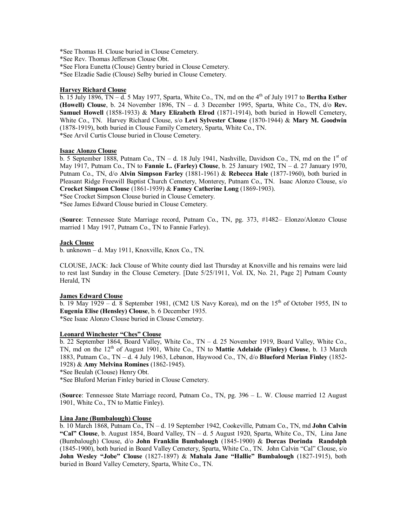\*See Thomas H. Clouse buried in Clouse Cemetery.

\*See Rev. Thomas Jefferson Clouse Obt.

\*See Flora Eunetta (Clouse) Gentry buried in Clouse Cemetery.

\*See Elzadie Sadie (Clouse) Selby buried in Clouse Cemetery.

#### **Harvey Richard Clouse**

 $\overline{b}$ . 15 July 1896, TN – d. 5 May 1977, Sparta, White Co., TN, md on the 4<sup>th</sup> of July 1917 to **Bertha Esther (Howell) Clouse**, b. 24 November 1896, TN – d. 3 December 1995, Sparta, White Co., TN, d/o **Rev. Samuel Howell** (1858-1933) & **Mary Elizabeth Elrod** (1871-1914), both buried in Howell Cemetery, White Co., TN. Harvey Richard Clouse, s/o **Levi Sylvester Clouse** (1870-1944) & **Mary M. Goodwin** (1878-1919), both buried in Clouse Family Cemetery, Sparta, White Co., TN. \*See Arvil Curtis Clouse buried in Clouse Cemetery.

#### **Isaac Alonzo Clouse**

b. 5 September 1888, Putnam Co., TN – d. 18 July 1941, Nashville, Davidson Co., TN, md on the  $1<sup>st</sup>$  of May 1917, Putnam Co., TN to **Fannie L. (Farley) Clouse**, b. 25 January 1902, TN – d. 27 January 1970, Putnam Co., TN, d/o **Alvin Simpson Farley** (1881-1961) & **Rebecca Hale** (1877-1960), both buried in Pleasant Ridge Freewill Baptist Church Cemetery, Monterey, Putnam Co., TN. Isaac Alonzo Clouse, s/o **Crocket Simpson Clouse** (1861-1939) & **Famey Catherine Long** (1869-1903).

\*See Crocket Simpson Clouse buried in Clouse Cemetery.

\*See James Edward Clouse buried in Clouse Cemetery.

(**Source**: Tennessee State Marriage record, Putnam Co., TN, pg. 373, #1482– Elonzo/Alonzo Clouse married 1 May 1917, Putnam Co., TN to Fannie Farley).

#### **Jack Clouse**

b. unknown – d. May 1911, Knoxville, Knox Co., TN.

CLOUSE, JACK: Jack Clouse of White county died last Thursday at Knoxville and his remains were laid to rest last Sunday in the Clouse Cemetery. [Date 5/25/1911, Vol. IX, No. 21, Page 2] Putnam County Herald, TN

# **James Edward Clouse**

b. 19 May 1929 – d. 8 September 1981, (CM2 US Navy Korea), md on the  $15<sup>th</sup>$  of October 1955, IN to **Eugenia Elise (Hensley) Clouse**, b. 6 December 1935. \*See Isaac Alonzo Clouse buried in Clouse Cemetery.

#### **Leonard Winchester "Ches" Clouse**

b. 22 September 1864, Board Valley, White Co., TN – d. 25 November 1919, Board Valley, White Co., TN, md on the 12<sup>th</sup> of August 1901, White Co., TN to **Mattie Adelaide (Finley) Clouse**, b. 13 March 1883, Putnam Co., TN – d. 4 July 1963, Lebanon, Haywood Co., TN, d/o **Blueford Merian Finley** (1852- 1928) & **Amy Melvina Romines** (1862-1945).

\*See Beulah (Clouse) Henry Obt.

\*See Bluford Merian Finley buried in Clouse Cemetery.

(**Source**: Tennessee State Marriage record, Putnam Co., TN, pg. 396 – L. W. Clouse married 12 August 1901, White Co., TN to Mattie Finley).

### **Lina Jane (Bumbalough) Clouse**

b. 10 March 1868, Putnam Co., TN – d. 19 September 1942, Cookeville, Putnam Co., TN, md **John Calvin "Cal" Clouse**, b. August 1854, Board Valley, TN – d. 5 August 1920, Sparta, White Co., TN, Lina Jane (Bumbalough) Clouse, d/o **John Franklin Bumbalough** (1845-1900) & **Dorcas Dorinda Randolph** (1845-1900), both buried in Board Valley Cemetery, Sparta, White Co., TN. John Calvin "Cal" Clouse, s/o **John Wesley "Jobe" Clouse** (1827-1897) & **Mahala Jane "Hallie" Bumbalough** (1827-1915), both buried in Board Valley Cemetery, Sparta, White Co., TN.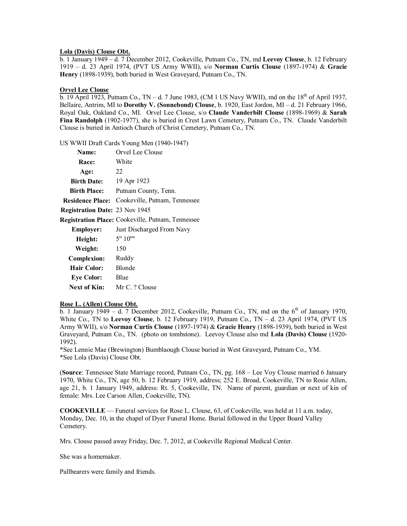### **Lola (Davis) Clouse Obt.**

b. 1 January 1949 – d. 7 December 2012, Cookeville, Putnam Co., TN, md **Leevoy Clouse**, b. 12 February 1919 – d. 23 April 1974, (PVT US Army WWII), s/o **Norman Curtis Clouse** (1897-1974) & **Gracie Henry** (1898-1939), both buried in West Graveyard, Putnam Co., TN.

### **Orvel Lee Clouse**

 $\overline{b}$ . 19 April 1923, Putnam Co., TN – d. 7 June 1983, (CM 1 US Navy WWII), md on the 18<sup>th</sup> of April 1937, Bellaire, Antrim, MI to **Dorothy V. (Sonnebond) Clouse**, b. 1920, East Jordon, MI – d. 21 February 1966, Royal Oak, Oakland Co., MI. Orvel Lee Clouse, s/o **Claude Vanderbilt Clouse** (1898-1969) & **Sarah Fina Randolph** (1902-1977), she is buried in Crest Lawn Cemetery, Putnam Co., TN. Claude Vanderbilt Clouse is buried in Antioch Church of Christ Cemetery, Putnam Co., TN.

US WWII Draft Cards Young Men (1940-1947)

| Orvel Lee Clouse                                         |
|----------------------------------------------------------|
| White                                                    |
| 22                                                       |
| 19 Apr 1923                                              |
| Putnam County, Tenn.                                     |
| Cookeville, Putnam, Tennessee<br><b>Residence Place:</b> |
| <b>Registration Date: 23 Nov 1945</b>                    |
| <b>Registration Place:</b> Cookeville, Putnam, Tennessee |
| Just Discharged From Navy                                |
| 5"10"                                                    |
| 150                                                      |
| Ruddy                                                    |
| <b>Blonde</b>                                            |
| Blue                                                     |
| Next of Kin:<br>Mr C. ? Clouse                           |
|                                                          |

### **Rose L. (Allen) Clouse Obt.**

b. 1 January 1949 – d. 7 December 2012, Cookeville, Putnam Co., TN, md on the  $6<sup>th</sup>$  of January 1970, White Co., TN to **Leevoy Clouse**, b. 12 February 1919, Putnam Co., TN – d. 23 April 1974, (PVT US Army WWII), s/o **Norman Curtis Clouse** (1897-1974) & **Gracie Henry** (1898-1939), both buried in West Graveyard, Putnam Co., TN. (photo on tombstone). Leevoy Clouse also md **Lola (Davis) Clouse** (1920- 1992).

\*See Lennie Mae (Brewington) Bumblaough Clouse buried in West Graveyard, Putnam Co., YM. \*See Lola (Davis) Clouse Obt.

(**Source**: Tennessee State Marriage record, Putnam Co., TN, pg. 168 – Lee Voy Clouse married 6 January 1970, White Co., TN, age 50, b. 12 February 1919, address; 252 E. Broad, Cookeville, TN to Rosie Allen, age 21, b. 1 January 1949, address: Rt. 5, Cookeville, TN. Name of parent, guardian or next of kin of female: Mrs. Lee Carson Allen, Cookeville, TN).

**COOKEVILLE** — Funeral services for Rose L. Clouse, 63, of Cookeville, was held at 11 a.m. today, Monday, Dec. 10, in the chapel of Dyer Funeral Home. Burial followed in the Upper Board Valley Cemetery.

Mrs. Clouse passed away Friday, Dec. 7, 2012, at Cookeville Regional Medical Center.

She was a homemaker.

Pallbearers were family and friends.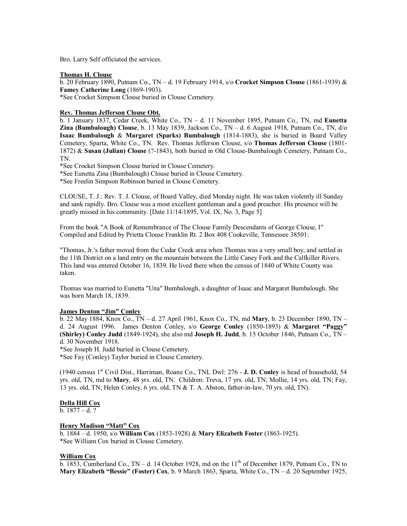Bro. Larry Self officiated the services.

#### **Thomas H. Clouse**

b. 20 February 1890, Putnam Co., TN – d. 19 February 1914, s/o **Crocket Simpson Clouse** (1861-1939) & **Famey Catherine Long** (1869-1903).

\*See Crocket Simpson Clouse buried in Clouse Cemetery.

### **Rev. Thomas Jefferson Clouse Obt.**

b. 1 January 1837, Cedar Creek, White Co., TN – d. 11 November 1895, Putnam Co., TN, md **Eunetta Zina (Bumbalough) Clouse**, b. 13 May 1839, Jackson Co., TN – d. 6 August 1918, Putnam Co., TN, d/o **Isaac Bumbalough** & **Margaret (Sparks) Bumbalough** (1814-1883), she is buried in Board Valley Cemetery, Sparta, White Co., TN. Rev. Thomas Jefferson Clouse, s/o **Thomas Jefferson Clouse** (1801- 1872) & **Susan (Julian) Clouse** (?-1843), both buried in Old Clouse-Bumbalough Cemetery, Putnam Co., TN.

\*See Crocket Simpson Clouse buried in Clouse Cemetery.

\*See Eunetta Zina (Bumbalough) Clouse buried in Clouse Cemetery.

\*See Freelin Simpson Robinson buried in Clouse Cemetery.

CLOUSE, T. J.: Rev. T. J. Clouse, of Board Valley, died Monday night. He was taken violently ill Sunday and sank rapidly. Bro. Clouse was a most excellent gentleman and a good preacher. His presence will be greatly missed in his community. [Date 11/14/1895, Vol. IX, No. 3, Page 5]

From the book "A Book of Remembrance of The Clouse Family Descendants of George Clouse, I" Compiled and Edited by Prietta Clouse Franklin Rt. 2 Box 408 Cookeville, Tennessee 38501:

"Thomas, Jr.'s father moved from the Cedar Creek area when Thomas was a very small boy, and settled in the 11th District on a land entry on the mountain between the Little Caney Fork and the Calfkiller Rivers. This land was entered October 16, 1839. He lived there when the census of 1840 of White County was taken.

Thomas was married to Eunetta "Una" Bumbalough, a daughter of Isaac and Margaret Bumbalough. She was born March 18, 1839.

# **James Denton "Jim" Conley**

b. 22 May 1884, Knox Co., TN – d. 27 April 1961, Knox Co., TN, md **Mary**, b. 23 December 1890, TN – d. 24 August 1996. James Denton Conley, s/o **George Conley** (1850-1893) & **Margaret "Paggy" (Shirley) Conley Judd** (1849-1924), she also md **Joseph H. Judd**, b. 15 October 1846, Putnam Co., TN – d. 30 November 1918.

\*See Joseph H. Judd buried in Clouse Cemetery.

\*See Fay (Conley) Taylor buried in Clouse Cemetery.

(1940 census 1st Civil Dist., Harriman, Roane Co., TNL Dwl: 276 - **J. D. Conley** is head of household, 54 yrs. old, TN, md to **Mary**, 48 yrs. old, TN. Children: Treva, 17 yrs. old, TN; Mollie, 14 yrs. old, TN; Fay, 13 yrs. old, TN; Helen Conley, 6 yrs. old, TN & T. A. Abston, father-in-law, 70 yrs. old, TN).

#### **Della Hill Cox**

 $b. 1877 - d. ?$ 

### **Henry Madison "Matt" Cox**

b. 1884 – d. 1950, s/o **William Cox** (1853-1928) & **Mary Elizabeth Foster** (1863-1925). \*See William Cox buried in Clouse Cemetery.

### **William Cox**

 $\overline{b}$ . 1853, Cumberland Co., TN – d. 14 October 1928, md on the 11<sup>th</sup> of December 1879, Putnam Co., TN to **Mary Elizabeth "Bessie" (Foster) Cox**, b. 9 March 1863, Sparta, White Co., TN – d. 20 September 1925,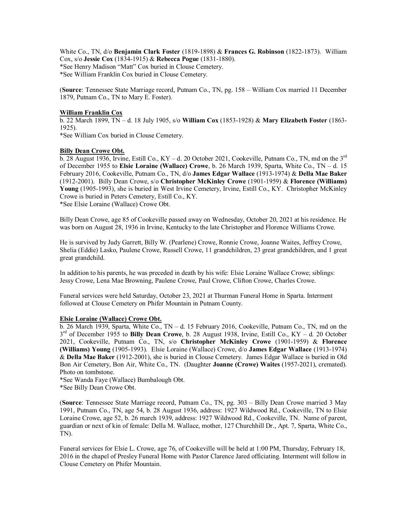White Co., TN, d/o **Benjamin Clark Foster** (1819-1898) & **Frances G. Robinson** (1822-1873). William Cox, s/o **Jessie Cox** (1834-1915) & **Rebecca Pogue** (1831-1880). \*See Henry Madison "Matt" Cox buried in Clouse Cemetery. \*See William Franklin Cox buried in Clouse Cemetery.

(**Source**: Tennessee State Marriage record, Putnam Co., TN, pg. 158 – William Cox married 11 December 1879, Putnam Co., TN to Mary E. Foster).

### **William Franklin Cox**

b. 22 March 1899, TN – d. 18 July 1905, s/o **William Cox** (1853-1928) & **Mary Elizabeth Foster** (1863- 1925).

\*See William Cox buried in Clouse Cemetery.

#### **Billy Dean Crowe Obt.**

b. 28 August 1936, Irvine, Estill Co.,  $KY - d$ . 20 October 2021, Cookeville, Putnam Co., TN, md on the  $3<sup>rd</sup>$ of December 1955 to **Elsie Loraine (Wallace) Crowe**, b. 26 March 1939, Sparta, White Co., TN – d. 15 February 2016, Cookeville, Putnam Co., TN, d/o **James Edgar Wallace** (1913-1974) & **Della Mae Baker** (1912-2001). Billy Dean Crowe, s/o **Christopher McKinley Crowe** (1901-1959) & **Florence (Williams) Young** (1905-1993), she is buried in West Irvine Cemetery, Irvine, Estill Co., KY. Christopher McKinley Crowe is buried in Peters Cemetery, Estill Co., KY. \*See Elsie Loraine (Wallace) Crowe Obt.

Billy Dean Crowe, age 85 of Cookeville passed away on Wednesday, October 20, 2021 at his residence. He was born on August 28, 1936 in Irvine, Kentucky to the late Christopher and Florence Williams Crowe.

He is survived by Judy Garrett, Billy W. (Pearlene) Crowe, Ronnie Crowe, Joanne Waites, Jeffrey Crowe, Shelia (Eddie) Lasko, Paulene Crowe, Russell Crowe, 11 grandchildren, 23 great grandchildren, and 1 great great grandchild.

In addition to his parents, he was preceded in death by his wife: Elsie Loraine Wallace Crowe; siblings: Jessy Crowe, Lena Mae Browning, Paulene Crowe, Paul Crowe, Clifton Crowe, Charles Crowe.

Funeral services were held Saturday, October 23, 2021 at Thurman Funeral Home in Sparta. Interment followed at Clouse Cemetery on Phifer Mountain in Putnam County.

#### **Elsie Loraine (Wallace) Crowe Obt.**

b. 26 March 1939, Sparta, White Co., TN – d. 15 February 2016, Cookeville, Putnam Co., TN, md on the 3 rd of December 1955 to **Billy Dean Crowe**, b. 28 August 1938, Irvine, Estill Co., KY – d. 20 October 2021, Cookeville, Putnam Co., TN, s/o **Christopher McKinley Crowe** (1901-1959) & **Florence (Williams) Young** (1905-1993). Elsie Loraine (Wallace) Crowe, d/o **James Edgar Wallace** (1913-1974) & **Della Mae Baker** (1912-2001), she is buried in Clouse Cemetery. James Edgar Wallace is buried in Old Bon Air Cemetery, Bon Air, White Co., TN. (Daughter **Joanne (Crowe) Waites** (1957-2021), cremated). Photo on tombstone.

\*See Wanda Faye (Wallace) Bumbalough Obt.

\*See Billy Dean Crowe Obt.

(**Source**: Tennessee State Marriage record, Putnam Co., TN, pg. 303 – Billy Dean Crowe married 3 May 1991, Putnam Co., TN, age 54, b. 28 August 1936, address: 1927 Wildwood Rd., Cookeville, TN to Elsie Loraine Crowe, age 52, b. 26 march 1939, address: 1927 Wildwood Rd., Cookeville, TN. Name of parent, guardian or next of kin of female: Della M. Wallace, mother, 127 Churchhill Dr., Apt. 7, Sparta, White Co., TN).

Funeral services for Elsie L. Crowe, age 76, of Cookeville will be held at 1:00 PM, Thursday, February 18, 2016 in the chapel of Presley Funeral Home with Pastor Clarence Jared officiating. Interment will follow in Clouse Cemetery on Phifer Mountain.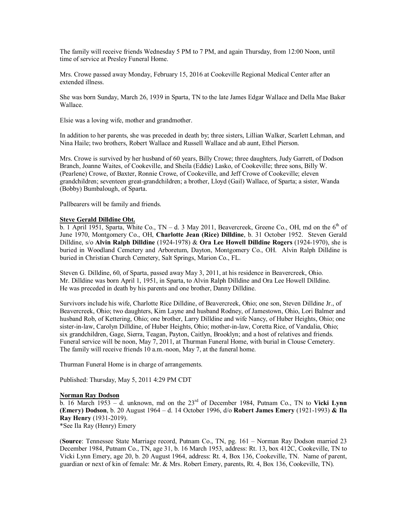The family will receive friends Wednesday 5 PM to 7 PM, and again Thursday, from 12:00 Noon, until time of service at Presley Funeral Home.

Mrs. Crowe passed away Monday, February 15, 2016 at Cookeville Regional Medical Center after an extended illness.

She was born Sunday, March 26, 1939 in Sparta, TN to the late James Edgar Wallace and Della Mae Baker Wallace.

Elsie was a loving wife, mother and grandmother.

In addition to her parents, she was preceded in death by; three sisters, Lillian Walker, Scarlett Lehman, and Nina Haile; two brothers, Robert Wallace and Russell Wallace and ab aunt, Ethel Pierson.

Mrs. Crowe is survived by her husband of 60 years, Billy Crowe; three daughters, Judy Garrett, of Dodson Branch, Joanne Waites, of Cookeville, and Sheila (Eddie) Lasko, of Cookeville; three sons, Billy W. (Pearlene) Crowe, of Baxter, Ronnie Crowe, of Cookeville, and Jeff Crowe of Cookeville; eleven grandchildren; seventeen great-grandchildren; a brother, Lloyd (Gail) Wallace, of Sparta; a sister, Wanda (Bobby) Bumbalough, of Sparta.

Pallbearers will be family and friends.

# **Steve Gerald Dilldine Obt.**

b. 1 April 1951, Sparta, White Co., TN – d. 3 May 2011, Beavercreek, Greene Co., OH, md on the  $6<sup>th</sup>$  of June 1970, Montgomery Co., OH, **Charlotte Jean (Rice) Dilldine**, b. 31 October 1952. Steven Gerald Dilldine, s/o **Alvin Ralph Dilldine** (1924-1978) & **Ora Lee Howell Dilldine Rogers** (1924-1970), she is buried in Woodland Cemetery and Arboretum, Dayton, Montgomery Co., OH. Alvin Ralph Dilldine is buried in Christian Church Cemetery, Salt Springs, Marion Co., FL.

Steven G. Dilldine, 60, of Sparta, passed away May 3, 2011, at his residence in Beavercreek, Ohio. Mr. Dilldine was born April 1, 1951, in Sparta, to Alvin Ralph Dilldine and Ora Lee Howell Dilldine. He was preceded in death by his parents and one brother, Danny Dilldine.

Survivors include his wife, Charlotte Rice Dilldine, of Beavercreek, Ohio; one son, Steven Dilldine Jr., of Beavercreek, Ohio; two daughters, Kim Layne and husband Rodney, of Jamestown, Ohio, Lori Balmer and husband Rob, of Kettering, Ohio; one brother, Larry Dilldine and wife Nancy, of Huber Heights, Ohio; one sister-in-law, Carolyn Dilldine, of Huber Heights, Ohio; mother-in-law, Coretta Rice, of Vandalia, Ohio; six grandchildren, Gage, Sierra, Teagan, Payton, Caitlyn, Brooklyn; and a host of relatives and friends. Funeral service will be noon, May 7, 2011, at Thurman Funeral Home, with burial in Clouse Cemetery. The family will receive friends 10 a.m.-noon, May 7, at the funeral home.

Thurman Funeral Home is in charge of arrangements.

Published: Thursday, May 5, 2011 4:29 PM CDT

### **Norman Ray Dodson**

b. 16 March 1953 – d. unknown, md on the 23rd of December 1984, Putnam Co., TN to **Vicki Lynn (Emery) Dodson**, b. 20 August 1964 – d. 14 October 1996, d/o **Robert James Emery** (1921-1993) **& Ila Ray Henry** (1931-2019).

\*See Ila Ray (Henry) Emery

(**Source**: Tennessee State Marriage record, Putnam Co., TN, pg. 161 – Norman Ray Dodson married 23 December 1984, Putnam Co., TN, age 31, b. 16 March 1953, address: Rt. 13, box 412C, Cookeville, TN to Vicki Lynn Emery, age 20, b. 20 August 1964, address: Rt. 4, Box 136, Cookeville, TN. Name of parent, guardian or next of kin of female: Mr. & Mrs. Robert Emery, parents, Rt. 4, Box 136, Cookeville, TN).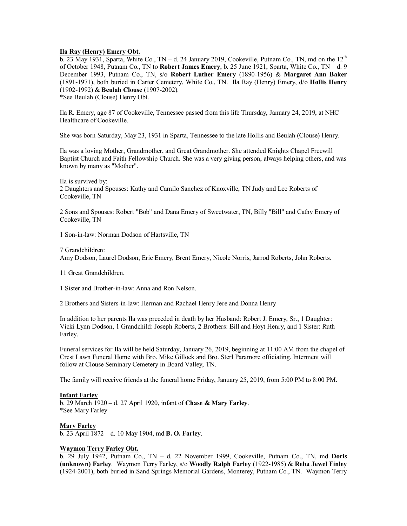# **Ila Ray (Henry) Emery Obt.**

b. 23 May 1931, Sparta, White Co.,  $TN - d$ . 24 January 2019, Cookeville, Putnam Co., TN, md on the  $12<sup>th</sup>$ of October 1948, Putnam Co., TN to **Robert James Emery**, b. 25 June 1921, Sparta, White Co., TN – d. 9 December 1993, Putnam Co., TN, s/o **Robert Luther Emery** (1890-1956) & **Margaret Ann Baker** (1891-1971), both buried in Carter Cemetery, White Co., TN. Ila Ray (Henry) Emery, d/o **Hollis Henry** (1902-1992) & **Beulah Clouse** (1907-2002). \*See Beulah (Clouse) Henry Obt.

Ila R. Emery, age 87 of Cookeville, Tennessee passed from this life Thursday, January 24, 2019, at NHC Healthcare of Cookeville.

She was born Saturday, May 23, 1931 in Sparta, Tennessee to the late Hollis and Beulah (Clouse) Henry.

Ila was a loving Mother, Grandmother, and Great Grandmother. She attended Knights Chapel Freewill Baptist Church and Faith Fellowship Church. She was a very giving person, always helping others, and was known by many as "Mother".

Ila is survived by:

2 Daughters and Spouses: Kathy and Camilo Sanchez of Knoxville, TN Judy and Lee Roberts of Cookeville, TN

2 Sons and Spouses: Robert "Bob" and Dana Emery of Sweetwater, TN, Billy "Bill" and Cathy Emery of Cookeville, TN

1 Son-in-law: Norman Dodson of Hartsville, TN

7 Grandchildren:

Amy Dodson, Laurel Dodson, Eric Emery, Brent Emery, Nicole Norris, Jarrod Roberts, John Roberts.

11 Great Grandchildren.

1 Sister and Brother-in-law: Anna and Ron Nelson.

2 Brothers and Sisters-in-law: Herman and Rachael Henry Jere and Donna Henry

In addition to her parents Ila was preceded in death by her Husband: Robert J. Emery, Sr., 1 Daughter: Vicki Lynn Dodson, 1 Grandchild: Joseph Roberts, 2 Brothers: Bill and Hoyt Henry, and 1 Sister: Ruth Farley.

Funeral services for Ila will be held Saturday, January 26, 2019, beginning at 11:00 AM from the chapel of Crest Lawn Funeral Home with Bro. Mike Gillock and Bro. Sterl Paramore officiating. Interment will follow at Clouse Seminary Cemetery in Board Valley, TN.

The family will receive friends at the funeral home Friday, January 25, 2019, from 5:00 PM to 8:00 PM.

# **Infant Farley**

b. 29 March 1920 – d. 27 April 1920, infant of **Chase & Mary Farley**. \*See Mary Farley

**Mary Farley**

b. 23 April 1872 – d. 10 May 1904, md **B. O. Farley**.

# **Waymon Terry Farley Obt.**

b. 29 July 1942, Putnam Co., TN – d. 22 November 1999, Cookeville, Putnam Co., TN, md **Doris (unknown) Farley**. Waymon Terry Farley, s/o **Woodly Ralph Farley** (1922-1985) & **Reba Jewel Finley** (1924-2001), both buried in Sand Springs Memorial Gardens, Monterey, Putnam Co., TN. Waymon Terry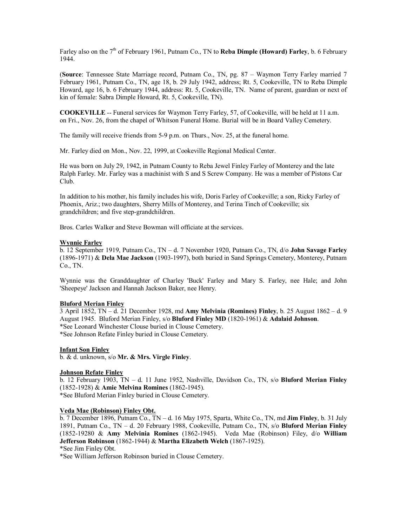Farley also on the 7<sup>th</sup> of February 1961, Putnam Co., TN to **Reba Dimple (Howard) Farley**, b. 6 February 1944.

(**Source**: Tennessee State Marriage record, Putnam Co., TN, pg. 87 – Waymon Terry Farley married 7 February 1961, Putnam Co., TN, age 18, b. 29 July 1942, address; Rt. 5, Cookeville, TN to Reba Dimple Howard, age 16, b. 6 February 1944, address: Rt. 5, Cookeville, TN. Name of parent, guardian or next of kin of female: Sabra Dimple Howard, Rt. 5, Cookeville, TN).

**COOKEVILLE** -- Funeral services for Waymon Terry Farley, 57, of Cookeville, will be held at 11 a.m. on Fri., Nov. 26, from the chapel of Whitson Funeral Home. Burial will be in Board Valley Cemetery.

The family will receive friends from 5-9 p.m. on Thurs., Nov. 25, at the funeral home.

Mr. Farley died on Mon., Nov. 22, 1999, at Cookeville Regional Medical Center.

He was born on July 29, 1942, in Putnam County to Reba Jewel Finley Farley of Monterey and the late Ralph Farley. Mr. Farley was a machinist with S and S Screw Company. He was a member of Pistons Car Club.

In addition to his mother, his family includes his wife, Doris Farley of Cookeville; a son, Ricky Farley of Phoenix, Ariz.; two daughters, Sherry Mills of Monterey, and Terina Tinch of Cookeville; six grandchildren; and five step-grandchildren.

Bros. Carles Walker and Steve Bowman will officiate at the services.

# **Wynnie Farley**

b. 12 September 1919, Putnam Co., TN – d. 7 November 1920, Putnam Co., TN, d/o **John Savage Farley** (1896-1971) & **Dela Mae Jackson** (1903-1997), both buried in Sand Springs Cemetery, Monterey, Putnam Co., TN.

Wynnie was the Granddaughter of Charley 'Buck' Farley and Mary S. Farley, nee Hale; and John 'Sheepeye' Jackson and Hannah Jackson Baker, nee Henry.

### **Bluford Merian Finley**

3 April 1852, TN – d. 21 December 1928, md **Amy Melvinia (Romines) Finley**, b. 25 August 1862 – d. 9 August 1945. Bluford Merian Finley, s/o **Bluford Finley MD** (1820-1961) & **Adalaid Johnson**. \*See Leonard Winchester Clouse buried in Clouse Cemetery. \*See Johnson Refate Finley buried in Clouse Cemetery.

### **Infant Son Finley**

b. & d. unknown, s/o **Mr. & Mrs. Virgle Finley**.

### **Johnson Refate Finley**

b. 12 February 1903, TN – d. 11 June 1952, Nashville, Davidson Co., TN, s/o **Bluford Merian Finley** (1852-1928) & **Amie Melvina Romines** (1862-1945).

\*See Bluford Merian Finley buried in Clouse Cemetery.

# **Veda Mae (Robinson) Finley Obt.**

b. 7 December 1896, Putnam Co., TN – d. 16 May 1975, Sparta, White Co., TN, md **Jim Finley**, b. 31 July 1891, Putnam Co., TN – d. 20 February 1988, Cookeville, Putnam Co., TN, s/o **Bluford Merian Finley** (1852-19280 & **Amy Melvinia Romines** (1862-1945). Veda Mae (Robinson) Filey, d/o **William Jefferson Robinson** (1862-1944) & **Martha Elizabeth Welch** (1867-1925).

```
*See Jim Finley Obt.
```
\*See William Jefferson Robinson buried in Clouse Cemetery.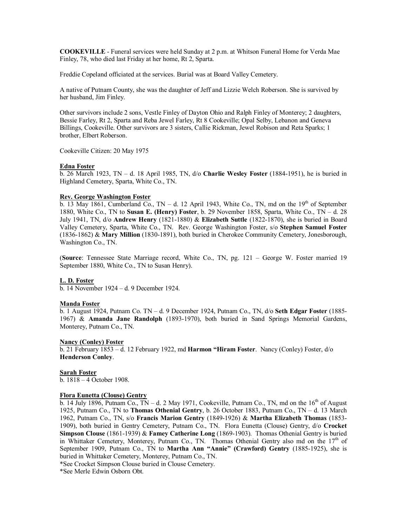**COOKEVILLE** - Funeral services were held Sunday at 2 p.m. at Whitson Funeral Home for Verda Mae Finley, 78, who died last Friday at her home, Rt 2, Sparta.

Freddie Copeland officiated at the services. Burial was at Board Valley Cemetery.

A native of Putnam County, she was the daughter of Jeff and Lizzie Welch Roberson. She is survived by her husband, Jim Finley.

Other survivors include 2 sons, Vestle Finley of Dayton Ohio and Ralph Finley of Monterey; 2 daughters, Bessie Farley, Rt 2, Sparta and Reba Jewel Farley, Rt 8 Cookeville; Opal Selby, Lebanon and Geneva Billings, Cookeville. Other survivors are 3 sisters, Callie Rickman, Jewel Robison and Reta Sparks; 1 brother, Elbert Roberson.

Cookeville Citizen: 20 May 1975

### **Edna Foster**

b. 26 March 1923, TN – d. 18 April 1985, TN, d/o **Charlie Wesley Foster** (1884-1951), he is buried in Highland Cemetery, Sparta, White Co., TN.

# **Rev. George Washington Foster**

b. 13 May 1861, Cumberland Co., TN – d. 12 April 1943, White Co., TN, md on the 19<sup>th</sup> of September 1880, White Co., TN to **Susan E. (Henry) Foster**, b. 29 November 1858, Sparta, White Co., TN – d. 28 July 1941, TN, d/o **Andrew Henry** (1821-1880) & **Elizabeth Suttle** (1822-1870), she is buried in Board Valley Cemetery, Sparta, White Co., TN. Rev. George Washington Foster, s/o **Stephen Samuel Foster** (1836-1862) & **Mary Million** (1830-1891), both buried in Cherokee Community Cemetery, Jonesborough, Washington Co., TN.

(**Source**: Tennessee State Marriage record, White Co., TN, pg. 121 – George W. Foster married 19 September 1880, White Co., TN to Susan Henry).

### **L. D. Foster**

b. 14 November 1924 – d. 9 December 1924.

### **Manda Foster**

b. 1 August 1924, Putnam Co. TN – d. 9 December 1924, Putnam Co., TN, d/o **Seth Edgar Foster** (1885- 1967) & **Amanda Jane Randolph** (1893-1970), both buried in Sand Springs Memorial Gardens, Monterey, Putnam Co., TN.

### **Nancy (Conley) Foster**

b. 21 February 1853 – d. 12 February 1922, md **Harmon "Hiram Foster**. Nancy (Conley) Foster, d/o **Henderson Conley**.

### **Sarah Foster**

b. 1818 – 4 October 1908.

# **Flora Eunetta (Clouse) Gentry**

b. 14 July 1896, Putnam Co., TN – d. 2 May 1971, Cookeville, Putnam Co., TN, md on the  $16<sup>th</sup>$  of August 1925, Putnam Co., TN to **Thomas Othenial Gentry**, b. 26 October 1883, Putnam Co., TN – d. 13 March 1962, Putnam Co., TN, s/o **Francis Marion Gentry** (1849-1926) & **Martha Elizabeth Thomas** (1853- 1909), both buried in Gentry Cemetery, Putnam Co., TN. Flora Eunetta (Clouse) Gentry, d/o **Crocket Simpson Clouse** (1861-1939) & **Famey Catherine Long** (1869-1903). Thomas Othenial Gentry is buried in Whittaker Cemetery, Monterey, Putnam Co., TN. Thomas Othenial Gentry also md on the 17<sup>th</sup> of September 1909, Putnam Co., TN to **Martha Ann "Annie" (Crawford) Gentry** (1885-1925), she is buried in Whittaker Cemetery, Monterey, Putnam Co., TN.

\*See Crocket Simpson Clouse buried in Clouse Cemetery.

\*See Merle Edwin Osborn Obt.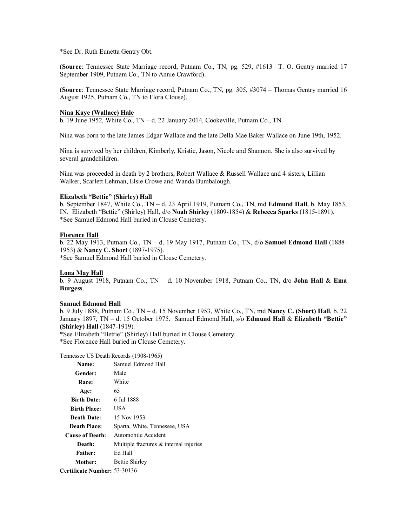\*See Dr. Ruth Eunetta Gentry Obt.

(**Source**: Tennessee State Marriage record, Putnam Co., TN, pg. 529, #1613– T. O. Gentry married 17 September 1909, Putnam Co., TN to Annie Crawford).

(**Source**: Tennessee State Marriage record, Putnam Co., TN, pg. 305, #3074 – Thomas Gentry married 16 August 1925, Putnam Co., TN to Flora Clouse).

#### **Nina Kaye (Wallace) Hale**

b. 19 June 1952, White Co., TN – d. 22 January 2014, Cookeville, Putnam Co., TN

Nina was born to the late James Edgar Wallace and the late Della Mae Baker Wallace on June 19th, 1952.

Nina is survived by her children, Kimberly, Kristie, Jason, Nicole and Shannon. She is also survived by several grandchildren.

Nina was proceeded in death by 2 brothers, Robert Wallace & Russell Wallace and 4 sisters, Lillian Walker, Scarlett Lehman, Elsie Crowe and Wanda Bumbalough.

# **Elizabeth "Bettie" (Shirley) Hall**

b. September 1847, White Co., TN – d. 23 April 1919, Putnam Co., TN, md **Edmund Hall**, b. May 1853, IN. Elizabeth "Bettie" (Shirley) Hall, d/o **Noah Shirley** (1809-1854) & **Rebecca Sparks** (1815-1891). \*See Samuel Edmond Hall buried in Clouse Cemetery.

### **Florence Hall**

b. 22 May 1913, Putnam Co., TN – d. 19 May 1917, Putnam Co., TN, d/o **Samuel Edmond Hall** (1888- 1953) & **Nancy C. Short** (1897-1975). \*See Samuel Edmond Hall buried in Clouse Cemetery.

### **Lona May Hall**

b. 9 August 1918, Putnam Co., TN – d. 10 November 1918, Putnam Co., TN, d/o **John Hall** & **Ema Burgess**.

#### **Samuel Edmond Hall**

b. 9 July 1888, Putnam Co., TN – d. 15 November 1953, White Co., TN, md **Nancy C. (Short) Hall**, b. 22 January 1897, TN – d. 15 October 1975. Samuel Edmond Hall, s/o **Edmund Hall** & **Elizabeth "Bettie" (Shirley) Hall** (1847-1919).

\*See Elizabeth "Bettie" (Shirley) Hall buried in Clouse Cemetery.

\*See Florence Hall buried in Clouse Cemetery.

#### Tennessee US Death Records (1908-1965)

| <b>Name:</b>                 | Samuel Edmond Hall                        |  |
|------------------------------|-------------------------------------------|--|
| Gender:                      | Male                                      |  |
| Race:                        | White                                     |  |
| Age:                         | 65                                        |  |
| <b>Birth Date:</b>           | 6 Jul 1888                                |  |
| <b>Birth Place:</b>          | USA                                       |  |
| <b>Death Date:</b>           | 15 Nov 1953                               |  |
| <b>Death Place:</b>          | Sparta, White, Tennessee, USA             |  |
| <b>Cause of Death:</b>       | Automobile Accident                       |  |
| Death:                       | Multiple fractures $\&$ internal injuries |  |
| <b>Father:</b>               | Ed Hall                                   |  |
| Mother:                      | Bettie Shirley                            |  |
| Certificate Number: 53-30136 |                                           |  |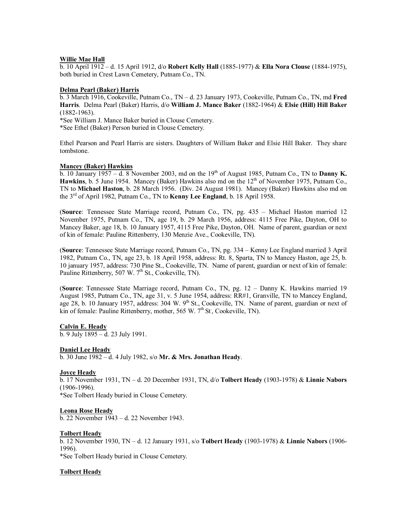#### **Willie Mae Hall**

b. 10 April 1912 – d. 15 April 1912, d/o **Robert Kelly Hall** (1885-1977) & **Ella Nora Clouse** (1884-1975), both buried in Crest Lawn Cemetery, Putnam Co., TN.

### **Delma Pearl (Baker) Harris**

b. 3 March 1916, Cookeville, Putnam Co., TN – d. 23 January 1973, Cookeville, Putnam Co., TN, md **Fred Harris**. Delma Pearl (Baker) Harris, d/o **William J. Mance Baker** (1882-1964) & **Elsie (Hill) Hill Baker** (1882-1963).

\*See William J. Mance Baker buried in Clouse Cemetery.

\*See Ethel (Baker) Person buried in Clouse Cemetery.

Ethel Pearson and Pearl Harris are sisters. Daughters of William Baker and Elsie Hill Baker. They share tombstone.

### **Mancey (Baker) Hawkins**

b. 10 January 1957 – d. 8 November 2003, md on the  $19<sup>th</sup>$  of August 1985, Putnam Co., TN to **Danny K. Hawkins**, b. 5 June 1954. Mancey (Baker) Hawkins also md on the 12<sup>th</sup> of November 1975, Putnam Co., TN to **Michael Haston**, b. 28 March 1956. (Div. 24 August 1981). Mancey (Baker) Hawkins also md on the 3rd of April 1982, Putnam Co., TN to **Kenny Lee England**, b. 18 April 1958.

(**Source**: Tennessee State Marriage record, Putnam Co., TN, pg. 435 – Michael Haston married 12 November 1975, Putnam Co., TN, age 19, b. 29 March 1956, address: 4115 Free Pike, Dayton, OH to Mancey Baker, age 18, b. 10 January 1957, 4115 Free Pike, Dayton, OH. Name of parent, guardian or next of kin of female: Pauline Rittenberry, 130 Menzie Ave., Cookeville, TN).

(**Source**: Tennessee State Marriage record, Putnam Co., TN, pg. 334 – Kenny Lee England married 3 April 1982, Putnam Co., TN, age 23, b. 18 April 1958, address: Rt. 8, Sparta, TN to Mancey Haston, age 25, b. 10 january 1957, address: 730 Pine St., Cookeville, TN. Name of parent, guardian or next of kin of female: Pauline Rittenberry, 507 W.  $7<sup>th</sup>$  St., Cookeville, TN).

(**Source**: Tennessee State Marriage record, Putnam Co., TN, pg. 12 – Danny K. Hawkins married 19 August 1985, Putnam Co., TN, age 31, v. 5 June 1954, address: RR#1, Granville, TN to Mancey England, age 28, b. 10 January 1957, address: 304 W. 9<sup>th</sup> St., Cookeville, TN. Name of parent, guardian or next of kin of female: Pauline Rittenberry, mother, 565 W. 7<sup>th</sup> St, Cookeville, TN).

### **Calvin E. Heady**

b. 9 July 1895 – d. 23 July 1991.

#### **Daniel Lee Heady**

b. 30 June 1982 – d. 4 July 1982, s/o **Mr. & Mrs. Jonathan Heady**.

#### **Joyce Heady**

b. 17 November 1931, TN – d. 20 December 1931, TN, d/o **Tolbert Heady** (1903-1978) & **Linnie Nabors** (1906-1996).

\*See Tolbert Heady buried in Clouse Cemetery.

### **Leona Rose Heady**

b. 22 November 1943 – d. 22 November 1943.

#### **Tolbert Heady**

b. 12 November 1930, TN – d. 12 January 1931, s/o **Tolbert Heady** (1903-1978) & **Linnie Nabors** (1906- 1996).

\*See Tolbert Heady buried in Clouse Cemetery.

### **Tolbert Heady**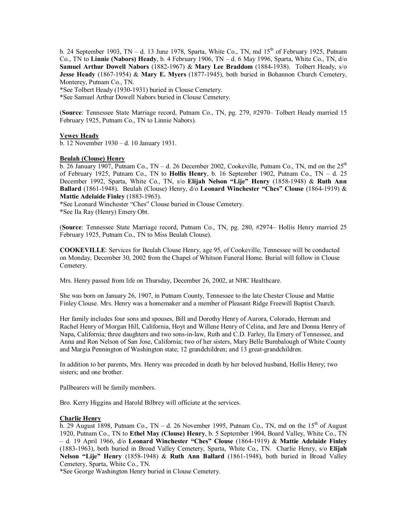b. 24 September 1903, TN – d. 13 June 1978, Sparta, White Co., TN, md  $15<sup>th</sup>$  of February 1925, Putnam Co., TN to **Linnie (Nabors) Heady**, b. 4 February 1906, TN – d. 6 May 1996, Sparta, White Co., TN, d/o **Samuel Arthur Dowell Nabors** (1882-1967) & **Mary Lee Braddom** (1884-1938). Tolbert Heady, s/o **Jesse Heady** (1867-1954) & **Mary E. Myers** (1877-1945), both buried in Bohannon Church Cemetery, Monterey, Putnam Co., TN.

\*See Tolbert Heady (1930-1931) buried in Clouse Cemetery.

\*See Samuel Arthur Dowell Nabors buried in Clouse Cemetery.

(**Source**: Tennessee State Marriage record, Putnam Co., TN, pg. 279, #2970– Tolbert Heady married 15 February 1925, Putnam Co., TN to Linnie Nabors).

# **Vewey Heady**

b. 12 November 1930 – d. 10 January 1931.

# **Beulah (Clouse) Henry**

 $\overline{b}$ . 26 January 1907, Putnam Co., TN – d. 26 December 2002, Cookeville, Putnam Co., TN, md on the 25<sup>th</sup> of February 1925, Putnam Co., TN to **Hollis Henry**, b. 16 September 1902, Putnam Co., TN – d. 25 December 1992, Sparta, White Co., TN, s/o **Elijah Nelson "Lije" Henry** (1858-1948) & **Ruth Ann Ballard** (1861-1948). Beulah (Clouse) Henry, d/o **Leonard Winchester "Ches" Clouse** (1864-1919) & **Mattie Adelaide Finley** (1883-1963).

\*See Leonard Winchester "Ches" Clouse buried in Clouse Cemetery.

\*See Ila Ray (Henry) Emery Obt.

(**Source**: Tennessee State Marriage record, Putnam Co., TN, pg. 280, #2974– Hollis Henry married 25 February 1925, Putnam Co., TN to Miss Beulah Clouse).

**COOKEVILLE**: Services for Beulah Clouse Henry, age 95, of Cookeville, Tennessee will be conducted on Monday, December 30, 2002 from the Chapel of Whitson Funeral Home. Burial will follow in Clouse Cemetery.

Mrs. Henry passed from life on Thursday, December 26, 2002, at NHC Healthcare.

She was born on January 26, 1907, in Putnam County, Tennessee to the late Chester Clouse and Mattie Finley Clouse. Mrs. Henry was a homemaker and a member of Pleasant Ridge Freewill Baptist Church.

Her family includes four sons and spouses, Bill and Dorothy Henry of Aurora, Colorado, Herman and Rachel Henry of Morgan Hill, California, Hoyt and Willene Henry of Celina, and Jere and Donna Henry of Napa, California; three daughters and two sons-in-law, Ruth and C.D. Farley, Ila Emery of Tennessee, and Anna and Ron Nelson of San Jose, California; two of her sisters, Mary Belle Bumbalough of White County and Margia Pennington of Washington state; 12 grandchildren; and 13 great-grandchildren.

In addition to her parents, Mrs. Henry was preceded in death by her beloved husband, Hollis Henry; two sisters; and one brother.

Pallbearers will be family members.

Bro. Kerry Higgins and Harold Bilbrey will officiate at the services.

### **Charlie Henry**

b. 29 August 1898, Putnam Co., TN – d. 26 November 1995, Putnam Co., TN, md on the  $15<sup>th</sup>$  of August 1920, Putnam Co., TN to **Ethel May (Clouse) Henry**, b. 5 September 1904, Board Valley, White Co., TN – d. 19 April 1966, d/o **Leonard Winchester "Ches" Clouse** (1864-1919) & **Mattie Adelaide Finley** (1883-1963), both buried in Broad Valley Cemetery, Sparta, White Co., TN. Charlie Henry, s/o **Elijah Nelson "Lije" Henry** (1858-1948) & **Ruth Ann Ballard** (1861-1948), both buried in Broad Valley Cemetery, Sparta, White Co., TN.

\*See George Washington Henry buried in Clouse Cemetery.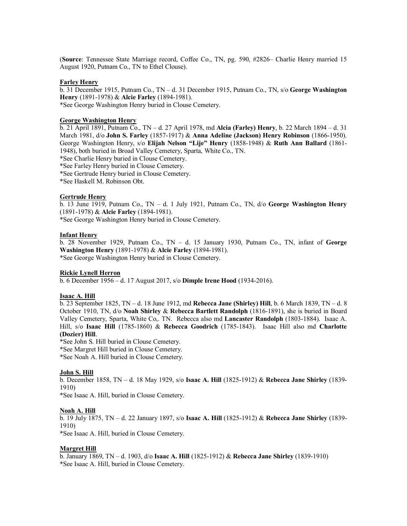(**Source**: Tennessee State Marriage record, Coffee Co., TN, pg. 590, #2826– Charlie Henry married 15 August 1920, Putnam Co., TN to Ethel Clouse).

### **Farley Henry**

b. 31 December 1915, Putnam Co., TN – d. 31 December 1915, Putnam Co., TN, s/o **George Washington Henry** (1891-1978) & **Alcie Farley** (1894-1981). \*See George Washington Henry buried in Clouse Cemetery.

### **George Washington Henry**

b. 21 April 1891, Putnam Co., TN – d. 27 April 1978, md **Alcia (Farley) Henry**, b. 22 March 1894 – d. 31 March 1981, d/o **John S. Farley** (1857-1917) & **Anna Adeline (Jackson) Henry Robinson** (1866-1950). George Washington Henry, s/o **Elijah Nelson "Lije" Henry** (1858-1948) & **Ruth Ann Ballard** (1861- 1948), both buried in Broad Valley Cemetery, Sparta, White Co., TN.

\*See Charlie Henry buried in Clouse Cemetery.

\*See Farley Henry buried in Clouse Cemetery.

\*See Gertrude Henry buried in Clouse Cemetery.

\*See Haskell M. Robinson Obt.

### **Gertrude Henry**

b. 13 June 1919, Putnam Co., TN – d. 1 July 1921, Putnam Co., TN, d/o **George Washington Henry** (1891-1978) & **Alcie Farley** (1894-1981).

\*See George Washington Henry buried in Clouse Cemetery.

### **Infant Henry**

b. 28 November 1929, Putnam Co., TN – d. 15 January 1930, Putnam Co., TN, infant of **George Washington Henry** (1891-1978) & **Alcie Farley** (1894-1981). \*See George Washington Henry buried in Clouse Cemetery.

### **Rickie Lynell Herron**

b. 6 December 1956 – d. 17 August 2017, s/o **Dimple Irene Hood** (1934-2016).

# **Isaac A. Hill**

b. 23 September 1825, TN – d. 18 June 1912, md **Rebecca Jane (Shirley) Hill**, b. 6 March 1839, TN – d. 8 October 1910, TN, d/o **Noah Shirley** & **Rebecca Bartlett Randolph** (1816-1891), she is buried in Board Valley Cemetery, Sparta, White Co,. TN. Rebecca also md **Lancaster Randolph** (1803-1884). Isaac A. Hill, s/o **Isaac Hill** (1785-1860) & **Rebecca Goodrich** (1785-1843). Isaac Hill also md **Charlotte (Dozier) Hill**.

\*See John S. Hill buried in Clouse Cemetery.

\*See Margret Hill buried in Clouse Cemetery.

\*See Noah A. Hill buried in Clouse Cemetery.

# **John S. Hill**

b. December 1858, TN – d. 18 May 1929, s/o **Isaac A. Hill** (1825-1912) & **Rebecca Jane Shirley** (1839- 1910)

\*See Isaac A. Hill, buried in Clouse Cemetery.

### **Noah A. Hill**

b. 19 July 1875, TN – d. 22 January 1897, s/o **Isaac A. Hill** (1825-1912) & **Rebecca Jane Shirley** (1839- 1910)

\*See Isaac A. Hill, buried in Clouse Cemetery.

# **Margret Hill**

b. January 1869, TN – d. 1903, d/o **Isaac A. Hill** (1825-1912) & **Rebecca Jane Shirley** (1839-1910) \*See Isaac A. Hill, buried in Clouse Cemetery.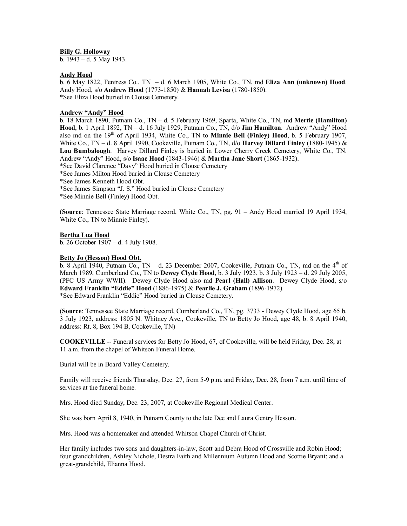### **Billy G. Holloway**

b. 1943 – d. 5 May 1943.

# **Andy Hood**

b. 6 May 1822, Fentress Co., TN – d. 6 March 1905, White Co., TN, md **Eliza Ann (unknown) Hood**. Andy Hood, s/o **Andrew Hood** (1773-1850) & **Hannah Levisa** (1780-1850). \*See Eliza Hood buried in Clouse Cemetery.

# **Andrew "Andy" Hood**

b. 18 March 1890, Putnam Co., TN – d. 5 February 1969, Sparta, White Co., TN, md **Mertie (Hamilton) Hood**, b. 1 April 1892, TN – d. 16 July 1929, Putnam Co., TN, d/o **Jim Hamilton**. Andrew "Andy" Hood also md on the 19<sup>th</sup> of April 1934, White Co., TN to **Minnie Bell (Finley) Hood**, b. 5 February 1907, White Co., TN – d. 8 April 1990, Cookeville, Putnam Co., TN, d/o **Harvey Dillard Finley** (1880-1945) & **Lou Bumbalough**. Harvey Dillard Finley is buried in Lower Cherry Creek Cemetery, White Co., TN. Andrew "Andy" Hood, s/o **Isaac Hood** (1843-1946) & **Martha Jane Short** (1865-1932).

- \*See David Clarence "Davy" Hood buried in Clouse Cemetery
- \*See James Milton Hood buried in Clouse Cemetery
- \*See James Kenneth Hood Obt.
- \*See James Simpson "J. S." Hood buried in Clouse Cemetery

\*See Minnie Bell (Finley) Hood Obt.

(**Source**: Tennessee State Marriage record, White Co., TN, pg. 91 – Andy Hood married 19 April 1934, White Co., TN to Minnie Finley).

#### **Bertha Lua Hood**

b. 26 October 1907 – d. 4 July 1908.

### **Betty Jo (Hesson) Hood Obt.**

 $\overline{b}$ . 8 April 1940, Putnam Co., TN – d. 23 December 2007, Cookeville, Putnam Co., TN, md on the 4<sup>th</sup> of March 1989, Cumberland Co., TN to **Dewey Clyde Hood**, b. 3 July 1923, b. 3 July 1923 – d. 29 July 2005, (PFC US Army WWII). Dewey Clyde Hood also md **Pearl (Hall) Allison**. Dewey Clyde Hood, s/o **Edward Franklin "Eddie" Hood** (1886-1975) & **Pearlie J. Graham** (1896-1972). \*See Edward Franklin "Eddie" Hood buried in Clouse Cemetery.

(**Source**: Tennessee State Marriage record, Cumberland Co., TN, pg. 3733 - Dewey Clyde Hood, age 65 b. 3 July 1923, address: 1805 N. Whitney Ave., Cookeville, TN to Betty Jo Hood, age 48, b. 8 April 1940, address: Rt. 8, Box 194 B, Cookeville, TN)

**COOKEVILLE** -- Funeral services for Betty Jo Hood, 67, of Cookeville, will be held Friday, Dec. 28, at 11 a.m. from the chapel of Whitson Funeral Home.

Burial will be in Board Valley Cemetery.

Family will receive friends Thursday, Dec. 27, from 5-9 p.m. and Friday, Dec. 28, from 7 a.m. until time of services at the funeral home.

Mrs. Hood died Sunday, Dec. 23, 2007, at Cookeville Regional Medical Center.

She was born April 8, 1940, in Putnam County to the late Dee and Laura Gentry Hesson.

Mrs. Hood was a homemaker and attended Whitson Chapel Church of Christ.

Her family includes two sons and daughters-in-law, Scott and Debra Hood of Crossville and Robin Hood; four grandchildren, Ashley Nichole, Destra Faith and Millennium Autumn Hood and Scottie Bryant; and a great-grandchild, Elianna Hood.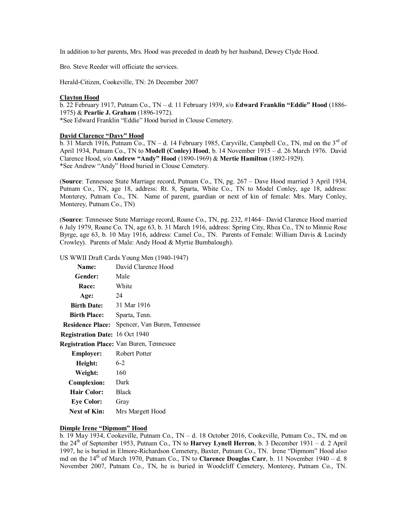In addition to her parents, Mrs. Hood was preceded in death by her husband, Dewey Clyde Hood.

Bro. Steve Reeder will officiate the services.

Herald-Citizen, Cookeville, TN: 26 December 2007

# **Clayton Hood**

b. 22 February 1917, Putnam Co., TN – d. 11 February 1939, s/o **Edward Franklin "Eddie" Hood** (1886- 1975) & **Pearlie J. Graham** (1896-1972). \*See Edward Franklin "Eddie" Hood buried in Clouse Cemetery.

### **David Clarence "Davy" Hood**

b. 31 March  $\overline{1916,$  Putnam Co., TN – d. 14 February 1985, Caryville, Campbell Co., TN, md on the 3<sup>rd</sup> of April 1934, Putnam Co., TN to **Modell (Conley) Hood**, b. 14 November 1915 – d. 26 March 1976. David Clarence Hood, s/o **Andrew "Andy" Hood** (1890-1969) & **Mertie Hamilton** (1892-1929). \*See Andrew "Andy" Hood buried in Clouse Cemetery.

(**Source**: Tennessee State Marriage record, Putnam Co., TN, pg. 267 – Dave Hood married 3 April 1934, Putnam Co., TN, age 18, address: Rt. 8, Sparta, White Co., TN to Model Conley, age 18, address: Monterey, Putnam Co., TN. Name of parent, guardian or next of kin of female: Mrs. Mary Conley, Monterey, Putnam Co., TN)

(**Source**: Tennessee State Marriage record, Roane Co., TN, pg. 232, #1464– David Clarence Hood married 6 July 1979, Roane Co. TN, age 63, b. 31 March 1916, address: Spring City, Rhea Co., TN to Minnie Rose Byrge, age 63, b. 10 May 1916, address: Camel Co., TN. Parents of Female: William Davis & Lucindy Crowley). Parents of Male: Andy Hood & Myrtie Bumbalough).

# US WWII Draft Cards Young Men (1940-1947)

| Name:                          | David Clarence Hood                      |  |
|--------------------------------|------------------------------------------|--|
| Gender:                        | Male                                     |  |
| <b>Race:</b>                   | White                                    |  |
| Age:                           | 24                                       |  |
| <b>Birth Date:</b>             | 31 Mar 1916                              |  |
| <b>Birth Place:</b>            | Sparta, Tenn.                            |  |
| <b>Residence Place:</b>        | Spencer, Van Buren, Tennessee            |  |
| Registration Date: 16 Oct 1940 |                                          |  |
|                                | Registration Place: Van Buren, Tennessee |  |
| Employer:                      | Robert Potter                            |  |
| Height:                        | $6 - 2$                                  |  |
| Weight:                        | 160                                      |  |
| <b>Complexion:</b>             | Dark                                     |  |
| <b>Hair Color:</b>             | <b>Black</b>                             |  |
| <b>Eye Color:</b>              | Gray                                     |  |
| <b>Next of Kin:</b>            | Mrs Margett Hood                         |  |

# **Dimple Irene "Dipmom" Hood**

b. 19 May 1934, Cookeville, Putnam Co., TN – d. 18 October 2016, Cookeville, Putnam Co., TN, md on the 24th of September 1953, Putnam Co., TN to **Harvey Lynell Herron**, b. 3 December 1931 – d. 2 April 1997, he is buried in Elmore-Richardson Cemetery, Baxter, Putnam Co., TN. Irene "Dipmom" Hood also md on the  $14<sup>th</sup>$  of March 1970, Putnam Co., TN to **Clarence Douglas Carr**, b. 11 November 1940 – d. 8 November 2007, Putnam Co., TN, he is buried in Woodcliff Cemetery, Monterey, Putnam Co., TN.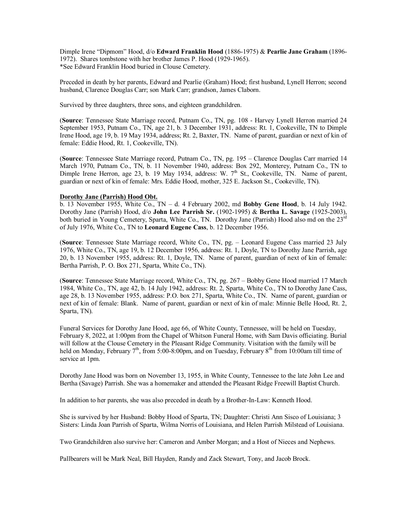Dimple Irene "Dipmom" Hood, d/o **Edward Franklin Hood** (1886-1975) & **Pearlie Jane Graham** (1896- 1972). Shares tombstone with her brother James P. Hood (1929-1965). \*See Edward Franklin Hood buried in Clouse Cemetery.

Preceded in death by her parents, Edward and Pearlie (Graham) Hood; first husband, Lynell Herron; second husband, Clarence Douglas Carr; son Mark Carr; grandson, James Claborn.

Survived by three daughters, three sons, and eighteen grandchildren.

(**Source**: Tennessee State Marriage record, Putnam Co., TN, pg. 108 - Harvey Lynell Herron married 24 September 1953, Putnam Co., TN, age 21, b. 3 December 1931, address: Rt. 1, Cookeville, TN to Dimple Irene Hood, age 19, b. 19 May 1934, address; Rt. 2, Baxter, TN. Name of parent, guardian or next of kin of female: Eddie Hood, Rt. 1, Cookeville, TN).

(**Source**: Tennessee State Marriage record, Putnam Co., TN, pg. 195 – Clarence Douglas Carr married 14 March 1970, Putnam Co., TN, b. 11 November 1940, address: Box 292, Monterey, Putnam Co., TN to Dimple Irene Herron, age 23, b. 19 May 1934, address: W.  $7<sup>th</sup>$  St., Cookeville, TN. Name of parent, guardian or next of kin of female: Mrs. Eddie Hood, mother, 325 E. Jackson St., Cookeville, TN).

### **Dorothy Jane (Parrish) Hood Obt.**

b. 13 November 1955, White Co., TN – d. 4 February 2002, md **Bobby Gene Hood**, b. 14 July 1942. Dorothy Jane (Parrish) Hood, d/o **John Lee Parrish Sr.** (1902-1995) & **Bertha L. Savage** (1925-2003), both buried in Young Cemetery, Sparta, White Co., TN. Dorothy Jane (Parrish) Hood also md on the 23<sup>rd</sup> of July 1976, White Co., TN to **Leonard Eugene Cass**, b. 12 December 1956.

(**Source**: Tennessee State Marriage record, White Co., TN, pg. – Leonard Eugene Cass married 23 July 1976, White Co., TN, age 19, b. 12 December 1956, address: Rt. 1, Doyle, TN to Dorothy Jane Parrish, age 20, b. 13 November 1955, address: Rt. 1, Doyle, TN. Name of parent, guardian of next of kin of female: Bertha Parrish, P. O. Box 271, Sparta, White Co., TN).

(**Source**: Tennessee State Marriage record, White Co., TN, pg. 267 – Bobby Gene Hood married 17 March 1984, White Co., TN, age 42, b. 14 July 1942, address: Rt. 2, Sparta, White Co., TN to Dorothy Jane Cass, age 28, b. 13 November 1955, address: P.O. box 271, Sparta, White Co., TN. Name of parent, guardian or next of kin of female: Blank. Name of parent, guardian or next of kin of male: Minnie Belle Hood, Rt. 2, Sparta, TN).

Funeral Services for Dorothy Jane Hood, age 66, of White County, Tennessee, will be held on Tuesday, February 8, 2022, at 1:00pm from the Chapel of Whitson Funeral Home, with Sam Davis officiating. Burial will follow at the Clouse Cemetery in the Pleasant Ridge Community. Visitation with the family will be held on Monday, February 7<sup>th</sup>, from 5:00-8:00pm, and on Tuesday, February 8<sup>th</sup> from 10:00am till time of service at 1pm.

Dorothy Jane Hood was born on November 13, 1955, in White County, Tennessee to the late John Lee and Bertha (Savage) Parrish. She was a homemaker and attended the Pleasant Ridge Freewill Baptist Church.

In addition to her parents, she was also preceded in death by a Brother-In-Law: Kenneth Hood.

She is survived by her Husband: Bobby Hood of Sparta, TN; Daughter: Christi Ann Sisco of Louisiana; 3 Sisters: Linda Joan Parrish of Sparta, Wilma Norris of Louisiana, and Helen Parrish Milstead of Louisiana.

Two Grandchildren also survive her: Cameron and Amber Morgan; and a Host of Nieces and Nephews.

Pallbearers will be Mark Neal, Bill Hayden, Randy and Zack Stewart, Tony, and Jacob Brock.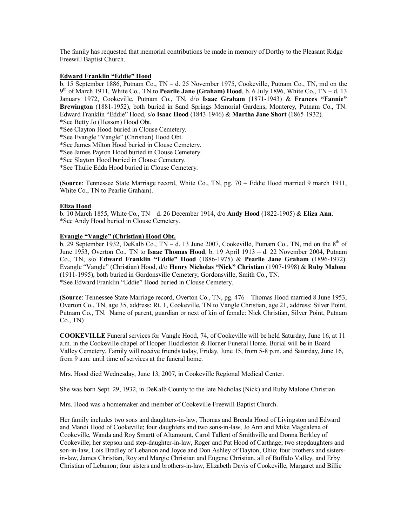The family has requested that memorial contributions be made in memory of Dorthy to the Pleasant Ridge Freewill Baptist Church.

### **Edward Franklin "Eddie" Hood**

b. 15 September 1886, Putnam Co., TN – d. 25 November 1975, Cookeville, Putnam Co., TN, md on the 9 th of March 1911, White Co., TN to **Pearlie Jane (Graham) Hood**, b. 6 July 1896, White Co., TN – d. 13 January 1972, Cookeville, Putnam Co., TN, d/o **Isaac Graham** (1871-1943) & **Frances "Fannie" Brewington** (1881-1952), both buried in Sand Springs Memorial Gardens, Monterey, Putnam Co., TN. Edward Franklin "Eddie" Hood, s/o **Isaac Hood** (1843-1946) & **Martha Jane Short** (1865-1932). \*See Betty Jo (Hesson) Hood Obt.

\*See Clayton Hood buried in Clouse Cemetery.

\*See Evangle "Vangle" (Christian) Hood Obt.

\*See James Milton Hood buried in Clouse Cemetery.

\*See James Payton Hood buried in Clouse Cemetery.

\*See Slayton Hood buried in Clouse Cemetery.

\*See Thulie Edda Hood buried in Clouse Cemetery.

(**Source**: Tennessee State Marriage record, White Co., TN, pg. 70 – Eddie Hood married 9 march 1911, White Co., TN to Pearlie Graham).

# **Eliza Hood**

b. 10 March 1855, White Co., TN – d. 26 December 1914, d/o **Andy Hood** (1822-1905) & **Eliza Ann**. \*See Andy Hood buried in Clouse Cemetery.

### **Evangle "Vangle" (Christian) Hood Obt.**

 $\overline{b}$ . 29 September 1932, DeKalb Co., TN – d. 13 June 2007, Cookeville, Putnam Co., TN, md on the 8<sup>th</sup> of June 1953, Overton Co., TN to **Isaac Thomas Hood**, b. 19 April 1913 – d. 22 November 2004, Putnam Co., TN, s/o **Edward Franklin "Eddie" Hood** (1886-1975) & **Pearlie Jane Graham** (1896-1972). Evangle "Vangle" (Christian) Hood, d/o **Henry Nicholas "Nick" Christian** (1907-1998) & **Ruby Malone** (1911-1995), both buried in Gordonsville Cemetery, Gordonsville, Smith Co., TN. \*See Edward Franklin "Eddie" Hood buried in Clouse Cemetery.

(**Source**: Tennessee State Marriage record, Overton Co., TN, pg. 476 – Thomas Hood married 8 June 1953, Overton Co., TN, age 35, address: Rt. 1, Cookeville, TN to Vangle Christian, age 21, address: Silver Point, Putnam Co., TN. Name of parent, guardian or next of kin of female: Nick Christian, Silver Point, Putnam Co., TN)

**COOKEVILLE** Funeral services for Vangle Hood, 74, of Cookeville will be held Saturday, June 16, at 11 a.m. in the Cookeville chapel of Hooper Huddleston & Horner Funeral Home. Burial will be in Board Valley Cemetery. Family will receive friends today, Friday, June 15, from 5-8 p.m. and Saturday, June 16, from 9 a.m. until time of services at the funeral home.

Mrs. Hood died Wednesday, June 13, 2007, in Cookeville Regional Medical Center.

She was born Sept. 29, 1932, in DeKalb County to the late Nicholas (Nick) and Ruby Malone Christian.

Mrs. Hood was a homemaker and member of Cookeville Freewill Baptist Church.

Her family includes two sons and daughters-in-law, Thomas and Brenda Hood of Livingston and Edward and Mandi Hood of Cookeville; four daughters and two sons-in-law, Jo Ann and Mike Magdalena of Cookeville, Wanda and Roy Smartt of Altamount, Carol Tallent of Smithville and Donna Berkley of Cookeville; her stepson and step-daughter-in-law, Roger and Pat Hood of Carthage; two stepdaughters and son-in-law, Lois Bradley of Lebanon and Joyce and Don Ashley of Dayton, Ohio; four brothers and sistersin-law, James Christian, Roy and Margie Christian and Eugene Christian, all of Buffalo Valley, and Erby Christian of Lebanon; four sisters and brothers-in-law, Elizabeth Davis of Cookeville, Margaret and Billie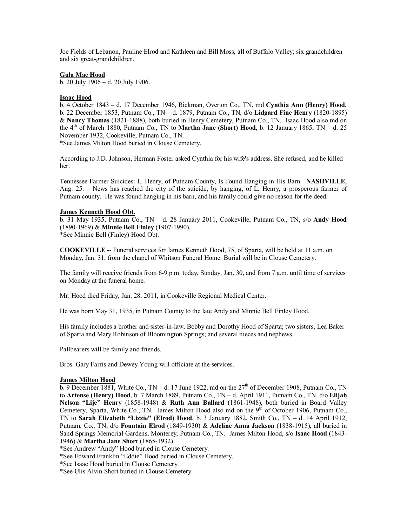Joe Fields of Lebanon, Pauline Elrod and Kathleen and Bill Moss, all of Buffalo Valley; six grandchildren and six great-grandchildren.

### **Gula Mae Hood**

b. 20 July 1906 – d. 20 July 1906.

### **Isaac Hood**

b. 4 October 1843 – d. 17 December 1946, Rickman, Overton Co., TN, md **Cynthia Ann (Henry) Hood**, b. 22 December 1853, Putnam Co., TN – d. 1879, Putnam Co., TN, d/o **Lidgard Fine Henry** (1820-1895) & **Nancy Thomas** (1821-1888), both buried in Henry Cemetery, Putnam Co., TN. Isaac Hood also md on the  $4<sup>th</sup>$  of March 1880, Putnam Co., TN to **Martha Jane (Short) Hood**, b. 12 January 1865, TN – d. 25 November 1932, Cookeville, Putnam Co., TN.

\*See James Milton Hood buried in Clouse Cemetery.

According to J.D. Johnson, Herman Foster asked Cynthia for his wife's address. She refused, and he killed her.

Tennessee Farmer Suicides: L. Henry, of Putnam County, Is Found Hanging in His Barn. **NASHVILLE**, Aug. 25. – News has reached the city of the suicide, by hanging, of L. Henry, a prosperous farmer of Putnam county. He was found hanging in his barn, and his family could give no reason for the deed.

# **James Kenneth Hood Obt.**

b. 31 May 1935, Putnam Co., TN – d. 28 January 2011, Cookeville, Putnam Co., TN, s/o **Andy Hood** (1890-1969) & **Minnie Bell Finley** (1907-1990). \*See Minnie Bell (Finley) Hood Obt.

**COOKEVILLE** -- Funeral services for James Kenneth Hood, 75, of Sparta, will be held at 11 a.m. on Monday, Jan. 31, from the chapel of Whitson Funeral Home. Burial will be in Clouse Cemetery.

The family will receive friends from 6-9 p.m. today, Sunday, Jan. 30, and from 7 a.m. until time of services on Monday at the funeral home.

Mr. Hood died Friday, Jan. 28, 2011, in Cookeville Regional Medical Center.

He was born May 31, 1935, in Putnam County to the late Andy and Minnie Bell Finley Hood.

His family includes a brother and sister-in-law, Bobby and Dorothy Hood of Sparta; two sisters, Lea Baker of Sparta and Mary Robinson of Bloomington Springs; and several nieces and nephews.

Pallbearers will be family and friends.

Bros. Gary Farris and Dewey Young will officiate at the services.

### **James Milton Hood**

 $\overline{b}$ . 9 December 1881, White Co., TN – d. 17 June 1922, md on the 27<sup>th</sup> of December 1908, Putnam Co., TN to **Artense (Henry) Hood**, b. 7 March 1889, Putnam Co., TN – d. April 1911, Putnam Co., TN, d/o **Elijah Nelson "Lije" Henry** (1858-1948) & **Ruth Ann Ballard** (1861-1948), both buried in Board Valley Cemetery, Sparta, White Co., TN. James Milton Hood also md on the  $9<sup>th</sup>$  of October 1906, Putnam Co., TN to **Sarah Elizabeth "Lizzie" (Elrod) Hood**, b. 3 January 1882, Smith Co., TN – d. 14 April 1912, Putnam, Co., TN, d/o **Fountain Elrod** (1849-1930) & **Adeline Anna Jackson** (1838-1915), all buried in Sand Springs Memorial Gardens, Monterey, Putnam Co., TN. James Milton Hood, s/o **Isaac Hood** (1843- 1946) & **Martha Jane Short** (1865-1932).

- \*See Isaac Hood buried in Clouse Cemetery.
- \*See Ulis Alvin Short buried in Clouse Cemetery.

<sup>\*</sup>See Andrew "Andy" Hood buried in Clouse Cemetery.

<sup>\*</sup>See Edward Franklin "Eddie" Hood buried in Clouse Cemetery.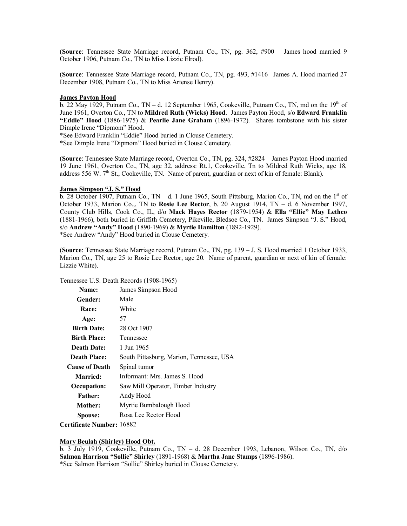(**Source**: Tennessee State Marriage record, Putnam Co., TN, pg. 362, #900 – James hood married 9 October 1906, Putnam Co., TN to Miss Lizzie Elrod).

(**Source**: Tennessee State Marriage record, Putnam Co., TN, pg. 493, #1416– James A. Hood married 27 December 1908, Putnam Co., TN to Miss Artense Henry).

#### **James Payton Hood**

 $\overline{b}$ . 22 May 1929, Putnam Co., TN – d. 12 September 1965, Cookeville, Putnam Co., TN, md on the 19<sup>th</sup> of June 1961, Overton Co., TN to **Mildred Ruth (Wicks) Hood**. James Payton Hood, s/o **Edward Franklin "Eddie" Hood** (1886-1975) & **Pearlie Jane Graham** (1896-1972). Shares tombstone with his sister Dimple Irene "Dipmom" Hood.

\*See Edward Franklin "Eddie" Hood buried in Clouse Cemetery.

\*See Dimple Irene "Dipmom" Hood buried in Clouse Cemetery.

(**Source**: Tennessee State Marriage record, Overton Co., TN, pg. 324, #2824 – James Payton Hood married 19 June 1961, Overton Co., TN, age 32, address: Rt.1, Cookeville, Tn to Mildred Ruth Wicks, age 18, address 556 W.  $7<sup>th</sup>$  St., Cookeville, TN. Name of parent, guardian or next of kin of female: Blank).

#### **James Simpson "J. S." Hood**

b. 28 October 1907, Putnam Co.,  $TN - d$ . 1 June 1965, South Pittsburg, Marion Co., TN, md on the 1st of October 1933, Marion Co.,, TN to **Rosie Lee Rector**, b. 20 August 1914, TN – d. 6 November 1997, County Club Hills, Cook Co., IL, d/o **Mack Hayes Rector** (1879-1954) & **Ella "Ellie" May Lethco** (1881-1966), both buried in Griffith Cemetery, Pikeville, Bledsoe Co., TN. James Simpson "J. S." Hood, s/o **Andrew "Andy" Hood** (1890-1969) & **Myrtie Hamilton** (1892-1929). \*See Andrew "Andy" Hood buried in Clouse Cemetery.

(**Source**: Tennessee State Marriage record, Putnam Co., TN, pg. 139 – J. S. Hood married 1 October 1933, Marion Co., TN, age 25 to Rosie Lee Rector, age 20. Name of parent, guardian or next of kin of female: Lizzie White).

Tennessee U.S. Death Records (1908-1965)

| Name:                 | James Simpson Hood                       |
|-----------------------|------------------------------------------|
| Gender:               | Male                                     |
| Race:                 | White                                    |
| Age:                  | 57                                       |
| <b>Birth Date:</b>    | 28 Oct 1907                              |
| <b>Birth Place:</b>   | Tennessee                                |
| <b>Death Date:</b>    | 1 Jun 1965                               |
| <b>Death Place:</b>   | South Pittasburg, Marion, Tennessee, USA |
| <b>Cause of Death</b> | Spinal tumor                             |
| <b>Married:</b>       | Informant: Mrs. James S. Hood            |
| Occupation:           | Saw Mill Operator, Timber Industry       |
| <b>Father:</b>        | Andy Hood                                |
| Mother:               | Myrtie Bumbalough Hood                   |
| Spouse:               | Rosa Lee Rector Hood                     |

**Certificate Number:** 16882

### **Mary Beulah (Shirley) Hood Obt.**

b. 3 July 1919, Cookeville, Putnam Co., TN – d. 28 December 1993, Lebanon, Wilson Co., TN, d/o **Salmon Harrison "Sollie" Shirley** (1891-1968) & **Martha Jane Stamps** (1896-1986). \*See Salmon Harrison "Sollie" Shirley buried in Clouse Cemetery.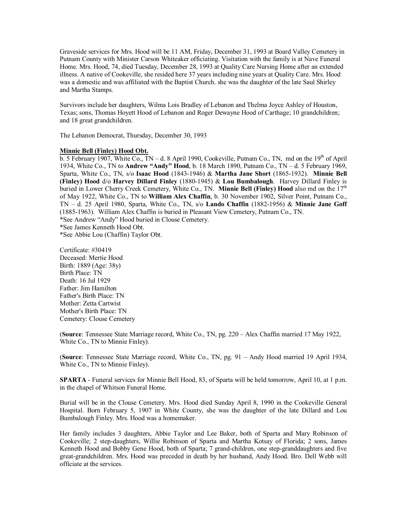Graveside services for Mrs. Hood will be 11 AM, Friday, December 31, 1993 at Board Valley Cemetery in Putnam County with Minister Carson Whiteaker officiating. Visitation with the family is at Nave Funeral Home. Mrs. Hood, 74, died Tuesday, December 28, 1993 at Quality Care Nursing Home after an extended illness. A native of Cookeville, she resided here 37 years including nine years at Quality Care. Mrs. Hood was a domestic and was affiliated with the Baptist Church. she was the daughter of the late Saul Shirley and Martha Stamps.

Survivors include her daughters, Wilma Lois Bradley of Lebanon and Thelma Joyce Ashley of Houston, Texas; sons, Thomas Hoyett Hood of Lebanon and Roger Dewayne Hood of Carthage; 10 grandchildren; and 18 great grandchildren.

The Lebanon Democrat, Thursday, December 30, 1993

### **Minnie Bell (Finley) Hood Obt.**

 $\overline{b}$ . 5 February 1907, White Co., TN – d. 8 April 1990, Cookeville, Putnam Co., TN, md on the 19<sup>th</sup> of April 1934, White Co., TN to **Andrew "Andy" Hood**, b. 18 March 1890, Putnam Co., TN – d. 5 February 1969, Sparta, White Co., TN, s/o **Isaac Hood** (1843-1946) & **Martha Jane Short** (1865-1932). **Minnie Bell (Finley) Hood** d/o **Harvey Dillard Finley** (1880-1945) & **Lou Bumbalough**. Harvey Dillard Finley is buried in Lower Cherry Creek Cemetery, White Co., TN. **Minnie Bell (Finley) Hood** also md on the 17<sup>th</sup> of May 1922, White Co., TN to **William Alex Chaffin**, b. 30 November 1902, Silver Point, Putnam Co., TN – d. 25 April 1980, Sparta, White Co., TN, s/o **Lando Chaffin** (1882-1956) & **Minnie Jane Goff** (1885-1963). William Alex Chaffin is buried in Pleasant View Cemetery, Putnam Co., TN. \*See Andrew "Andy" Hood buried in Clouse Cemetery. \*See James Kenneth Hood Obt.

\*See Abbie Lou (Chaffin) Taylor Obt.

Certificate: #30419 Deceased: Mertie Hood Birth: 1889 (Age: 38y) Birth Place: TN Death: 16 Jul 1929 Father: Jim Hamilton Father's Birth Place: TN Mother: Zetta Cartwist Mother's Birth Place: TN Cemetery: Clouse Cemetery

(**Source**: Tennessee State Marriage record, White Co., TN, pg. 220 – Alex Chaffin married 17 May 1922, White Co., TN to Minnie Finley).

(**Source**: Tennessee State Marriage record, White Co., TN, pg. 91 – Andy Hood married 19 April 1934, White Co., TN to Minnie Finley).

**SPARTA** - Funeral services for Minnie Bell Hood, 83, of Sparta will be held tomorrow, April 10, at 1 p.m. in the chapel of Whitson Funeral Home.

Burial will be in the Clouse Cemetery. Mrs. Hood died Sunday April 8, 1990 in the Cookeville General Hospital. Born February 5, 1907 in White County, she was the daughter of the late Dillard and Lou Bumbalough Finley. Mrs. Hood was a homemaker.

Her family includes 3 daughters, Abbie Taylor and Lee Baker, both of Sparta and Mary Robinson of Cookeville; 2 step-daughters, Willie Robinson of Sparta and Martha Kotsay of Florida; 2 sons, James Kenneth Hood and Bobby Gene Hood, both of Sparta; 7 grand-children, one step-granddaughters and five great-grandchildren. Mrs. Hood was preceded in death by her husband, Andy Hood. Bro. Dell Webb will officiate at the services.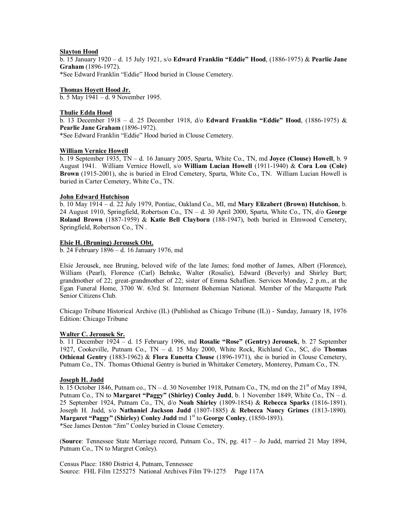# **Slayton Hood**

b. 15 January 1920 – d. 15 July 1921, s/o **Edward Franklin "Eddie" Hood**, (1886-1975) & **Pearlie Jane Graham** (1896-1972).

\*See Edward Franklin "Eddie" Hood buried in Clouse Cemetery.

# **Thomas Hoyett Hood Jr.**

b. 5 May 1941 – d. 9 November 1995.

# **Thulie Edda Hood**

b. 13 December 1918 – d. 25 December 1918, d/o **Edward Franklin "Eddie" Hood**, (1886-1975) & **Pearlie Jane Graham** (1896-1972).

\*See Edward Franklin "Eddie" Hood buried in Clouse Cemetery.

# **William Vernice Howell**

b. 19 September 1935, TN – d. 16 January 2005, Sparta, White Co., TN, md **Joyce (Clouse) Howell**, b. 9 August 1941. William Vernice Howell, s/o **William Lucian Howell** (1911-1940) & **Cora Lou (Cole) Brown** (1915-2001), she is buried in Elrod Cemetery, Sparta, White Co., TN. William Lucian Howell is buried in Carter Cemetery, White Co., TN.

# **John Edward Hutchison**

b. 10 May 1914 – d. 22 July 1979, Pontiac, Oakland Co., MI, md **Mary Elizabert (Brown) Hutchison**, b. 24 August 1910, Springfield, Robertson Co., TN – d. 30 April 2000, Sparta, White Co., TN, d/o **George Roland Brown** (1887-1959) & **Katie Bell Clayborn** (188-1947), both buried in Elmwood Cemetery, Springfield, Robertson Co., TN .

# **Elsie H. (Bruning) Jerousek Obt.**

b. 24 February 1896 – d. 16 January 1976, md

Elsie Jerousek, nee Bruning, beloved wife of the late James; fond mother of James, Albert (Florence), William (Pearl), Florence (Carl) Behnke, Walter (Rosalie), Edward (Beverly) and Shirley Burt; grandmother of 22; great-grandmother of 22; sister of Emma Schaflien. Services Monday, 2 p.m., at the Egan Funeral Home, 3700 W. 63rd St. Interment Bohemian National. Member of the Marquette Park Senior Citizens Club.

Chicago Tribune Historical Archive (IL) (Published as Chicago Tribune (IL)) - Sunday, January 18, 1976 Edition: Chicago Tribune

# **Walter C. Jerousek Sr.**

b. 11 December 1924 – d. 15 February 1996, md **Rosalie "Rose" (Gentry) Jerousek**, b. 27 September 1927, Cookeville, Putnam Co., TN – d. 15 May 2000, White Rock, Richland Co., SC, d/o **Thomas Othienal Gentry** (1883-1962) & **Flora Eunetta Clouse** (1896-1971), she is buried in Clouse Cemetery, Putnam Co., TN. Thomas Othienal Gentry is buried in Whittaker Cemetery, Monterey, Putnam Co., TN.

### **Joseph H. Judd**

 $\overline{b}$ . 15 October 1846, Putnam co., TN – d. 30 November 1918, Putnam Co., TN, md on the 21<sup>st</sup> of May 1894, Putnam Co., TN to **Margaret "Paggy" (Shirley) Conley Judd**, b. 1 November 1849, White Co., TN – d. 25 September 1924, Putnam Co., TN, d/o **Noah Shirley** (1809-1854) & **Rebecca Sparks** (1816-1891). Joseph H. Judd, s/o **Nathaniel Jackson Judd** (1807-1885) & **Rebecca Nancy Grimes** (1813-1890). **Margaret "Paggy" (Shirley) Conley Judd** md 1<sup>st</sup> to **George Conley**, (1850-1893). \*See James Denton "Jim" Conley buried in Clouse Cemetery.

(**Source**: Tennessee State Marriage record, Putnam Co., TN, pg. 417 – Jo Judd, married 21 May 1894, Putnam Co., TN to Margret Conley).

Census Place: 1880 District 4, Putnam, Tennessee Source: FHL Film 1255275 National Archives Film T9-1275 Page 117A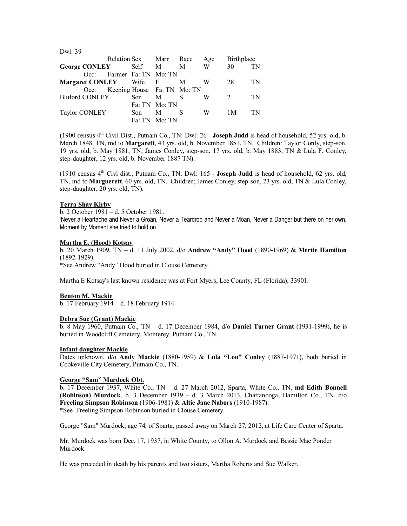| LW1: 39                       |  |      |                                  |     |     |               |    |
|-------------------------------|--|------|----------------------------------|-----|-----|---------------|----|
|                               |  |      | Relation Sex Marr Race           |     | Age | Birthplace    |    |
| George CONLEY Self M          |  |      |                                  | M   | W   | 30            | TN |
|                               |  |      | Occ: Farmer Fa: TN Mo: TN        |     |     |               |    |
| <b>Margaret CONLEY</b> Wife F |  |      |                                  | M   | W   | 28            | TN |
|                               |  |      | Occ: Keeping House Fa: TN Mo: TN |     |     |               |    |
| <b>Bluford CONLEY</b>         |  | Son  | M                                | - S | W   | $\mathcal{L}$ | TN |
|                               |  |      | Fa: TN Mo: TN                    |     |     |               |    |
| Taylor CONLEY                 |  | Son. | M                                | S   | W   | 1 M           | TN |
|                               |  |      | Fa: TN Mo: TN                    |     |     |               |    |
|                               |  |      |                                  |     |     |               |    |

(1900 census 4th Civil Dist., Putnam Co., TN: Dwl: 26 - **Joseph Judd** is head of household, 52 yrs. old, b. March 1848, TN, md to **Margarett**, 43 yrs. old, b. November 1851, TN. Children: Taylor Conly, step-son, 19 yrs. old, b. May 1881, TN; James Conley, step-son, 17 yrs. old, b. May 1883, TN & Lula F. Conley, step-daughter, 12 yrs. old, b. November 1887 TN).

(1910 census  $4<sup>th</sup>$  Civl dist., Putnam Co., TN: Dwl: 165 - **Joseph Judd** is head of household, 62 yrs. old, TN, md to **Marguerett**, 60 yrs. old, TN. Children; James Conley, step-son, 23 yrs. old, TN & Lula Conley, step-daughter, 20 yrs. old, TN).

### **Terra Shay Kirby**

 $D = 1.29$ 

b. 2 October 1981 – d. 5 October 1981.

'Never a Heartache and Never a Groan, Never a Teardrop and Never a Moan, Never a Danger but there on her own, Moment by Moment she tried to hold on.'

#### **Martha E. (Hood) Kotsay**

b. 20 March 1909, TN – d. 11 July 2002, d/o **Andrew "Andy" Hood** (1890-1969) & **Mertie Hamilton** (1892-1929).

\*See Andrew "Andy" Hood buried in Clouse Cemetery.

Martha E Kotsay's last known residence was at Fort Myers, Lee County, FL (Florida), 33901.

### **Benton M. Mackie**

b. 17 February 1914 – d. 18 February 1914.

#### **Debra Sue (Grant) Mackie**

b. 8 May 1960, Putnam Co., TN – d. 17 December 1984, d/o **Daniel Turner Grant** (1931-1999), he is buried in Woodcliff Cemetery, Monterey, Putnam Co., TN.

#### **Infant daughter Mackie**

Dates unknown, d/o **Andy Mackie** (1880-1959) & **Lula "Lou" Conley** (1887-1971), both buried in Cookeville City Cemetery, Putnam Co., TN.

### **George "Sam" Murdock Obt.**

b. 17 December 1937, White Co., TN – d. 27 March 2012, Sparta, White Co., TN, **md Edith Bonnell (Robinson) Murdock**, b. 3 December 1939 – d. 3 March 2013, Chattanooga, Hamilton Co., TN, d/o **Freeling Simpson Robinson** (1906-1981) & **Altie Jane Nabors** (1910-1987). \*See Freeling Simpson Robinson buried in Clouse Cemetery.

George "Sam" Murdock, age 74, of Sparta, passed away on March 27, 2012, at Life Care Center of Sparta.

Mr. Murdock was born Dec. 17, 1937, in White County, to Ollon A. Murdock and Bessie Mae Ponder Murdock.

He was preceded in death by his parents and two sisters, Martha Roberts and Sue Walker.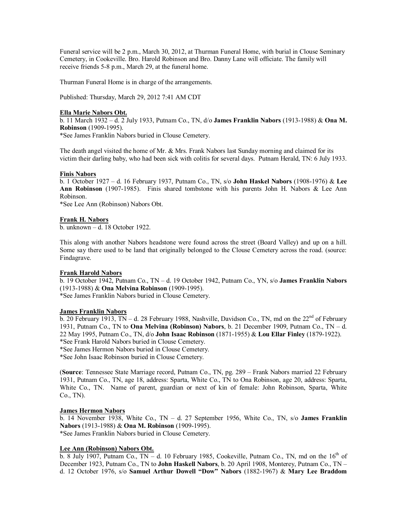Funeral service will be 2 p.m., March 30, 2012, at Thurman Funeral Home, with burial in Clouse Seminary Cemetery, in Cookeville. Bro. Harold Robinson and Bro. Danny Lane will officiate. The family will receive friends 5-8 p.m., March 29, at the funeral home.

Thurman Funeral Home is in charge of the arrangements.

Published: Thursday, March 29, 2012 7:41 AM CDT

### **Ella Marie Nabors Obt.**

b. 11 March 1932 – d. 2 July 1933, Putnam Co., TN, d/o **James Franklin Nabors** (1913-1988) & **Ona M. Robinson** (1909-1995).

\*See James Franklin Nabors buried in Clouse Cemetery.

The death angel visited the home of Mr. & Mrs. Frank Nabors last Sunday morning and claimed for its victim their darling baby, who had been sick with colitis for several days. Putnam Herald, TN: 6 July 1933.

# **Finis Nabors**

b. 1 October 1927 – d. 16 February 1937, Putnam Co., TN, s/o **John Haskel Nabors** (1908-1976) & **Lee Ann Robinson** (1907-1985). Finis shared tombstone with his parents John H. Nabors & Lee Ann Robinson.

\*See Lee Ann (Robinson) Nabors Obt.

### **Frank H. Nabors**

b. unknown – d. 18 October 1922.

This along with another Nabors headstone were found across the street (Board Valley) and up on a hill. Some say there used to be land that originally belonged to the Clouse Cemetery across the road. (source: Findagrave.

### **Frank Harold Nabors**

b. 19 October 1942, Putnam Co., TN – d. 19 October 1942, Putnam Co., YN, s/o **James Franklin Nabors** (1913-1988) & **Ona Melvina Robinson** (1909-1995).

\*See James Franklin Nabors buried in Clouse Cemetery.

### **James Franklin Nabors**

b. 20 February 1913, TN – d. 28 February 1988, Nashville, Davidson Co., TN, md on the  $22<sup>nd</sup>$  of February 1931, Putnam Co., TN to **Ona Melvina (Robinson) Nabors**, b. 21 December 1909, Putnam Co., TN – d. 22 May 1995, Putnam Co., TN, d/o **John Isaac Robinson** (1871-1955) & **Lou Ellar Finley** (1879-1922).

\*See Frank Harold Nabors buried in Clouse Cemetery.

\*See James Hermon Nabors buried in Clouse Cemetery.

\*See John Isaac Robinson buried in Clouse Cemetery.

(**Source**: Tennessee State Marriage record, Putnam Co., TN, pg. 289 – Frank Nabors married 22 February 1931, Putnam Co., TN, age 18, address: Sparta, White Co., TN to Ona Robinson, age 20, address: Sparta, White Co., TN. Name of parent, guardian or next of kin of female: John Robinson, Sparta, White Co., TN).

### **James Hermon Nabors**

b. 14 November 1938, White Co., TN – d. 27 September 1956, White Co., TN, s/o **James Franklin Nabors** (1913-1988) & **Ona M. Robinson** (1909-1995). \*See James Franklin Nabors buried in Clouse Cemetery.

# **Lee Ann (Robinson) Nabors Obt.**

 $\overline{b}$ . 8 July 1907, Putnam Co., TN – d. 10 February 1985, Cookeville, Putnam Co., TN, md on the 16<sup>th</sup> of December 1923, Putnam Co., TN to **John Haskell Nabors**, b. 20 April 1908, Monterey, Putnam Co., TN – d. 12 October 1976, s/o **Samuel Arthur Dowell "Dow" Nabors** (1882-1967) & **Mary Lee Braddom**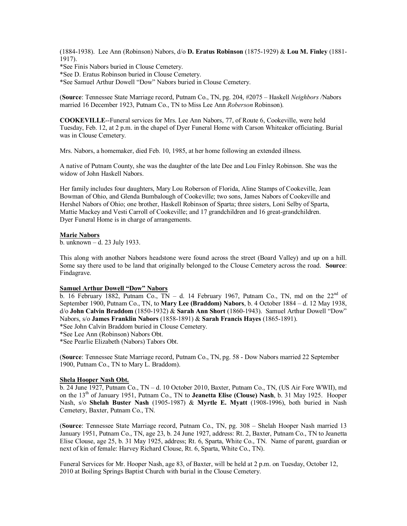(1884-1938). Lee Ann (Robinson) Nabors, d/o **D. Eratus Robinson** (1875-1929) & **Lou M. Finley** (1881- 1917).

\*See Finis Nabors buried in Clouse Cemetery.

\*See D. Eratus Robinson buried in Clouse Cemetery.

\*See Samuel Arthur Dowell "Dow" Nabors buried in Clouse Cemetery.

(**Source**: Tennessee State Marriage record, Putnam Co., TN, pg. 204, #2075 – Haskell *Neighbors /*Nabors married 16 December 1923, Putnam Co., TN to Miss Lee Ann *Roberson* Robinson).

**COOKEVILLE**--Funeral services for Mrs. Lee Ann Nabors, 77, of Route 6, Cookeville, were held Tuesday, Feb. 12, at 2 p.m. in the chapel of Dyer Funeral Home with Carson Whiteaker officiating. Burial was in Clouse Cemetery.

Mrs. Nabors, a homemaker, died Feb. 10, 1985, at her home following an extended illness.

A native of Putnam County, she was the daughter of the late Dee and Lou Finley Robinson. She was the widow of John Haskell Nabors.

Her family includes four daughters, Mary Lou Roberson of Florida, Aline Stamps of Cookeville, Jean Bowman of Ohio, and Glenda Bumbalough of Cookeville; two sons, James Nabors of Cookeville and Hershel Nabors of Ohio; one brother, Haskell Robinson of Sparta; three sisters, Loni Selby of Sparta, Mattie Mackey and Vesti Carroll of Cookeville; and 17 grandchildren and 16 great-grandchildren. Dyer Funeral Home is in charge of arrangements.

#### **Marie Nabors**

b. unknown – d. 23 July 1933.

This along with another Nabors headstone were found across the street (Board Valley) and up on a hill. Some say there used to be land that originally belonged to the Clouse Cemetery across the road. **Source**: Findagrave.

### **Samuel Arthur Dowell "Dow" Nabors**

b. 16 February 1882, Putnam Co., TN – d. 14 February 1967, Putnam Co., TN, md on the  $22^{nd}$  of September 1900, Putnam Co., TN, to **Mary Lee (Braddom) Nabors**, b. 4 October 1884 – d. 12 May 1938, d/o **John Calvin Braddom** (1850-1932) & **Sarah Ann Short** (1860-1943). Samuel Arthur Dowell "Dow" Nabors, s/o **James Franklin Nabors** (1858-1891) & **Sarah Francis Hayes** (1865-1891).

\*See John Calvin Braddom buried in Clouse Cemetery.

\*See Lee Ann (Robinson) Nabors Obt.

\*See Pearlie Elizabeth (Nabors) Tabors Obt.

(**Source**: Tennessee State Marriage record, Putnam Co., TN, pg. 58 - Dow Nabors married 22 September 1900, Putnam Co., TN to Mary L. Braddom).

### **Shela Hooper Nash Obt.**

b. 24 June 1927, Putnam Co., TN – d. 10 October 2010, Baxter, Putnam Co., TN, (US Air Fore WWII), md on the 13th of January 1951, Putnam Co., TN to **Jeanetta Elise (Clouse) Nash**, b. 31 May 1925. Hooper Nash, s/o **Shelah Buster Nash** (1905-1987) & **Myrtle E. Myatt** (1908-1996), both buried in Nash Cemetery, Baxter, Putnam Co., TN.

(**Source**: Tennessee State Marriage record, Putnam Co., TN, pg. 308 – Shelah Hooper Nash married 13 January 1951, Putnam Co., TN, age 23, b. 24 June 1927, address: Rt. 2, Baxter, Putnam Co., TN to Jeanetta Elise Clouse, age 25, b. 31 May 1925, address; Rt. 6, Sparta, White Co., TN. Name of parent, guardian or next of kin of female: Harvey Richard Clouse, Rt. 6, Sparta, White Co., TN).

Funeral Services for Mr. Hooper Nash, age 83, of Baxter, will be held at 2 p.m. on Tuesday, October 12, 2010 at Boiling Springs Baptist Church with burial in the Clouse Cemetery.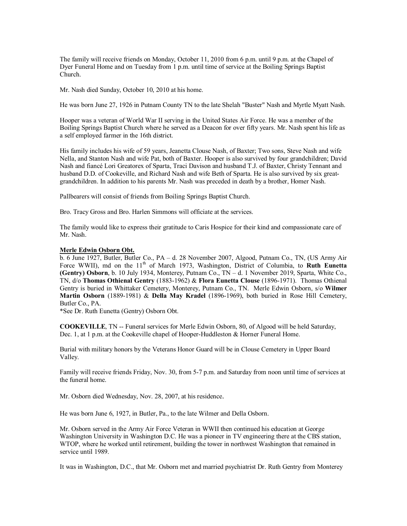The family will receive friends on Monday, October 11, 2010 from 6 p.m. until 9 p.m. at the Chapel of Dyer Funeral Home and on Tuesday from 1 p.m. until time of service at the Boiling Springs Baptist Church.

Mr. Nash died Sunday, October 10, 2010 at his home.

He was born June 27, 1926 in Putnam County TN to the late Shelah "Buster" Nash and Myrtle Myatt Nash.

Hooper was a veteran of World War II serving in the United States Air Force. He was a member of the Boiling Springs Baptist Church where he served as a Deacon for over fifty years. Mr. Nash spent his life as a self employed farmer in the 16th district.

His family includes his wife of 59 years, Jeanetta Clouse Nash, of Baxter; Two sons, Steve Nash and wife Nella, and Stanton Nash and wife Pat, both of Baxter. Hooper is also survived by four grandchildren; David Nash and fiancé Lori Greatorex of Sparta, Traci Davison and husband T.J. of Baxter, Christy Tennant and husband D.D. of Cookeville, and Richard Nash and wife Beth of Sparta. He is also survived by six greatgrandchildren. In addition to his parents Mr. Nash was preceded in death by a brother, Homer Nash.

Pallbearers will consist of friends from Boiling Springs Baptist Church.

Bro. Tracy Gross and Bro. Harlen Simmons will officiate at the services.

The family would like to express their gratitude to Caris Hospice for their kind and compassionate care of Mr. Nash.

#### **Merle Edwin Osborn Obt.**

b. 6 June 1927, Butler, Butler Co., PA – d. 28 November 2007, Algood, Putnam Co., TN, (US Army Air Force WWII), md on the 11<sup>th</sup> of March 1973, Washington, District of Columbia, to **Ruth Eunetta (Gentry) Osborn**, b. 10 July 1934, Monterey, Putnam Co., TN – d. 1 November 2019, Sparta, White Co., TN, d/o **Thomas Othienal Gentry** (1883-1962) & **Flora Eunetta Clouse** (1896-1971). Thomas Othienal Gentry is buried in Whittaker Cemetery, Monterey, Putnam Co., TN. Merle Edwin Osborn, s/o **Wilmer Martin Osborn** (1889-1981) & **Della May Kradel** (1896-1969), both buried in Rose Hill Cemetery, Butler Co., PA.

\*See Dr. Ruth Eunetta (Gentry) Osborn Obt.

**COOKEVILLE**, TN -- Funeral services for Merle Edwin Osborn, 80, of Algood will be held Saturday, Dec. 1, at 1 p.m. at the Cookeville chapel of Hooper-Huddleston & Horner Funeral Home.

Burial with military honors by the Veterans Honor Guard will be in Clouse Cemetery in Upper Board Valley.

Family will receive friends Friday, Nov. 30, from 5-7 p.m. and Saturday from noon until time of services at the funeral home.

Mr. Osborn died Wednesday, Nov. 28, 2007, at his residence.

He was born June 6, 1927, in Butler, Pa., to the late Wilmer and Della Osborn.

Mr. Osborn served in the Army Air Force Veteran in WWII then continued his education at George Washington University in Washington D.C. He was a pioneer in TV engineering there at the CBS station, WTOP, where he worked until retirement, building the tower in northwest Washington that remained in service until 1989.

It was in Washington, D.C., that Mr. Osborn met and married psychiatrist Dr. Ruth Gentry from Monterey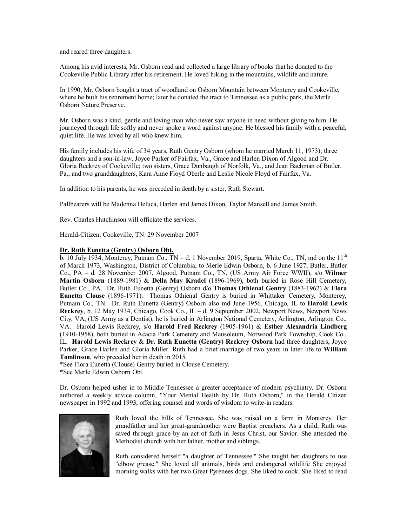and reared three daughters.

Among his avid interests, Mr. Osborn read and collected a large library of books that he donated to the Cookeville Public Library after his retirement. He loved hiking in the mountains, wildlife and nature.

In 1990, Mr. Osborn bought a tract of woodland on Osborn Mountain between Monterey and Cookeville, where he built his retirement home; later he donated the tract to Tennessee as a public park, the Merle Osborn Nature Preserve.

Mr. Osborn was a kind, gentle and loving man who never saw anyone in need without giving to him. He journeyed through life softly and never spoke a word against anyone. He blessed his family with a peaceful, quiet life. He was loved by all who knew him.

His family includes his wife of 34 years, Ruth Gentry Osborn (whom he married March 11, 1973); three daughters and a son-in-law, Joyce Parker of Fairfax, Va., Grace and Harlen Dixon of Algood and Dr. Gloria Reckrey of Cookeville; two sisters, Grace Dunbaugh of Norfolk, Va., and Jean Bachman of Butler, Pa.; and two granddaughters, Kara Anne Floyd Oberle and Leslie Nicole Floyd of Fairfax, Va.

In addition to his parents, he was preceded in death by a sister, Ruth Stewart.

Pallbearers will be Madonna Deluca, Harlen and James Dixon, Taylor Mansell and James Smith.

Rev. Charles Hutchinson will officiate the services.

Herald-Citizen, Cookeville, TN: 29 November 2007

#### **Dr. Ruth Eunetta (Gentry) Osborn Obt.**

b. 10 July 1934, Monterey, Putnam Co.,  $TN - d$ . 1 November 2019, Sparta, White Co., TN, md on the  $11<sup>th</sup>$ of March 1973, Washington, District of Columbia, to Merle Edwin Osborn, b. 6 June 1927, Butler, Butler Co., PA – d. 28 November 2007, Algood, Putnam Co., TN, (US Army Air Force WWII), s/o **Wilmer Martin Osborn** (1889-1981) & **Della May Kradel** (1896-1969), both buried in Rose Hill Cemetery, Butler Co., PA. Dr. Ruth Eunetta (Gentry) Osborn d/o **Thomas Othienal Gentry** (1883-1962) & **Flora Eunetta Clouse** (1896-1971). Thomas Othienal Gentry is buried in Whittaker Cemetery, Monterey, Putnam Co., TN. Dr. Ruth Eunetta (Gentry) Osborn also md June 1956, Chicago, IL to **Harold Lewis Reckrey**, b. 12 May 1934, Chicago, Cook Co., IL – d. 9 September 2002, Newport News, Newport News City, VA, (US Army as a Dentist), he is buried in Arlington National Cemetery, Arlington, Arlington Co., VA. Harold Lewis Reckrey, s/o **Harold Fred Reckrey** (1905-1961) & **Esther Alexandria Lindberg** (1910-1958), both buried in Acacia Park Cemetery and Mausoleum, Norwood Park Township, Cook Co., IL. **Harold Lewis Reckrey** & **Dr. Ruth Eunetta (Gentry) Reckrey Osborn** had three daughters, Joyce Parker, Grace Harlen and Gloria Miller. Ruth had a brief marriage of two years in later life to **William Tomlinson**, who preceded her in death in 2015.

\*See Flora Eunetta (Clouse) Gentry buried in Clouse Cemetery.

\*See Merle Edwin Osborn Obt.

Dr. Osborn helped usher in to Middle Tennessee a greater acceptance of modern psychiatry. Dr. Osborn authored a weekly advice column, "Your Mental Health by Dr. Ruth Osborn," in the Herald Citizen newspaper in 1992 and 1993, offering counsel and words of wisdom to write-in readers.



Ruth loved the hills of Tennessee. She was raised on a farm in Monterey. Her grandfather and her great-grandmother were Baptist preachers. As a child, Ruth was saved through grace by an act of faith in Jesus Christ, our Savior. She attended the Methodist church with her father, mother and siblings.

Ruth considered herself "a daughter of Tennessee." She taught her daughters to use "elbow grease." She loved all animals, birds and endangered wildlife She enjoyed morning walks with her two Great Pyrenees dogs. She liked to cook. She liked to read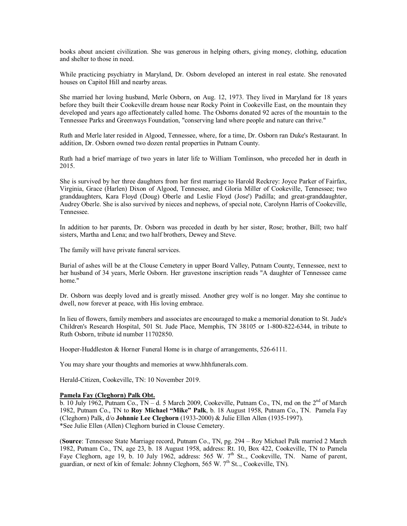books about ancient civilization. She was generous in helping others, giving money, clothing, education and shelter to those in need.

While practicing psychiatry in Maryland, Dr. Osborn developed an interest in real estate. She renovated houses on Capitol Hill and nearby areas.

She married her loving husband, Merle Osborn, on Aug. 12, 1973. They lived in Maryland for 18 years before they built their Cookeville dream house near Rocky Point in Cookeville East, on the mountain they developed and years ago affectionately called home. The Osborns donated 92 acres of the mountain to the Tennessee Parks and Greenways Foundation, "conserving land where people and nature can thrive."

Ruth and Merle later resided in Algood, Tennessee, where, for a time, Dr. Osborn ran Duke's Restaurant. In addition, Dr. Osborn owned two dozen rental properties in Putnam County.

Ruth had a brief marriage of two years in later life to William Tomlinson, who preceded her in death in 2015.

She is survived by her three daughters from her first marriage to Harold Reckrey: Joyce Parker of Fairfax, Virginia, Grace (Harlen) Dixon of Algood, Tennessee, and Gloria Miller of Cookeville, Tennessee; two granddaughters, Kara Floyd (Doug) Oberle and Leslie Floyd (Jose') Padilla; and great-granddaughter, Audrey Oberle. She is also survived by nieces and nephews, of special note, Carolynn Harris of Cookeville, Tennessee.

In addition to her parents, Dr. Osborn was preceded in death by her sister, Rose; brother, Bill; two half sisters, Martha and Lena; and two half brothers, Dewey and Steve.

The family will have private funeral services.

Burial of ashes will be at the Clouse Cemetery in upper Board Valley, Putnam County, Tennessee, next to her husband of 34 years, Merle Osborn. Her gravestone inscription reads "A daughter of Tennessee came home."

Dr. Osborn was deeply loved and is greatly missed. Another grey wolf is no longer. May she continue to dwell, now forever at peace, with His loving embrace.

In lieu of flowers, family members and associates are encouraged to make a memorial donation to St. Jude's Children's Research Hospital, 501 St. Jude Place, Memphis, TN 38105 or 1-800-822-6344, in tribute to Ruth Osborn, tribute id number 11702850.

Hooper-Huddleston & Horner Funeral Home is in charge of arrangements, 526-6111.

You may share your thoughts and memories at [www.hhhfunerals.com.](http://www.hhhfunerals.com./)

Herald-Citizen, Cookeville, TN: 10 November 2019.

### **Pamela Fay (Cleghorn) Palk Obt.**

 $\overline{b}$ . 10 July 1962, Putnam Co., TN – d. 5 March 2009, Cookeville, Putnam Co., TN, md on the 2<sup>nd</sup> of March 1982, Putnam Co., TN to **Roy Michael "Mike" Palk**, b. 18 August 1958, Putnam Co., TN. Pamela Fay (Cleghorn) Palk, d/o **Johnnie Lee Cleghorn** (1933-2000) & Julie Ellen Allen (1935-1997). \*See Julie Ellen (Allen) Cleghorn buried in Clouse Cemetery.

(**Source**: Tennessee State Marriage record, Putnam Co., TN, pg. 294 – Roy Michael Palk married 2 March 1982, Putnam Co., TN, age 23, b. 18 August 1958, address: Rt. 10, Box 422, Cookeville, TN to Pamela Faye Cleghorn, age 19, b. 10 July 1962, address: 565 W. 7<sup>th</sup> St.., Cookeville, TN. Name of parent, guardian, or next of kin of female: Johnny Cleghorn, 565 W.  $7<sup>th</sup>$  St.., Cookeville, TN).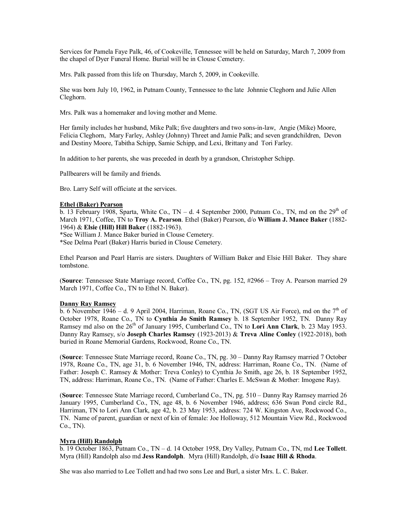Services for Pamela Faye Palk, 46, of Cookeville, Tennessee will be held on Saturday, March 7, 2009 from the chapel of Dyer Funeral Home. Burial will be in Clouse Cemetery.

Mrs. Palk passed from this life on Thursday, March 5, 2009, in Cookeville.

She was born July 10, 1962, in Putnam County, Tennessee to the late Johnnie Cleghorn and Julie Allen Cleghorn.

Mrs. Palk was a homemaker and loving mother and Meme.

Her family includes her husband, Mike Palk; five daughters and two sons-in-law, Angie (Mike) Moore, Felicia Cleghorn, Mary Farley, Ashley (Johnny) Threet and Jamie Palk; and seven grandchildren, Devon and Destiny Moore, Tabitha Schipp, Samie Schipp, and Lexi, Brittany and Tori Farley.

In addition to her parents, she was preceded in death by a grandson, Christopher Schipp.

Pallbearers will be family and friends.

Bro. Larry Self will officiate at the services.

### **Ethel (Baker) Pearson**

b. 13 February 1908, Sparta, White Co., TN – d. 4 September 2000, Putnam Co., TN, md on the 29<sup>th</sup> of March 1971, Coffee, TN to **Troy A. Pearson**. Ethel (Baker) Pearson, d/o **William J. Mance Baker** (1882- 1964) & **Elsie (Hill) Hill Baker** (1882-1963).

\*See William J. Mance Baker buried in Clouse Cemetery.

\*See Delma Pearl (Baker) Harris buried in Clouse Cemetery.

Ethel Pearson and Pearl Harris are sisters. Daughters of William Baker and Elsie Hill Baker. They share tombstone.

(**Source**: Tennessee State Marriage record, Coffee Co., TN, pg. 152, #2966 – Troy A. Pearson married 29 March 1971, Coffee Co., TN to Ethel N. Baker).

# **Danny Ray Ramsey**

 $\overline{b}$ . 6 November 1946 – d. 9 April 2004, Harriman, Roane Co., TN, (SGT US Air Force), md on the 7<sup>th</sup> of October 1978, Roane Co., TN to **Cynthia Jo Smith Ramsey** b. 18 September 1952, TN. Danny Ray Ramsey md also on the 26<sup>th</sup> of January 1995, Cumberland Co., TN to Lori Ann Clark, b. 23 May 1953. Danny Ray Ramsey, s/o **Joseph Charles Ramsey** (1923-2013) & **Treva Aline Conley** (1922-2018), both buried in Roane Memorial Gardens, Rockwood, Roane Co., TN.

(**Source**: Tennessee State Marriage record, Roane Co., TN, pg. 30 – Danny Ray Ramsey married 7 October 1978, Roane Co., TN, age 31, b. 6 November 1946, TN, address: Harriman, Roane Co., TN. (Name of Father: Joseph C. Ramsey & Mother: Treva Conley) to Cynthia Jo Smith, age 26, b. 18 September 1952, TN, address: Harriman, Roane Co., TN. (Name of Father: Charles E. McSwan & Mother: Imogene Ray).

(**Source**: Tennessee State Marriage record, Cumberland Co., TN, pg. 510 – Danny Ray Ramsey married 26 January 1995, Cumberland Co., TN, age 48, b. 6 November 1946, address; 636 Swan Pond circle Rd., Harriman, TN to Lori Ann Clark, age 42, b. 23 May 1953, address: 724 W. Kingston Ave, Rockwood Co., TN. Name of parent, guardian or next of kin of female: Joe Holloway, 512 Mountain View Rd., Rockwood Co., TN).

### **Myra (Hill) Randolph**

b. 19 October 1863, Putnam Co., TN – d. 14 October 1958, Dry Valley, Putnam Co., TN, md **Lee Tollett**. Myra (Hill) Randolph also md **Jess Randolph**. Myra (Hill) Randolph, d/o **Isaac Hill & Rhoda**.

She was also married to Lee Tollett and had two sons Lee and Burl, a sister Mrs. L. C. Baker.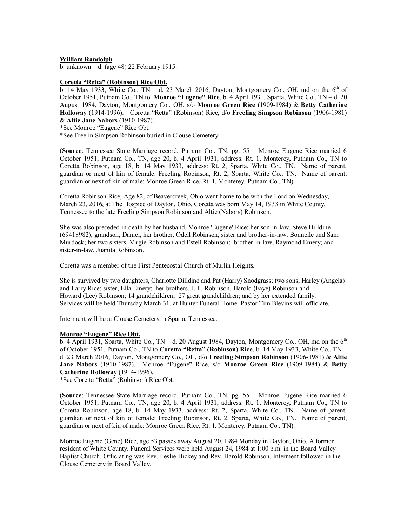### **William Randolph**

b. unknown – d. (age 48) 22 February 1915.

### **Coretta "Retta" (Robinson) Rice Obt.**

b. 14 May 1933, White Co.,  $TN - d$ . 23 March 2016, Dayton, Montgomery Co., OH, md on the 6<sup>th</sup> of October 1951, Putnam Co., TN to **Monroe "Eugene" Rice**, b. 4 April 1931, Sparta, White Co., TN – d. 20 August 1984, Dayton, Montgomery Co., OH, s/o **Monroe Green Rice** (1909-1984) & **Betty Catherine Holloway** (1914-1996). Coretta "Retta" (Robinson) Rice, d/o **Freeling Simpson Robinson** (1906-1981) & **Altie Jane Nabors** (1910-1987).

\*See Monroe "Eugene" Rice Obt.

\*See Freelin Simpson Robinson buried in Clouse Cemetery.

(**Source**: Tennessee State Marriage record, Putnam Co., TN, pg. 55 – Monroe Eugene Rice married 6 October 1951, Putnam Co., TN, age 20, b. 4 April 1931, address: Rt. 1, Monterey, Putnam Co., TN to Coretta Robinson, age 18, b. 14 May 1933, address: Rt. 2, Sparta, White Co., TN. Name of parent, guardian or next of kin of female: Freeling Robinson, Rt. 2, Sparta, White Co., TN. Name of parent, guardian or next of kin of male: Monroe Green Rice, Rt. 1, Monterey, Putnam Co., TN).

Coretta Robinson Rice, Age 82, of Beavercreek, Ohio went home to be with the Lord on Wednesday, March 23, 2016, at The Hospice of Dayton, Ohio. Coretta was born May 14, 1933 in White County, Tennessee to the late Freeling Simpson Robinson and Altie (Nabors) Robinson.

She was also preceded in death by her husband, Monroe 'Eugene' Rice; her son-in-law, Steve Dilldine (69418982); grandson, Daniel; her brother, Odell Robinson; sister and brother-in-law, Bonnelle and Sam Murdock; her two sisters, Virgie Robinson and Estell Robinson; brother-in-law, Raymond Emery; and sister-in-law, Juanita Robinson.

Coretta was a member of the First Pentecostal Church of Murlin Heights.

She is survived by two daughters, Charlotte Dilldine and Pat (Harry) Snodgrass; two sons, Harley (Angela) and Larry Rice; sister, Ella Emery; her brothers, J. L. Robinson, Harold (Faye) Robinson and Howard (Lee) Robinson; 14 grandchildren; 27 great grandchildren; and by her extended family. Services will be held Thursday March 31, at Hunter Funeral Home. Pastor Tim Blevins will officiate.

Interment will be at Clouse Cemetery in Sparta, Tennessee.

### **Monroe "Eugene" Rice Obt.**

b. 4 April 1931, Sparta, White Co., TN - d. 20 August 1984, Dayton, Montgomery Co., OH, md on the  $6<sup>th</sup>$ of October 1951, Putnam Co., TN to **Coretta "Retta" (Robinson) Rice**, b. 14 May 1933, White Co., TN – d. 23 March 2016, Dayton, Montgomery Co., OH, d/o **Freeling Simpson Robinson** (1906-1981) & **Altie Jane Nabors** (1910-1987). Monroe "Eugene" Rice, s/o **Monroe Green Rice** (1909-1984) & **Betty Catherine Holloway** (1914-1996).

\*See Coretta "Retta" (Robinson) Rice Obt.

(**Source**: Tennessee State Marriage record, Putnam Co., TN, pg. 55 – Monroe Eugene Rice married 6 October 1951, Putnam Co., TN, age 20, b. 4 April 1931, address: Rt. 1, Monterey, Putnam Co., TN to Coretta Robinson, age 18, b. 14 May 1933, address: Rt. 2, Sparta, White Co., TN. Name of parent, guardian or next of kin of female: Freeling Robinson, Rt. 2, Sparta, White Co., TN. Name of parent, guardian or next of kin of male: Monroe Green Rice, Rt. 1, Monterey, Putnam Co., TN).

Monroe Eugene (Gene) Rice, age 53 passes away August 20, 1984 Monday in Dayton, Ohio. A former resident of White County. Funeral Services were held August 24, 1984 at 1:00 p.m. in the Board Valley Baptist Church. Officiating was Rev. Leslie Hickey and Rev. Harold Robinson. Interment followed in the Clouse Cemetery in Board Valley.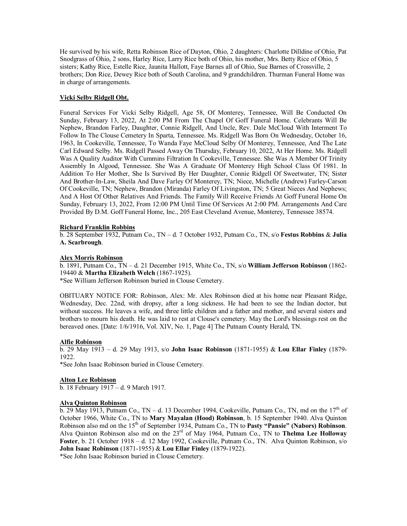He survived by his wife, Retta Robinson Rice of Dayton, Ohio, 2 daughters: Charlotte Dilldine of Ohio, Pat Snodgrass of Ohio, 2 sons, Harley Rice, Larry Rice both of Ohio, his mother, Mrs. Betty Rice of Ohio, 5 sisters; Kathy Rice, Estelle Rice, Jaunita Hallott, Faye Barnes all of Ohio, Sue Barnes of Crossville, 2 brothers; Don Rice, Dewey Rice both of South Carolina, and 9 grandchildren. Thurman Funeral Home was in charge of arrangements.

# **Vicki Selby Ridgell Obt.**

Funeral Services For Vicki Selby Ridgell, Age 58, Of Monterey, Tennessee, Will Be Conducted On Sunday, February 13, 2022, At 2:00 PM From The Chapel Of Goff Funeral Home. Celebrants Will Be Nephew, Brandon Farley, Daughter, Connie Ridgell, And Uncle, Rev. Dale McCloud With Interment To Follow In The Clouse Cemetery In Sparta, Tennessee. Ms. Ridgell Was Born On Wednesday, October 16, 1963, In Cookeville, Tennessee, To Wanda Faye McCloud Selby Of Monterey, Tennessee, And The Late Carl Edward Selby. Ms. Ridgell Passed Away On Thursday, February 10, 2022, At Her Home. Ms. Ridgell Was A Quality Auditor With Cummins Filtration In Cookeville, Tennessee. She Was A Member Of Trinity Assembly In Algood, Tennessee. She Was A Graduate Of Monterey High School Class Of 1981. In Addition To Her Mother, She Is Survived By Her Daughter, Connie Ridgell Of Sweetwater, TN; Sister And Brother-In-Law, Sheila And Dave Farley Of Monterey, TN; Niece, Michelle (Andrew) Farley-Carson Of Cookeville, TN; Nephew, Brandon (Miranda) Farley Of Livingston, TN; 5 Great Nieces And Nephews; And A Host Of Other Relatives And Friends. The Family Will Receive Friends At Goff Funeral Home On Sunday, February 13, 2022, From 12:00 PM Until Time Of Services At 2:00 PM. Arrangements And Care Provided By D.M. Goff Funeral Home, Inc., 205 East Cleveland Avenue, Monterey, Tennessee 38574.

### **Richard Franklin Robbins**

b. 28 September 1932, Putnam Co., TN – d. 7 October 1932, Putnam Co., TN, s/o **Festus Robbins** & **Julia A. Scarbrough**.

### **Alex Morris Robinson**

b. 1891, Putnam Co., TN – d. 21 December 1915, White Co., TN, s/o **William Jefferson Robinson** (1862- 19440 & **Martha Elizabeth Welch** (1867-1925).

\*See William Jefferson Robinson buried in Clouse Cemetery.

OBITUARY NOTICE FOR: Robinson, Alex: Mr. Alex Robinson died at his home near Pleasant Ridge, Wednesday, Dec. 22nd, with dropsy, after a long sickness. He had been to see the Indian doctor, but without success. He leaves a wife, and three little children and a father and mother, and several sisters and brothers to mourn his death. He was laid to rest at Clouse's cemetery. May the Lord's blessings rest on the bereaved ones. [Date: 1/6/1916, Vol. XIV, No. 1, Page 4] The Putnam County Herald, TN.

### **Alfie Robinson**

b. 29 May 1913 – d. 29 May 1913, s/o **John Isaac Robinson** (1871-1955) & **Lou Ellar Finley** (1879- 1922.

\*See John Isaac Robinson buried in Clouse Cemetery.

### **Alton Lee Robinson**

b. 18 February 1917 – d. 9 March 1917.

### **Alva Quinton Robinson**

b. 29 May 1913, Putnam Co.,  $TN - d$ . 13 December 1994, Cookeville, Putnam Co., TN, md on the  $17<sup>th</sup>$  of October 1966, White Co., TN to **Mary Mayalan (Hood) Robinson**, b. 15 September 1940. Alva Quinton Robinson also md on the 15th of September 1934, Putnam Co., TN to **Pasty "Pansie" (Nabors) Robinson**. Alva Quinton Robinson also md on the 23rd of May 1964, Putnam Co., TN to **Thelma Lee Holloway Foster**, b. 21 October 1918 – d. 12 May 1992, Cookeville, Putnam Co., TN. Alva Quinton Robinson, s/o **John Isaac Robinson** (1871-1955) & **Lou Ellar Finley** (1879-1922).

\*See John Isaac Robinson buried in Clouse Cemetery.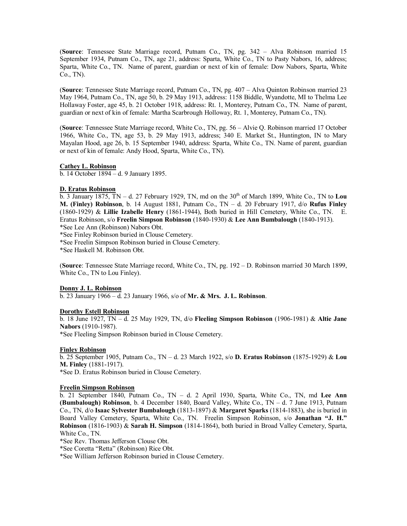(**Source**: Tennessee State Marriage record, Putnam Co., TN, pg. 342 – Alva Robinson married 15 September 1934, Putnam Co., TN, age 21, address: Sparta, White Co., TN to Pasty Nabors, 16, address; Sparta, White Co., TN. Name of parent, guardian or next of kin of female: Dow Nabors, Sparta, White Co., TN).

(**Source**: Tennessee State Marriage record, Putnam Co., TN, pg. 407 – Alva Quinton Robinson married 23 May 1964, Putnam Co., TN, age 50, b. 29 May 1913, address: 1158 Biddle, Wyandotte, MI to Thelma Lee Hollaway Foster, age 45, b. 21 October 1918, address: Rt. 1, Monterey, Putnam Co., TN. Name of parent, guardian or next of kin of female: Martha Scarbrough Holloway, Rt. 1, Monterey, Putnam Co., TN).

(**Source**: Tennessee State Marriage record, White Co., TN, pg. 56 – Alvie Q. Robinson married 17 October 1966, White Co., TN, age 53, b. 29 May 1913, address; 340 E. Market St., Huntington, IN to Mary Mayalan Hood, age 26, b. 15 September 1940, address: Sparta, White Co., TN. Name of parent, guardian or next of kin of female: Andy Hood, Sparta, White Co., TN).

# **Cathey L. Robinson**

b. 14 October 1894 – d. 9 January 1895.

# **D. Eratus Robinson**

 $\overline{b}$ . 3 January 1875, TN – d. 27 February 1929, TN, md on the 30<sup>th</sup> of March 1899, White Co., TN to Lou **M. (Finley) Robinson**, b. 14 August 1881, Putnam Co., TN – d. 20 February 1917, d/o **Rufus Finley** (1860-1929) & **Lillie Izabelle Henry** (1861-1944), Both buried in Hill Cemetery, White Co., TN. E. Eratus Robinson, s/o **Freelin Simpson Robinson** (1840-1930) & **Lee Ann Bumbalough** (1840-1913). \*See Lee Ann (Robinson) Nabors Obt.

\*See Finley Robinson buried in Clouse Cemetery.

\*See Freelin Simpson Robinson buried in Clouse Cemetery.

\*See Haskell M. Robinson Obt.

(**Source**: Tennessee State Marriage record, White Co., TN, pg. 192 – D. Robinson married 30 March 1899, White Co., TN to Lou Finley).

# **Donny J. L. Robinson**

b. 23 January 1966 – d. 23 January 1966, s/o of **Mr. & Mrs. J. L. Robinson**.

# **Dorothy Estell Robinson**

b. 18 June 1927, TN – d. 25 May 1929, TN, d/o **Fleeling Simpson Robinson** (1906-1981) & **Altie Jane Nabors** (1910-1987).

\*See Fleeling Simpson Robinson buried in Clouse Cemetery.

# **Finley Robinson**

b. 25 September 1905, Putnam Co., TN – d. 23 March 1922, s/o **D. Eratus Robinson** (1875-1929) & **Lou M. Finley** (1881-1917).

\*See D. Eratus Robinson buried in Clouse Cemetery.

# **Freelin Simpson Robinson**

b. 21 September 1840, Putnam Co., TN – d. 2 April 1930, Sparta, White Co., TN, md **Lee Ann (Bumbalough) Robinson**, b. 4 December 1840, Board Valley, White Co., TN – d. 7 June 1913, Putnam Co., TN, d/o **Isaac Sylvester Bumbalough** (1813-1897) & **Margaret Sparks** (1814-1883), she is buried in Board Valley Cemetery, Sparta, White Co., TN. Freelin Simpson Robinson, s/o **Jonathan "J. H." Robinson** (1816-1903) & **Sarah H. Simpson** (1814-1864), both buried in Broad Valley Cemetery, Sparta, White Co., TN.

\*See Rev. Thomas Jefferson Clouse Obt.

\*See Coretta "Retta" (Robinson) Rice Obt.

\*See William Jefferson Robinson buried in Clouse Cemetery.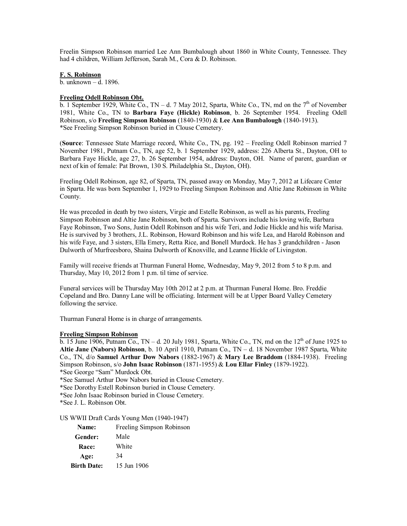Freelin Simpson Robinson married Lee Ann Bumbalough about 1860 in White County, Tennessee. They had 4 children, William Jefferson, Sarah M., Cora & D. Robinson.

### **F. S. Robinson**

b. unknown – d. 1896.

#### **Freeling Odell Robinson Obt.**

b. 1 September 1929, White Co., TN – d. 7 May 2012, Sparta, White Co., TN, md on the  $7<sup>th</sup>$  of November 1981, White Co., TN to **Barbara Faye (Hickle) Robinson**, b. 26 September 1954. Freeling Odell Robinson, s/o **Freeling Simpson Robinson** (1840-1930) & **Lee Ann Bumbalough** (1840-1913). \*See Freeling Simpson Robinson buried in Clouse Cemetery.

(**Source**: Tennessee State Marriage record, White Co., TN, pg. 192 – Freeling Odell Robinson married 7 November 1981, Putnam Co., TN, age 52, b. 1 September 1929, address: 226 Alberta St., Dayton, OH to Barbara Faye Hickle, age 27, b. 26 September 1954, address: Dayton, OH. Name of parent, guardian or next of kin of female: Pat Brown, 130 S. Philadelphia St., Dayton, OH).

Freeling Odell Robinson, age 82, of Sparta, TN, passed away on Monday, May 7, 2012 at Lifecare Center in Sparta. He was born September 1, 1929 to Freeling Simpson Robinson and Altie Jane Robinson in White County.

He was preceded in death by two sisters, Virgie and Estelle Robinson, as well as his parents, Freeling Simpson Robinson and Altie Jane Robinson, both of Sparta. Survivors include his loving wife, Barbara Faye Robinson, Two Sons, Justin Odell Robinson and his wife Teri, and Jodie Hickle and his wife Marisa. He is survived by 3 brothers, J.L. Robinson, Howard Robinson and his wife Lea, and Harold Robinson and his wife Faye, and 3 sisters, Ella Emery, Retta Rice, and Bonell Murdock. He has 3 grandchildren - Jason Dulworth of Murfreesboro, Shaina Dulworth of Knoxville, and Leanne Hickle of Livingston.

Family will receive friends at Thurman Funeral Home, Wednesday, May 9, 2012 from 5 to 8 p.m. and Thursday, May 10, 2012 from 1 p.m. til time of service.

Funeral services will be Thursday May 10th 2012 at 2 p.m. at Thurman Funeral Home. Bro. Freddie Copeland and Bro. Danny Lane will be officiating. Interment will be at Upper Board Valley Cemetery following the service.

Thurman Funeral Home is in charge of arrangements.

### **Freeling Simpson Robinson**

 $\overline{b}$ . 15 June 1906, Putnam Co., TN – d. 20 July 1981, Sparta, White Co., TN, md on the 12<sup>th</sup> of June 1925 to **Altie Jane (Nabors) Robinson**, b. 10 April 1910, Putnam Co., TN – d. 18 November 1987 Sparta, White Co., TN, d/o **Samuel Arthur Dow Nabors** (1882-1967) & **Mary Lee Braddom** (1884-1938). Freeling Simpson Robinson, s/o **John Isaac Robinson** (1871-1955) & **Lou Ellar Finley** (1879-1922).

\*See George "Sam" Murdock Obt.

\*See Samuel Arthur Dow Nabors buried in Clouse Cemetery.

\*See Dorothy Estell Robinson buried in Clouse Cemetery.

\*See John Isaac Robinson buried in Clouse Cemetery.

\*See J. L. Robinson Obt.

US WWII Draft Cards Young Men (1940-1947)

| <b>Name:</b>       | Freeling Simpson Robinson |
|--------------------|---------------------------|
| Gender:            | Male                      |
| <b>Race:</b>       | White                     |
| Age:               | 34                        |
| <b>Birth Date:</b> | 15 Jun 1906               |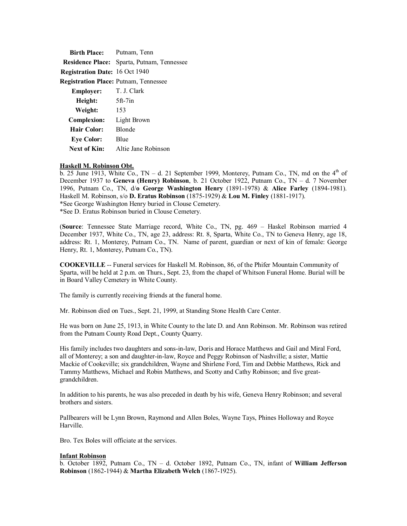| <b>Birth Place:</b> Putnam, Tenn             |                           |  |  |
|----------------------------------------------|---------------------------|--|--|
| <b>Residence Place:</b>                      | Sparta, Putnam, Tennessee |  |  |
| <b>Registration Date: 16 Oct 1940</b>        |                           |  |  |
| <b>Registration Place: Putnam, Tennessee</b> |                           |  |  |
| Employer:                                    | T. J. Clark               |  |  |
| Height:                                      | $5ft-7in$                 |  |  |
| Weight:                                      | 153                       |  |  |
| <b>Complexion:</b>                           | Light Brown               |  |  |
| <b>Hair Color:</b>                           | <b>Blonde</b>             |  |  |
| <b>Eye Color:</b>                            | Blue                      |  |  |
| Next of Kin:                                 | Altie Jane Robinson       |  |  |

#### **Haskell M. Robinson Obt.**

b. 25 June 1913, White Co., TN – d. 21 September 1999, Monterey, Putnam Co., TN, md on the  $4<sup>th</sup>$  of December 1937 to **Geneva (Henry) Robinson**, b. 21 October 1922, Putnam Co., TN – d. 7 November 1996, Putnam Co., TN, d/**o George Washington Henry** (1891-1978) & **Alice Farley** (1894-1981). Haskell M. Robinson, s/o **D. Eratus Robinson** (1875-1929) & **Lou M. Finley** (1881-1917). \*See George Washington Henry buried in Clouse Cemetery. \*See D. Eratus Robinson buried in Clouse Cemetery.

(**Source**: Tennessee State Marriage record, White Co., TN, pg. 469 – Haskel Robinson married 4 December 1937, White Co., TN, age 23, address: Rt. 8, Sparta, White Co., TN to Geneva Henry, age 18, address: Rt. 1, Monterey, Putnam Co., TN. Name of parent, guardian or next of kin of female: George Henry, Rt. 1, Monterey, Putnam Co., TN).

**COOKEVILLE** -- Funeral services for Haskell M. Robinson, 86, of the Phifer Mountain Community of Sparta, will be held at 2 p.m. on Thurs., Sept. 23, from the chapel of Whitson Funeral Home. Burial will be in Board Valley Cemetery in White County.

The family is currently receiving friends at the funeral home.

Mr. Robinson died on Tues., Sept. 21, 1999, at Standing Stone Health Care Center.

He was born on June 25, 1913, in White County to the late D. and Ann Robinson. Mr. Robinson was retired from the Putnam County Road Dept., County Quarry.

His family includes two daughters and sons-in-law, Doris and Horace Matthews and Gail and Miral Ford, all of Monterey; a son and daughter-in-law, Royce and Peggy Robinson of Nashville; a sister, Mattie Mackie of Cookeville; six grandchildren, Wayne and Shirlene Ford, Tim and Debbie Matthews, Rick and Tammy Matthews, Michael and Robin Matthews, and Scotty and Cathy Robinson; and five greatgrandchildren.

In addition to his parents, he was also preceded in death by his wife, Geneva Henry Robinson; and several brothers and sisters.

Pallbearers will be Lynn Brown, Raymond and Allen Boles, Wayne Tays, Phines Holloway and Royce Harville.

Bro. Tex Boles will officiate at the services.

### **Infant Robinson**

b. October 1892, Putnam Co., TN – d. October 1892, Putnam Co., TN, infant of **William Jefferson Robinson** (1862-1944) & **Martha Elizabeth Welch** (1867-1925).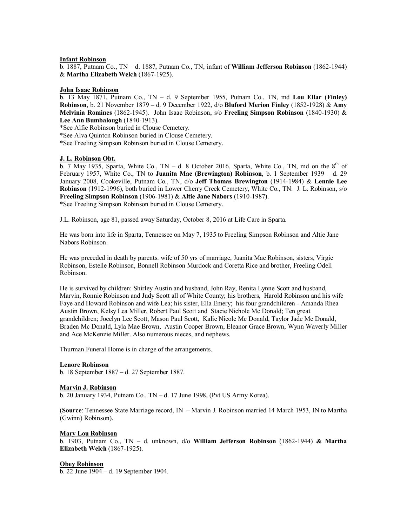### **Infant Robinson**

b. 1887, Putnam Co., TN – d. 1887, Putnam Co., TN, infant of **William Jefferson Robinson** (1862-1944) & **Martha Elizabeth Welch** (1867-1925).

#### **John Isaac Robinson**

b. 13 May 1871, Putnam Co., TN – d. 9 September 1955, Putnam Co., TN, md **Lou Ellar (Finley) Robinson**, b. 21 November 1879 – d. 9 December 1922, d/o **Bluford Merion Finley** (1852-1928) & **Amy Melvinia Romines** (1862-1945). John Isaac Robinson, s/o **Freeling Simpson Robinson** (1840-1930) & **Lee Ann Bumbalough** (1840-1913).

\*See Alfie Robinson buried in Clouse Cemetery.

\*See Alva Quinton Robinson buried in Clouse Cemetery.

\*See Freeling Simpson Robinson buried in Clouse Cemetery.

### **J. L. Robinson Obt.**

 $\overline{b}$ . 7 May 1935, Sparta, White Co., TN – d. 8 October 2016, Sparta, White Co., TN, md on the 8<sup>th</sup> of February 1957, White Co., TN to **Juanita Mae (Brewington) Robinson**, b. 1 September 1939 – d. 29 January 2008, Cookeville, Putnam Co., TN, d/o **Jeff Thomas Brewington** (1914-1984) & **Lennie Lee Robinson** (1912-1996), both buried in Lower Cherry Creek Cemetery, White Co., TN. J. L. Robinson, s/o **Freeling Simpson Robinson** (1906-1981) & **Altie Jane Nabors** (1910-1987). \*See Freeling Simpson Robinson buried in Clouse Cemetery.

J.L. Robinson, age 81, passed away Saturday, October 8, 2016 at Life Care in Sparta.

He was born into life in Sparta, Tennessee on May 7, 1935 to Freeling Simpson Robinson and Altie Jane Nabors Robinson.

He was preceded in death by parents. wife of 50 yrs of marriage, Juanita Mae Robinson, sisters, Virgie Robinson, Estelle Robinson, Bonnell Robinson Murdock and Coretta Rice and brother, Freeling Odell Robinson.

He is survived by children: Shirley Austin and husband, John Ray, Renita Lynne Scott and husband, Marvin, Ronnie Robinson and Judy Scott all of White County; his brothers, Harold Robinson and his wife Faye and Howard Robinson and wife Lea; his sister, Ella Emery; his four grandchildren - Amanda Rhea Austin Brown, Kelsy Lea Miller, Robert Paul Scott and Stacie Nichole Mc Donald; Ten great grandchildren; Jocelyn Lee Scott, Mason Paul Scott, Kalie Nicole Mc Donald, Taylor Jade Mc Donald, Braden Mc Donald, Lyla Mae Brown, Austin Cooper Brown, Eleanor Grace Brown, Wynn Waverly Miller and Ace McKenzie Miller. Also numerous nieces, and nephews.

Thurman Funeral Home is in charge of the arrangements.

### **Lenore Robinson**

b. 18 September 1887 – d. 27 September 1887.

### **Marvin J. Robinson**

b. 20 January 1934, Putnam Co., TN – d. 17 June 1998, (Pvt US Army Korea).

(**Source**: Tennessee State Marriage record, IN – Marvin J. Robinson married 14 March 1953, IN to Martha (Gwinn) Robinson).

#### **Mary Lou Robinson**

b. 1903, Putnam Co., TN – d. unknown, d/o **William Jefferson Robinson** (1862-1944) **& Martha Elizabeth Welch** (1867-1925).

### **Obey Robinson**

b. 22 June 1904 – d. 19 September 1904.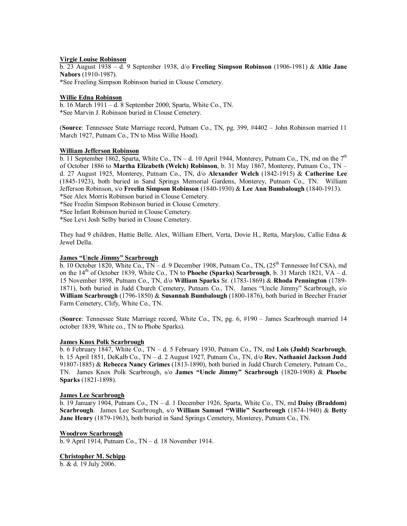# **Virgie Louise Robinson**

b. 23 August 1938 – d. 9 September 1938, d/o **Freeling Simpson Robinson** (1906-1981) & **Altie Jane Nabors** (1910-1987).

\*See Freeling Simpson Robinson buried in Clouse Cemetery.

### **Willie Edna Robinson**

b. 16 March  $1911 - d$ . 8 September 2000, Sparta, White Co., TN. \*See Marvin J. Robinson buried in Clouse Cemetery.

(**Source**: Tennessee State Marriage record, Putnam Co., TN, pg. 399, #4402 – John Robinson married 11 March 1927, Putnam Co., TN to Miss Willie Hood).

### **William Jefferson Robinson**

b. 11 September 1862, Sparta, White Co., TN – d. 10 April 1944, Monterey, Putnam Co., TN, md on the  $7<sup>th</sup>$ of October 1886 to **Martha Elizabeth (Welch) Robinson**, b. 31 May 1867, Monterey, Putnam Co., TN – d. 27 August 1925, Monterey, Putnam Co., TN, d/o **Alexander Welch** (1842-1915) & **Catherine Lee** (1845-1923), both buried in Sand Springs Memorial Gardens, Monterey, Putnam Co., TN. William Jefferson Robinson, s/o **Freelin Simpson Robinson** (1840-1930) & **Lee Ann Bumbalough** (1840-1913). \*See Alex Morris Robinson buried in Clouse Cemetery.

\*See Freelin Simpson Robinson buried in Clouse Cemetery.

\*See Infant Robinson buried in Clouse Cemetery.

\*See Levi Josh Selby buried in Clouse Cemetery.

They had 9 children, Hattie Belle, Alex, William Elbert, Verta, Dovie H., Retta, Marylou, Callie Edna & Jewel Della.

# **James "Uncle Jimmy" Scarbrough**

b. 10 October 1820, White Co., TN – d. 9 December 1908, Putnam Co., TN,  $(25<sup>th</sup>$  Tennessee Inf CSA), md on the  $14<sup>th</sup>$  of October 1839, White Co., TN to **Phoebe (Sparks) Scarbrough**, b. 31 March 1821, VA – d. 15 November 1898, Putnam Co., TN, d/o **William Sparks** Sr. (1783-1869) & **Rhoda Pennington** (1789- 1871), both buried in Judd Church Cemetery, Putnam Co., TN. James "Uncle Jimmy" Scarbrough, s/o **William Scarbrough** (1796-1850) & **Susannah Bumbalough** (1800-1876), both buried in Beecher Frazier Farm Cemetery, Clify, White Co., TN.

(**Source**: Tennessee State Marriage record, White Co., TN, pg. 6, #190 – James Scarbrough married 14 october 1839, White co., TN to Phobe Sparks).

# **James Knox Polk Scarbrough**

b. 6 February 1847, White Co., TN – d. 5 February 1930, Putnam Co., TN, md **Lois (Judd) Scarbrough**, b. 15 April 1851, DeKalb Co., TN – d. 2 August 1927, Putnam Co., TN, d/o **Rev. Nathaniel Jackson Judd** 91807-1885) & **Rebecca Nancy Grimes** (1813-1890), both buried in Judd Church Cemetery, Putnam Co., TN. James Knox Polk Scarbrough, s/o **James "Uncle Jimmy" Scarbrough** (1820-1908) & **Phoebe Sparks** (1821-1898).

### **James Lee Scarbrough**

b. 19 January 1904, Putnam Co., TN – d. 1 December 1926, Sparta, White Co., TN, md **Daisy (Braddom) Scarbrough**. James Lee Scarbrough, s/o **William Samuel "Willie" Scarbrough** (1874-1940) & **Betty Jane Henry** (1879-1963), both buried in Sand Springs Cemetery, Monterey, Putnam Co., TN.

### **Woodrow Scarbrough**

b. 9 April 1914, Putnam Co., TN – d. 18 November 1914.

### **Christopher M. Schipp**

b. & d. 19 July 2006.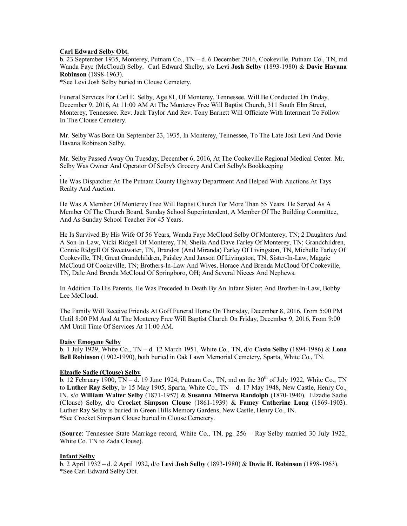# **Carl Edward Selby Obt.**

.

b. 23 September 1935, Monterey, Putnam Co., TN – d. 6 December 2016, Cookeville, Putnam Co., TN, md Wanda Faye (McCloud) Selby. Carl Edward Shelby, s/o **Levi Josh Selby** (1893-1980) & **Dovie Havana Robinson** (1898-1963).

\*See Levi Josh Selby buried in Clouse Cemetery.

Funeral Services For Carl E. Selby, Age 81, Of Monterey, Tennessee, Will Be Conducted On Friday, December 9, 2016, At 11:00 AM At The Monterey Free Will Baptist Church, 311 South Elm Street, Monterey, Tennessee. Rev. Jack Taylor And Rev. Tony Barnett Will Officiate With Interment To Follow In The Clouse Cemetery.

Mr. Selby Was Born On September 23, 1935, In Monterey, Tennessee, To The Late Josh Levi And Dovie Havana Robinson Selby.

Mr. Selby Passed Away On Tuesday, December 6, 2016, At The Cookeville Regional Medical Center. Mr. Selby Was Owner And Operator Of Selby's Grocery And Carl Selby's Bookkeeping

He Was Dispatcher At The Putnam County Highway Department And Helped With Auctions At Tays Realty And Auction.

He Was A Member Of Monterey Free Will Baptist Church For More Than 55 Years. He Served As A Member Of The Church Board, Sunday School Superintendent, A Member Of The Building Committee, And As Sunday School Teacher For 45 Years.

He Is Survived By His Wife Of 56 Years, Wanda Faye McCloud Selby Of Monterey, TN; 2 Daughters And A Son-In-Law, Vicki Ridgell Of Monterey, TN, Sheila And Dave Farley Of Monterey, TN; Grandchildren, Connie Ridgell Of Sweetwater, TN, Brandon (And Miranda) Farley Of Livingston, TN, Michelle Farley Of Cookeville, TN; Great Grandchildren, Paisley And Jaxson Of Livingston, TN; Sister-In-Law, Maggie McCloud Of Cookeville, TN; Brothers-In-Law And Wives, Horace And Brenda McCloud Of Cookeville, TN, Dale And Brenda McCloud Of Springboro, OH; And Several Nieces And Nephews.

In Addition To His Parents, He Was Preceded In Death By An Infant Sister; And Brother-In-Law, Bobby Lee McCloud.

The Family Will Receive Friends At Goff Funeral Home On Thursday, December 8, 2016, From 5:00 PM Until 8:00 PM And At The Monterey Free Will Baptist Church On Friday, December 9, 2016, From 9:00 AM Until Time Of Services At 11:00 AM.

### **Daisy Emogene Selby**

b. 1 July 1929, White Co., TN – d. 12 March 1951, White Co., TN, d/o **Casto Selby** (1894-1986) & **Lona Bell Robinson** (1902-1990), both buried in Oak Lawn Memorial Cemetery, Sparta, White Co., TN.

### **Elzadie Sadie (Clouse) Selby**

 $\overline{b}$ . 12 February 1900, TN – d. 19 June 1924, Putnam Co., TN, md on the 30<sup>th</sup> of July 1922, White Co., TN to **Luther Ray Selby**, b/ 15 May 1905, Sparta, White Co., TN – d. 17 May 1948, New Castle, Henry Co., IN, s/o **William Walter Selby** (1871-1957) & **Susanna Minerva Randolph** (1870-1940). Elzadie Sadie (Clouse) Selby, d/o **Crocket Simpson Clouse** (1861-1939) & **Famey Catherine Long** (1869-1903). Luther Ray Selby is buried in Green Hills Memory Gardens, New Castle, Henry Co., IN. \*See Crocket Simpson Clouse buried in Clouse Cemetery.

(**Source**: Tennessee State Marriage record, White Co., TN, pg. 256 – Ray Selby married 30 July 1922, White Co. TN to Zada Clouse).

### **Infant Selby**

b. 2 April 1932 – d. 2 April 1932, d/o **Levi Josh Selby** (1893-1980) & **Dovie H. Robinson** (1898-1963). \*See Carl Edward Selby Obt.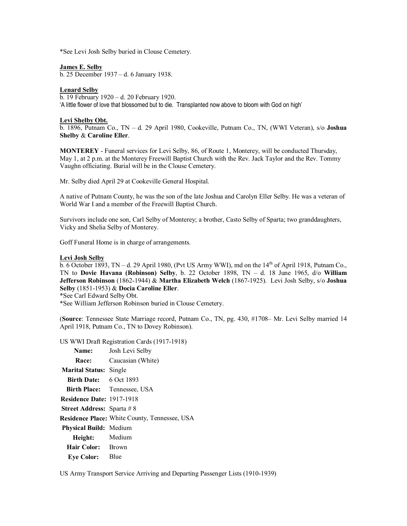\*See Levi Josh Selby buried in Clouse Cemetery.

### **James E. Selby**

b. 25 December 1937 – d. 6 January 1938.

### **Lenard Selby**

b. 19 February 1920 – d. 20 February 1920. 'A little flower of love that blossomed but to die. Transplanted now above to bloom with God on high'

#### **Levi Shelby Obt.**

b. 1896, Putnam Co., TN – d. 29 April 1980, Cookeville, Putnam Co., TN, (WWI Veteran), s/o **Joshua Shelby** & **Caroline Eller**.

**MONTEREY** - Funeral services for Levi Selby, 86, of Route 1, Monterey, will be conducted Thursday, May 1, at 2 p.m. at the Monterey Freewill Baptist Church with the Rev. Jack Taylor and the Rev. Tommy Vaughn officiating. Burial will be in the Clouse Cemetery.

Mr. Selby died April 29 at Cookeville General Hospital.

A native of Putnam County, he was the son of the late Joshua and Carolyn Eller Selby. He was a veteran of World War I and a member of the Freewill Baptist Church.

Survivors include one son, Carl Selby of Monterey; a brother, Casto Selby of Sparta; two granddaughters, Vicky and Shelia Selby of Monterey.

Goff Funeral Home is in charge of arrangements.

### **Levi Josh Selby**

 $\overline{b}$ . 6 October 1893, TN – d. 29 April 1980, (Pvt US Army WWI), md on the 14<sup>th</sup> of April 1918, Putnam Co., TN to **Dovie Havana (Robinson) Selby**, b. 22 October 1898, TN – d. 18 June 1965, d/o **William Jefferson Robinson** (1862-1944) & **Martha Elizabeth Welch** (1867-1925). Levi Josh Selby, s/o **Joshua Selby** (1851-1953) & **Docia Caroline Eller**.

\*See Carl Edward Selby Obt.

\*See William Jefferson Robinson buried in Clouse Cemetery.

(**Source**: Tennessee State Marriage record, Putnam Co., TN, pg. 430, #1708– Mr. Levi Selby married 14 April 1918, Putnam Co., TN to Dovey Robinson).

US WWI Draft Registration Cards (1917-1918)

| Name:                            | Josh Levi Selby                                      |
|----------------------------------|------------------------------------------------------|
| Race: National Season            | Caucasian (White)                                    |
| <b>Marital Status: Single</b>    |                                                      |
| Birth Date: 6 Oct 1893           |                                                      |
|                                  | <b>Birth Place:</b> Tennessee, USA                   |
| <b>Residence Date: 1917-1918</b> |                                                      |
| <b>Street Address: Sparta #8</b> |                                                      |
|                                  | <b>Residence Place:</b> White County, Tennessee, USA |
| <b>Physical Build:</b> Medium    |                                                      |
| Height: Medium                   |                                                      |
| Hair Color: Brown                |                                                      |
| <b>Eve Color:</b> Blue           |                                                      |

US Army Transport Service Arriving and Departing Passenger Lists (1910-1939)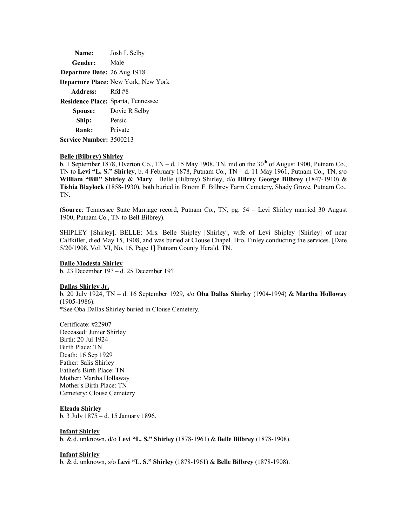| Name:                       | Josh L Selby                              |
|-----------------------------|-------------------------------------------|
| Gender:                     | Male                                      |
| Departure Date: 26 Aug 1918 |                                           |
|                             | Departure Place: New York, New York       |
| Address:                    | Rfd #8                                    |
|                             | <b>Residence Place:</b> Sparta, Tennessee |
| Spouse:                     | Dovie R Selby                             |
| Ship:                       | Persic                                    |
| Rank:                       | Private                                   |
| Service Number: 3500213     |                                           |

#### **Belle (Bilbrey) Shirley**

b. 1 September 1878, Overton Co., TN – d. 15 May 1908, TN, md on the  $30<sup>th</sup>$  of August 1900, Putnam Co., TN to **Levi "L. S." Shirley**, b. 4 February 1878, Putnam Co., TN – d. 11 May 1961, Putnam Co., TN, s/o **William "Bill" Shirley & Mary**. Belle (Bilbrey) Shirley, d/o **Hilrey George Bilbrey** (1847-1910) & **Tishia Blaylock** (1858-1930), both buried in Binom F. Bilbrey Farm Cemetery, Shady Grove, Putnam Co., TN.

(**Source**: Tennessee State Marriage record, Putnam Co., TN, pg. 54 – Levi Shirley married 30 August 1900, Putnam Co., TN to Bell Bilbrey).

SHIPLEY [Shirley], BELLE: Mrs. Belle Shipley [Shirley], wife of Levi Shipley [Shirley] of near Calfkiller, died May 15, 1908, and was buried at Clouse Chapel. Bro. Finley conducting the services. [Date 5/20/1908, Vol. VI, No. 16, Page 1] Putnam County Herald, TN.

#### **Dalie Modesta Shirley**

b. 23 December 19? – d. 25 December 19?

#### **Dallas Shirley Jr.**

b. 20 July 1924, TN – d. 16 September 1929, s/o **Oba Dallas Shirley** (1904-1994) & **Martha Holloway** (1905-1986).

\*See Oba Dallas Shirley buried in Clouse Cemetery.

Certificate: #22907 Deceased: Junier Shirley Birth: 20 Jul 1924 Birth Place: TN Death: 16 Sep 1929 Father: Salis Shirley Father's Birth Place: TN Mother: Martha Hollaway Mother's Birth Place: TN Cemetery: Clouse Cemetery

#### **Elzada Shirley**

b. 3 July 1875 – d. 15 January 1896.

#### **Infant Shirley**

b. & d. unknown, d/o **Levi "L. S." Shirley** (1878-1961) & **Belle Bilbrey** (1878-1908).

# **Infant Shirley**

b. & d. unknown, s/o **Levi "L. S." Shirley** (1878-1961) & **Belle Bilbrey** (1878-1908).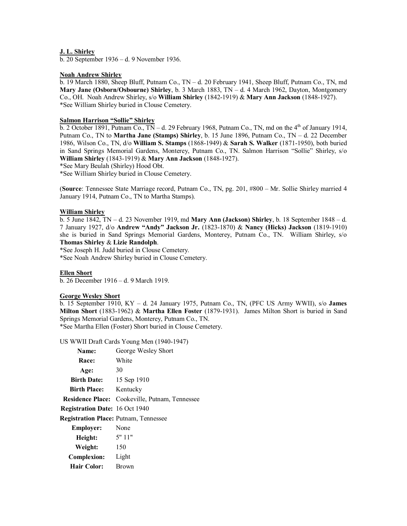### **J. L. Shirley**

b. 20 September 1936 – d. 9 November 1936.

### **Noah Andrew Shirley**

b. 19 March 1880, Sheep Bluff, Putnam Co., TN – d. 20 February 1941, Sheep Bluff, Putnam Co., TN, md **Mary Jane (Osborn/Osbourne) Shirley**, b. 3 March 1883, TN – d. 4 March 1962, Dayton, Montgomery Co., OH. Noah Andrew Shirley, s/o **William Shirley** (1842-1919) & **Mary Ann Jackson** (1848-1927). \*See William Shirley buried in Clouse Cemetery.

# **Salmon Harrison "Sollie" Shirley**

 $\overline{b}$ . 2 October 1891, Putnam Co., TN – d. 29 February 1968, Putnam Co., TN, md on the 4<sup>th</sup> of January 1914, Putnam Co., TN to **Martha Jane (Stamps) Shirley**, b. 15 June 1896, Putnam Co., TN – d. 22 December 1986, Wilson Co., TN, d/o **William S. Stamps** (1868-1949) & **Sarah S. Walker** (1871-1950), both buried in Sand Springs Memorial Gardens, Monterey, Putnam Co., TN. Salmon Harrison "Sollie" Shirley, s/o **William Shirley** (1843-1919) & **Mary Ann Jackson** (1848-1927).

\*See Mary Beulah (Shirley) Hood Obt.

\*See William Shirley buried in Clouse Cemetery.

(**Source**: Tennessee State Marriage record, Putnam Co., TN, pg. 201, #800 – Mr. Sollie Shirley married 4 January 1914, Putnam Co., TN to Martha Stamps).

### **William Shirley**

b. 5 June 1842, TN – d. 23 November 1919, md **Mary Ann (Jackson) Shirley**, b. 18 September 1848 – d. 7 January 1927, d/o **Andrew "Andy" Jackson Jr.** (1823-1870) & **Nancy (Hicks) Jackson** (1819-1910) she is buried in Sand Springs Memorial Gardens, Monterey, Putnam Co., TN. William Shirley, s/o **Thomas Shirley** & **Lizie Randolph**.

\*See Joseph H. Judd buried in Clouse Cemetery.

\*See Noah Andrew Shirley buried in Clouse Cemetery.

### **Ellen Short**

b. 26 December 1916 – d. 9 March 1919.

### **George Wesley Short**

b. 15 September 1910, KY – d. 24 January 1975, Putnam Co., TN, (PFC US Army WWII), s/o **James Milton Short** (1883-1962) & **Martha Ellen Foster** (1879-1931). James Milton Short is buried in Sand Springs Memorial Gardens, Monterey, Putnam Co., TN.

\*See Martha Ellen (Foster) Short buried in Clouse Cemetery.

US WWII Draft Cards Young Men (1940-1947)

| Name:                                        | George Wesley Short           |
|----------------------------------------------|-------------------------------|
| Race:                                        | White                         |
| Age:                                         | 30                            |
| <b>Birth Date:</b>                           | 15 Sep 1910                   |
| <b>Birth Place:</b>                          | Kentucky                      |
| <b>Residence Place:</b>                      | Cookeville, Putnam, Tennessee |
| <b>Registration Date: 16 Oct 1940</b>        |                               |
| <b>Registration Place: Putnam, Tennessee</b> |                               |
| <b>Employer:</b>                             | None                          |
| Height:                                      | 5"11"                         |
| Weight:                                      | 150                           |
| <b>Complexion:</b>                           | Light                         |
| Hair Color:                                  | <b>Brown</b>                  |
|                                              |                               |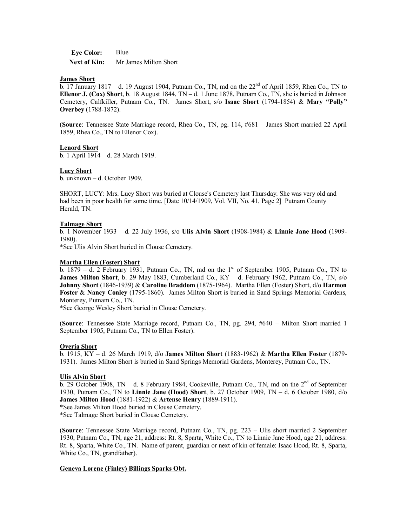**Eye Color:** Blue Next of Kin: Mr James Milton Short

#### **James Short**

b. 17 January 1817 – d. 19 August 1904, Putnam Co., TN, md on the 22<sup>nd</sup> of April 1859, Rhea Co., TN to **Ellenor J. (Cox) Short**, b. 18 August 1844, TN – d. 1 June 1878, Putnam Co., TN, she is buried in Johnson Cemetery, Calfkiller, Putnam Co., TN. James Short, s/o **Isaac Short** (1794-1854) & **Mary "Polly" Overbey** (1788-1872).

(**Source**: Tennessee State Marriage record, Rhea Co., TN, pg. 114, #681 – James Short married 22 April 1859, Rhea Co., TN to Ellenor Cox).

### **Lenord Short**

b. 1 April 1914 – d. 28 March 1919.

#### **Lucy Short**

b. unknown – d. October 1909.

SHORT, LUCY: Mrs. Lucy Short was buried at Clouse's Cemetery last Thursday. She was very old and had been in poor health for some time. [Date 10/14/1909, Vol. VII, No. 41, Page 2] Putnam County Herald, TN.

#### **Talmage Short**

b. 1 November 1933 – d. 22 July 1936, s/o **Ulis Alvin Short** (1908-1984) & **Linnie Jane Hood** (1909- 1980).

\*See Ulis Alvin Short buried in Clouse Cemetery.

#### **Martha Ellen (Foster) Short**

b.  $1879 - d$ . 2 February 1931, Putnam Co., TN, md on the 1<sup>st</sup> of September 1905, Putnam Co., TN to **James Milton Short**, b. 29 May 1883, Cumberland Co., KY – d. February 1962, Putnam Co., TN, s/o **Johnny Short** (1846-1939) & **Caroline Braddom** (1875-1964). Martha Ellen (Foster) Short, d/o **Harmon Foster** & **Nancy Conley** (1795-1860). James Milton Short is buried in Sand Springs Memorial Gardens, Monterey, Putnam Co., TN.

\*See George Wesley Short buried in Clouse Cemetery.

(**Source**: Tennessee State Marriage record, Putnam Co., TN, pg. 294, #640 – Milton Short married 1 September 1905, Putnam Co., TN to Ellen Foster).

### **Overia Short**

b. 1915, KY – d. 26 March 1919, d/o **James Milton Short** (1883-1962) & **Martha Ellen Foster** (1879- 1931). James Milton Short is buried in Sand Springs Memorial Gardens, Monterey, Putnam Co., TN.

#### **Ulis Alvin Short**

 $\overline{b}$ . 29 October 1908, TN – d. 8 February 1984, Cookeville, Putnam Co., TN, md on the 2<sup>nd</sup> of September 1930, Putnam Co., TN to **Linnie Jane (Hood) Short**, b. 27 October 1909, TN – d. 6 October 1980, d/o **James Milton Hood** (1881-1922) & **Artense Henry** (1889-1911).

\*See James Milton Hood buried in Clouse Cemetery.

\*See Talmage Short buried in Clouse Cemetery.

(**Source**: Tennessee State Marriage record, Putnam Co., TN, pg. 223 – Ulis short married 2 September 1930, Putnam Co., TN, age 21, address: Rt. 8, Sparta, White Co., TN to Linnie Jane Hood, age 21, address: Rt. 8, Sparta, White Co., TN. Name of parent, guardian or next of kin of female: Isaac Hood, Rt. 8, Sparta, White Co., TN, grandfather).

#### **Geneva Lorene (Finley) Billings Sparks Obt.**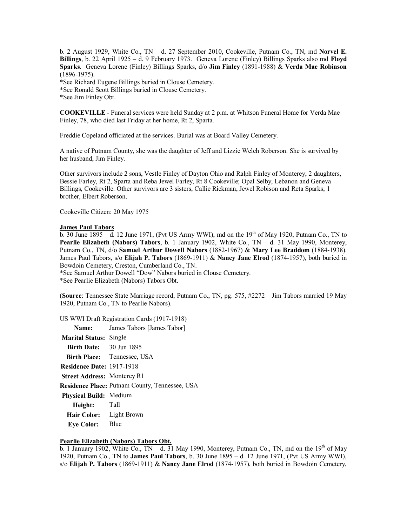b. 2 August 1929, White Co., TN – d. 27 September 2010, Cookeville, Putnam Co., TN, md **Norvel E. Billings**, b. 22 April 1925 – d. 9 February 1973. Geneva Lorene (Finley) Billings Sparks also md **Floyd Sparks**. Geneva Lorene (Finley) Billings Sparks, d/o **Jim Finley** (1891-1988) & **Verda Mae Robinson** (1896-1975).

\*See Richard Eugene Billings buried in Clouse Cemetery.

\*See Ronald Scott Billings buried in Clouse Cemetery.

\*See Jim Finley Obt.

**COOKEVILLE** - Funeral services were held Sunday at 2 p.m. at Whitson Funeral Home for Verda Mae Finley, 78, who died last Friday at her home, Rt 2, Sparta.

Freddie Copeland officiated at the services. Burial was at Board Valley Cemetery.

A native of Putnam County, she was the daughter of Jeff and Lizzie Welch Roberson. She is survived by her husband, Jim Finley.

Other survivors include 2 sons, Vestle Finley of Dayton Ohio and Ralph Finley of Monterey; 2 daughters, Bessie Farley, Rt 2, Sparta and Reba Jewel Farley, Rt 8 Cookeville; Opal Selby, Lebanon and Geneva Billings, Cookeville. Other survivors are 3 sisters, Callie Rickman, Jewel Robison and Reta Sparks; 1 brother, Elbert Roberson.

Cookeville Citizen: 20 May 1975

#### **James Paul Tabors**

b. 30 June  $1895 - d$ . 12 June 1971, (Pvt US Army WWI), md on the  $19<sup>th</sup>$  of May 1920, Putnam Co., TN to **Pearlie Elizabeth (Nabors) Tabors**, b. 1 January 1902, White Co., TN – d. 31 May 1990, Monterey, Putnam Co., TN, d/o **Samuel Arthur Dowell Nabors** (1882-1967) & **Mary Lee Braddom** (1884-1938). James Paul Tabors, s/o **Elijah P. Tabors** (1869-1911) & **Nancy Jane Elrod** (1874-1957), both buried in Bowdoin Cemetery, Creston, Cumberland Co., TN.

\*See Samuel Arthur Dowell "Dow" Nabors buried in Clouse Cemetery.

\*See Pearlie Elizabeth (Nabors) Tabors Obt.

(**Source**: Tennessee State Marriage record, Putnam Co., TN, pg. 575, #2272 – Jim Tabors married 19 May 1920, Putnam Co., TN to Pearlie Nabors).

US WWI Draft Registration Cards (1917-1918)

|                                    | <b>Name:</b> James Tabors [James Tabor]        |
|------------------------------------|------------------------------------------------|
| <b>Marital Status: Single</b>      |                                                |
| <b>Birth Date:</b> 30 Jun 1895     |                                                |
|                                    | <b>Birth Place:</b> Tennessee, USA             |
| <b>Residence Date: 1917-1918</b>   |                                                |
| <b>Street Address: Monterey R1</b> |                                                |
|                                    | Residence Place: Putnam County, Tennessee, USA |
| Physical Build: Medium             |                                                |
| Height: Tall                       |                                                |
| Hair Color: Light Brown            |                                                |
| <b>Eve Color:</b>                  | Blue                                           |

#### **Pearlie Elizabeth (Nabors) Tabors Obt.**

b. 1 January 1902, White Co.,  $TN - d$ . 31 May 1990, Monterey, Putnam Co., TN, md on the 19<sup>th</sup> of May 1920, Putnam Co., TN to **James Paul Tabors**, b. 30 June 1895 – d. 12 June 1971, (Pvt US Army WWI), s/o **Elijah P. Tabors** (1869-1911) & **Nancy Jane Elrod** (1874-1957), both buried in Bowdoin Cemetery,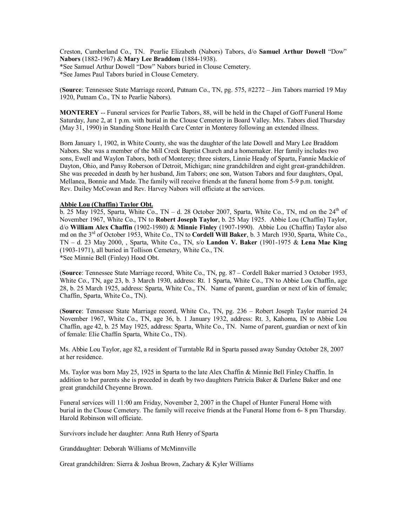Creston, Cumberland Co., TN. Pearlie Elizabeth (Nabors) Tabors, d/o **Samuel Arthur Dowell** "Dow" **Nabors** (1882-1967) & **Mary Lee Braddom** (1884-1938).

\*See Samuel Arthur Dowell "Dow" Nabors buried in Clouse Cemetery.

\*See James Paul Tabors buried in Clouse Cemetery.

(**Source**: Tennessee State Marriage record, Putnam Co., TN, pg. 575, #2272 – Jim Tabors married 19 May 1920, Putnam Co., TN to Pearlie Nabors).

**MONTEREY** -- Funeral services for Pearlie Tabors, 88, will be held in the Chapel of Goff Funeral Home Saturday, June 2, at 1 p.m. with burial in the Clouse Cemetery in Board Valley. Mrs. Tabors died Thursday (May 31, 1990) in Standing Stone Health Care Center in Monterey following an extended illness.

Born January 1, 1902, in White County, she was the daughter of the late Dowell and Mary Lee Braddom Nabors. She was a member of the Mill Creek Baptist Church and a homemaker. Her family includes two sons, Ewell and Waylon Tabors, both of Monterey; three sisters, Linnie Heady of Sparta, Fannie Mackie of Dayton, Ohio, and Pansy Roberson of Detroit, Michigan; nine grandchildren and eight great-grandchildren. She was preceded in death by her husband, Jim Tabors; one son, Watson Tabors and four daughters, Opal, Mellanea, Bonnie and Made. The family will receive friends at the funeral home from 5-9 p.m. tonight. Rev. Dailey McCowan and Rev. Harvey Nabors will officiate at the services.

### **Abbie Lou (Chaffin) Taylor Obt.**

b. 25 May 1925, Sparta, White Co., TN – d. 28 October 2007, Sparta, White Co., TN, md on the  $24<sup>th</sup>$  of November 1967, White Co., TN to **Robert Joseph Taylor**, b. 25 May 1925. Abbie Lou (Chaffin) Taylor, d/o **William Alex Chaffin** (1902-1980) & **Minnie Finley** (1907-1990). Abbie Lou (Chaffin) Taylor also md on the 3rd of October 1953, White Co., TN to **Cordell Will Baker**, b. 3 March 1930, Sparta, White Co., TN – d. 23 May 2000, , Sparta, White Co., TN, s/o **Landon V. Baker** (1901-1975 & **Lena Mae King** (1903-1971), all buried in Tollison Cemetery, White Co., TN. \*See Minnie Bell (Finley) Hood Obt.

(**Source**: Tennessee State Marriage record, White Co., TN, pg. 87 – Cordell Baker married 3 October 1953, White Co., TN, age 23, b. 3 March 1930, address: Rt. 1 Sparta, White Co., TN to Abbie Lou Chaffin, age 28, b. 25 March 1925, address: Sparta, White Co., TN. Name of parent, guardian or next of kin of female; Chaffin, Sparta, White Co., TN).

(**Source**: Tennessee State Marriage record, White Co., TN, pg. 236 – Robert Joseph Taylor married 24 November 1967, White Co., TN, age 36, b. 1 January 1932, address: Rt. 3, Kahoma, IN to Abbie Lou Chaffin, age 42, b. 25 May 1925, address: Sparta, White Co., TN. Name of parent, guardian or next of kin of female: Elie Chaffin Sparta, White Co., TN).

Ms. Abbie Lou Taylor, age 82, a resident of Turntable Rd in Sparta passed away Sunday October 28, 2007 at her residence.

Ms. Taylor was born May 25, 1925 in Sparta to the late Alex Chaffin & Minnie Bell Finley Chaffin. In addition to her parents she is preceded in death by two daughters Patricia Baker & Darlene Baker and one great grandchild Cheyenne Brown.

Funeral services will 11:00 am Friday, November 2, 2007 in the Chapel of Hunter Funeral Home with burial in the Clouse Cemetery. The family will receive friends at the Funeral Home from 6- 8 pm Thursday. Harold Robinson will officiate.

Survivors include her daughter: Anna Ruth Henry of Sparta

Granddaughter: Deborah Williams of McMinnville

Great grandchildren: Sierra & Joshua Brown, Zachary & Kyler Williams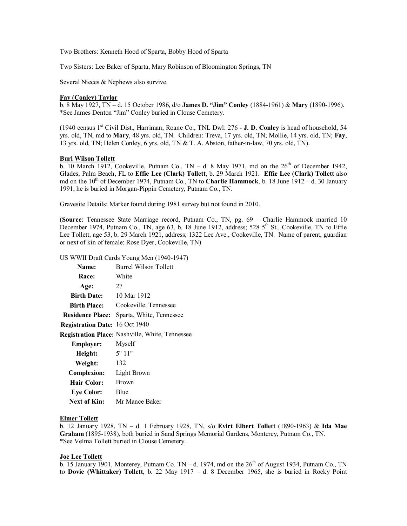Two Brothers: Kenneth Hood of Sparta, Bobby Hood of Sparta

Two Sisters: Lee Baker of Sparta, Mary Robinson of Bloomington Springs, TN

Several Nieces & Nephews also survive.

### **Fay (Conley) Taylor**

b. 8 May 1927, TN – d. 15 October 1986, d/o **James D. "Jim" Conley** (1884-1961) & **Mary** (1890-1996). \*See James Denton "Jim" Conley buried in Clouse Cemetery.

(1940 census 1st Civil Dist., Harriman, Roane Co., TNL Dwl: 276 - **J. D. Conley** is head of household, 54 yrs. old, TN, md to **Mary**, 48 yrs. old, TN. Children: Treva, 17 yrs. old, TN; Mollie, 14 yrs. old, TN; **Fay**, 13 yrs. old, TN; Helen Conley, 6 yrs. old, TN & T. A. Abston, father-in-law, 70 yrs. old, TN).

#### **Burl Wilson Tollett**

b. 10 March 1912, Cookeville, Putnam Co., TN – d. 8 May 1971, md on the  $26<sup>th</sup>$  of December 1942, Glades, Palm Beach, FL to **Effie Lee (Clark) Tollett**, b. 29 March 1921. **Effie Lee (Clark) Tollett** also md on the 10<sup>th</sup> of December 1974, Putnam Co., TN to **Charlie Hammock**, b. 18 June 1912 – d. 30 January 1991, he is buried in Morgan-Pippin Cemetery, Putnam Co., TN.

Gravesite Details: Marker found during 1981 survey but not found in 2010.

(**Source**: Tennessee State Marriage record, Putnam Co., TN, pg. 69 – Charlie Hammock married 10 December 1974, Putnam Co., TN, age  $63$ , b. 18 June 1912, address;  $528\,5^{th}$  St., Cookeville, TN to Effie Lee Tollett, age 53, b. 29 March 1921, address; 1322 Lee Ave., Cookeville, TN. Name of parent, guardian or next of kin of female: Rose Dyer, Cookeville, TN)

US WWII Draft Cards Young Men (1940-1947)

| Name:                          | <b>Burrel Wilson Tollett</b>                    |
|--------------------------------|-------------------------------------------------|
| <b>Race:</b>                   | White                                           |
| Age:                           | 27                                              |
| <b>Birth Date:</b>             | 10 Mar 1912                                     |
| <b>Birth Place:</b>            | Cookeville, Tennessee                           |
| <b>Residence Place:</b>        | Sparta, White, Tennessee                        |
| Registration Date: 16 Oct 1940 |                                                 |
|                                | Registration Place: Nashville, White, Tennessee |
| <b>Employer:</b>               | Myself                                          |
| Height:                        | 5"11"                                           |
| Weight:                        | 132                                             |
| <b>Complexion:</b>             | Light Brown                                     |
| <b>Hair Color:</b>             | Brown                                           |
| <b>Eye Color:</b>              | Blue                                            |
| Next of Kin:                   | Mr Mance Baker                                  |

#### **Elmer Tollett**

b. 12 January 1928, TN – d. 1 February 1928, TN, s/o **Evirt Elbert Tollett** (1890-1963) & **Ida Mae Graham** (1895-1938), both buried in Sand Springs Memorial Gardens, Monterey, Putnam Co., TN. \*See Velma Tollett buried in Clouse Cemetery.

### **Joe Lee Tollett**

b. 15 January 1901, Monterey, Putnam Co. TN – d. 1974, md on the  $26<sup>th</sup>$  of August 1934, Putnam Co., TN to **Dovie (Whittaker) Tollett**, b. 22 May 1917 – d. 8 December 1965, she is buried in Rocky Point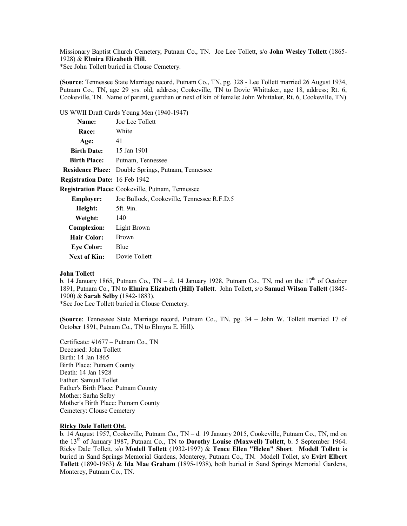Missionary Baptist Church Cemetery, Putnam Co., TN. Joe Lee Tollett, s/o **John Wesley Tollett** (1865- 1928) & **Elmira Elizabeth Hill**.

\*See John Tollett buried in Clouse Cemetery.

(**Source**: Tennessee State Marriage record, Putnam Co., TN, pg. 328 - Lee Tollett married 26 August 1934, Putnam Co., TN, age 29 yrs. old, address; Cookeville, TN to Dovie Whittaker, age 18, address; Rt. 6, Cookeville, TN. Name of parent, guardian or next of kin of female: John Whittaker, Rt. 6, Cookeville, TN)

US WWII Draft Cards Young Men (1940-1947)

| Name:                                             | Joe Lee Tollett                                           |
|---------------------------------------------------|-----------------------------------------------------------|
| <b>Race:</b>                                      | White                                                     |
| Age:                                              | 41                                                        |
| <b>Birth Date:</b> 15 Jan 1901                    |                                                           |
| <b>Birth Place:</b>                               | Putnam, Tennessee                                         |
|                                                   | <b>Residence Place:</b> Double Springs, Putnam, Tennessee |
| <b>Registration Date: 16 Feb 1942</b>             |                                                           |
| Registration Place: Cookeville, Putnam, Tennessee |                                                           |
| <b>Employer:</b>                                  | Joe Bullock, Cookeville, Tennessee R.F.D.5                |
| Height: 5ft. 9in.                                 |                                                           |
| <b>Weight:</b> 140                                |                                                           |
| <b>Complexion:</b>                                | Light Brown                                               |
| Hair Color:                                       | <b>Brown</b>                                              |
| <b>Eye Color:</b>                                 | Blue                                                      |
| Next of Kin:                                      | Dovie Tollett                                             |

### **John Tollett**

b. 14 January 1865, Putnam Co., TN – d. 14 January 1928, Putnam Co., TN, md on the  $17<sup>th</sup>$  of October 1891, Putnam Co., TN to **Elmira Elizabeth (Hill) Tollett**. John Tollett, s/o **Samuel Wilson Tollett** (1845- 1900) & **Sarah Selby** (1842-1883).

\*See Joe Lee Tollett buried in Clouse Cemetery.

(**Source**: Tennessee State Marriage record, Putnam Co., TN, pg. 34 – John W. Tollett married 17 of October 1891, Putnam Co., TN to Elmyra E. Hill).

Certificate: #1677 – Putnam Co., TN Deceased: John Tollett Birth: 14 Jan 1865 Birth Place: Putnam County Death: 14 Jan 1928 Father: Samual Tollet Father's Birth Place: Putnam County Mother: Sarha Selby Mother's Birth Place: Putnam County Cemetery: Clouse Cemetery

# **Ricky Dale Tollett Obt.**

b. 14 August 1957, Cookeville, Putnam Co., TN – d. 19 January 2015, Cookeville, Putnam Co., TN, md on the 13th of January 1987, Putnam Co., TN to **Dorothy Louise (Maxwell) Tollett**, b. 5 September 1964. Ricky Dale Tollett, s/o **Modell Tollett** (1932-1997) & **Tence Ellen "Helen" Short**. **Modell Tollett** is buried in Sand Springs Memorial Gardens, Monterey, Putnam Co., TN. Modell Tollet, s/o **Evirt Elbert Tollett** (1890-1963) & **Ida Mae Graham** (1895-1938), both buried in Sand Springs Memorial Gardens, Monterey, Putnam Co., TN.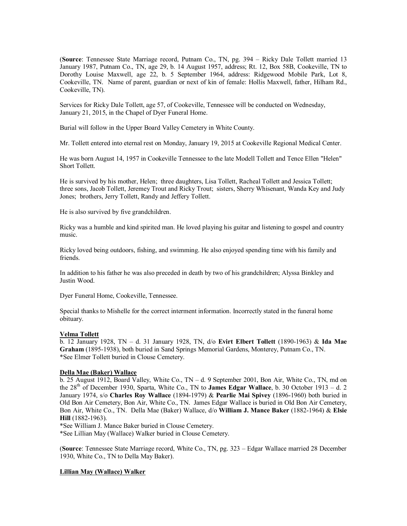(**Source**: Tennessee State Marriage record, Putnam Co., TN, pg. 394 – Ricky Dale Tollett married 13 January 1987, Putnam Co., TN, age 29, b. 14 August 1957, address; Rt. 12, Box 58B, Cookeville, TN to Dorothy Louise Maxwell, age 22, b. 5 September 1964, address: Ridgewood Mobile Park, Lot 8, Cookeville, TN. Name of parent, guardian or next of kin of female: Hollis Maxwell, father, Hilham Rd., Cookeville, TN).

Services for Ricky Dale Tollett, age 57, of Cookeville, Tennessee will be conducted on Wednesday, January 21, 2015, in the Chapel of Dyer Funeral Home.

Burial will follow in the Upper Board Valley Cemetery in White County.

Mr. Tollett entered into eternal rest on Monday, January 19, 2015 at Cookeville Regional Medical Center.

He was born August 14, 1957 in Cookeville Tennessee to the late Modell Tollett and Tence Ellen "Helen" Short Tollett.

He is survived by his mother, Helen; three daughters, Lisa Tollett, Racheal Tollett and Jessica Tollett; three sons, Jacob Tollett, Jeremey Trout and Ricky Trout; sisters, Sherry Whisenant, Wanda Key and Judy Jones; brothers, Jerry Tollett, Randy and Jeffery Tollett.

He is also survived by five grandchildren.

Ricky was a humble and kind spirited man. He loved playing his guitar and listening to gospel and country music.

Ricky loved being outdoors, fishing, and swimming. He also enjoyed spending time with his family and friends.

In addition to his father he was also preceded in death by two of his grandchildren; Alyssa Binkley and Justin Wood.

Dyer Funeral Home, Cookeville, Tennessee.

Special thanks to Mishelle for the correct interment information. Incorrectly stated in the funeral home obituary.

### **Velma Tollett**

b. 12 January 1928, TN – d. 31 January 1928, TN, d/o **Evirt Elbert Tollett** (1890-1963) & **Ida Mae Graham** (1895-1938), both buried in Sand Springs Memorial Gardens, Monterey, Putnam Co., TN. \*See Elmer Tollett buried in Clouse Cemetery.

### **Della Mae (Baker) Wallace**

b. 25 August 1912, Board Valley, White Co., TN – d. 9 September 2001, Bon Air, White Co., TN, md on the 28th of December 1930, Sparta, White Co., TN to **James Edgar Wallace**, b. 30 October 1913 – d. 2 January 1974, s/o **Charles Roy Wallace** (1894-1979) & **Pearlie Mai Spivey** (1896-1960) both buried in Old Bon Air Cemetery, Bon Air, White Co., TN. James Edgar Wallace is buried in Old Bon Air Cemetery, Bon Air, White Co., TN. Della Mae (Baker) Wallace, d/o **William J. Mance Baker** (1882-1964) & **Elsie Hill** (1882-1963).

\*See William J. Mance Baker buried in Clouse Cemetery.

\*See Lillian May (Wallace) Walker buried in Clouse Cemetery.

(**Source**: Tennessee State Marriage record, White Co., TN, pg. 323 – Edgar Wallace married 28 December 1930, White Co., TN to Della May Baker).

### **Lillian May (Wallace) Walker**